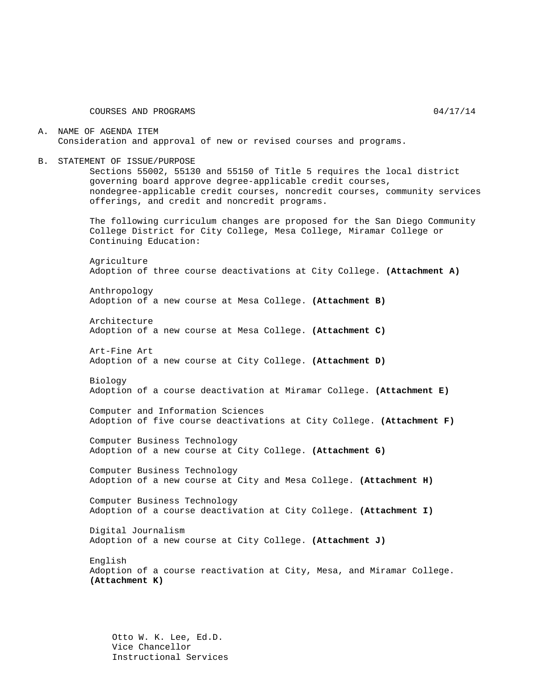COURSES AND PROGRAMS 04/17/14

A. NAME OF AGENDA ITEM Consideration and approval of new or revised courses and programs.

B. STATEMENT OF ISSUE/PURPOSE

Sections 55002, 55130 and 55150 of Title 5 requires the local district governing board approve degree-applicable credit courses, nondegree-applicable credit courses, noncredit courses, community services offerings, and credit and noncredit programs.

The following curriculum changes are proposed for the San Diego Community College District for City College, Mesa College, Miramar College or Continuing Education:

Agriculture Adoption of three course deactivations at City College. **(Attachment A)**

Anthropology Adoption of a new course at Mesa College. **(Attachment B)**

Architecture Adoption of a new course at Mesa College. **(Attachment C)**

Art-Fine Art Adoption of a new course at City College. **(Attachment D)**

Biology Adoption of a course deactivation at Miramar College. **(Attachment E)**

Computer and Information Sciences Adoption of five course deactivations at City College. **(Attachment F)**

Computer Business Technology Adoption of a new course at City College. **(Attachment G)**

Computer Business Technology Adoption of a new course at City and Mesa College. **(Attachment H)**

Computer Business Technology Adoption of a course deactivation at City College. **(Attachment I)**

Digital Journalism Adoption of a new course at City College. **(Attachment J)**

English Adoption of a course reactivation at City, Mesa, and Miramar College. **(Attachment K)**

Otto W. K. Lee, Ed.D. Vice Chancellor Instructional Services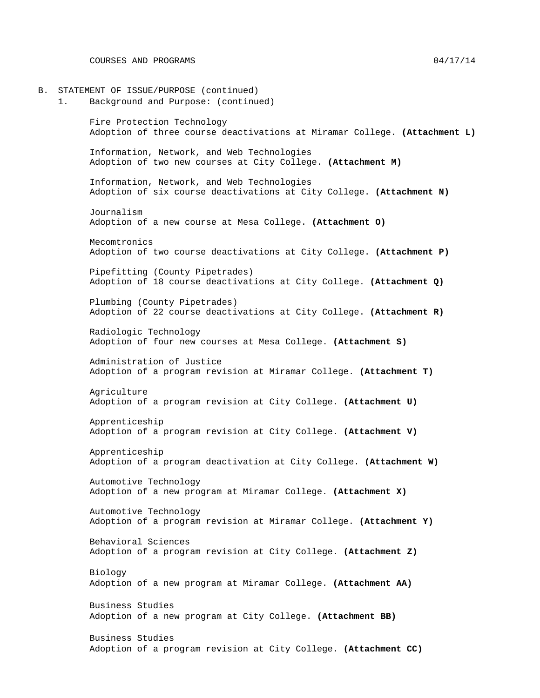B. STATEMENT OF ISSUE/PURPOSE (continued) 1. Background and Purpose: (continued) Fire Protection Technology Adoption of three course deactivations at Miramar College. **(Attachment L)** Information, Network, and Web Technologies Adoption of two new courses at City College. **(Attachment M)** Information, Network, and Web Technologies Adoption of six course deactivations at City College. **(Attachment N)** Journalism Adoption of a new course at Mesa College. **(Attachment O)** Mecomtronics Adoption of two course deactivations at City College. **(Attachment P)** Pipefitting (County Pipetrades) Adoption of 18 course deactivations at City College. **(Attachment Q)** Plumbing (County Pipetrades) Adoption of 22 course deactivations at City College. **(Attachment R)** Radiologic Technology Adoption of four new courses at Mesa College. **(Attachment S)** Administration of Justice Adoption of a program revision at Miramar College. **(Attachment T)** Agriculture Adoption of a program revision at City College. **(Attachment U)** Apprenticeship Adoption of a program revision at City College. **(Attachment V)** Apprenticeship Adoption of a program deactivation at City College. **(Attachment W)** Automotive Technology Adoption of a new program at Miramar College. **(Attachment X)** Automotive Technology Adoption of a program revision at Miramar College. **(Attachment Y)** Behavioral Sciences Adoption of a program revision at City College. **(Attachment Z)** Biology Adoption of a new program at Miramar College. **(Attachment AA)** Business Studies Adoption of a new program at City College. **(Attachment BB)** Business Studies Adoption of a program revision at City College. **(Attachment CC)**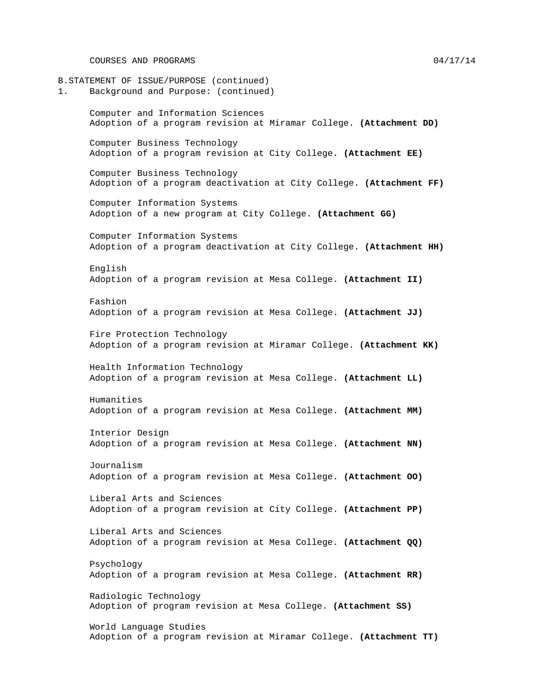COURSES AND PROGRAMS 04/17/14

B.STATEMENT OF ISSUE/PURPOSE (continued) 1. Background and Purpose: (continued) Computer and Information Sciences Adoption of a program revision at Miramar College. **(Attachment DD)** Computer Business Technology Adoption of a program revision at City College. **(Attachment EE)** Computer Business Technology Adoption of a program deactivation at City College. **(Attachment FF)** Computer Information Systems Adoption of a new program at City College. **(Attachment GG)** Computer Information Systems Adoption of a program deactivation at City College. **(Attachment HH)** English Adoption of a program revision at Mesa College. **(Attachment II)** Fashion Adoption of a program revision at Mesa College. **(Attachment JJ)** Fire Protection Technology Adoption of a program revision at Miramar College. **(Attachment KK)** Health Information Technology Adoption of a program revision at Mesa College. **(Attachment LL)** Humanities Adoption of a program revision at Mesa College. **(Attachment MM)** Interior Design Adoption of a program revision at Mesa College. **(Attachment NN)** Journalism Adoption of a program revision at Mesa College. **(Attachment OO)** Liberal Arts and Sciences Adoption of a program revision at City College. **(Attachment PP)** Liberal Arts and Sciences Adoption of a program revision at Mesa College. **(Attachment QQ)** Psychology Adoption of a program revision at Mesa College. **(Attachment RR)** Radiologic Technology Adoption of program revision at Mesa College. **(Attachment SS)** World Language Studies Adoption of a program revision at Miramar College. **(Attachment TT)**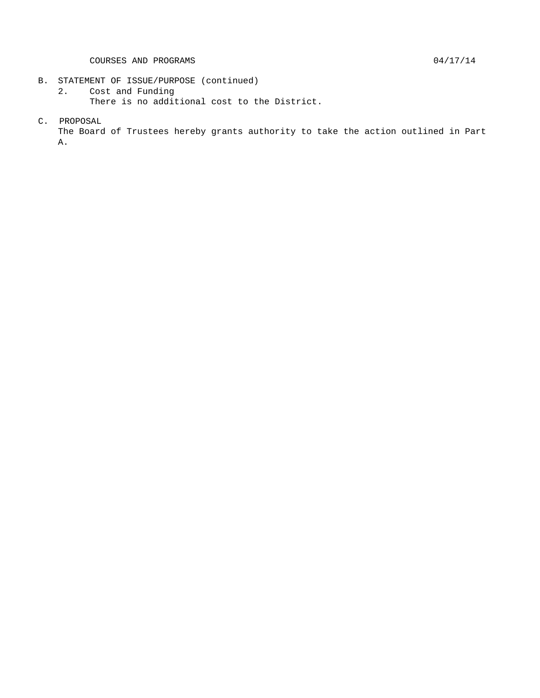- 
- B. STATEMENT OF ISSUE/PURPOSE (continued)<br>2. Cost and Funding Cost and Funding There is no additional cost to the District.
- C. PROPOSAL

The Board of Trustees hereby grants authority to take the action outlined in Part A.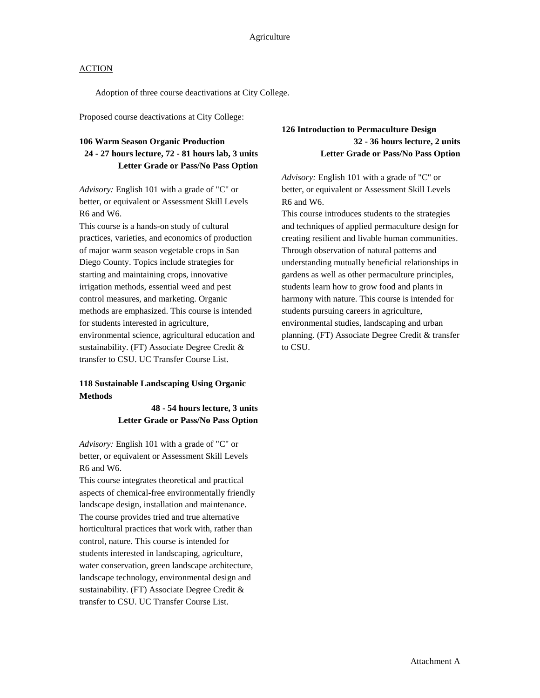Adoption of three course deactivations at City College.

Proposed course deactivations at City College:

### **106 Warm Season Organic Production 24 - 27 hours lecture, 72 - 81 hours lab, 3 units Letter Grade or Pass/No Pass Option**

*Advisory:* English 101 with a grade of "C" or better, or equivalent or Assessment Skill Levels R6 and W6.

This course is a hands-on study of cultural practices, varieties, and economics of production of major warm season vegetable crops in San Diego County. Topics include strategies for starting and maintaining crops, innovative irrigation methods, essential weed and pest control measures, and marketing. Organic methods are emphasized. This course is intended for students interested in agriculture, environmental science, agricultural education and sustainability. (FT) Associate Degree Credit & transfer to CSU. UC Transfer Course List.

### **118 Sustainable Landscaping Using Organic Methods**

**48 - 54 hours lecture, 3 units Letter Grade or Pass/No Pass Option**

*Advisory:* English 101 with a grade of "C" or better, or equivalent or Assessment Skill Levels R6 and W6.

This course integrates theoretical and practical aspects of chemical-free environmentally friendly landscape design, installation and maintenance. The course provides tried and true alternative horticultural practices that work with, rather than control, nature. This course is intended for students interested in landscaping, agriculture, water conservation, green landscape architecture, landscape technology, environmental design and sustainability. (FT) Associate Degree Credit & transfer to CSU. UC Transfer Course List.

**126 Introduction to Permaculture Design 32 - 36 hours lecture, 2 units Letter Grade or Pass/No Pass Option**

*Advisory:* English 101 with a grade of "C" or better, or equivalent or Assessment Skill Levels R6 and W6.

This course introduces students to the strategies and techniques of applied permaculture design for creating resilient and livable human communities. Through observation of natural patterns and understanding mutually beneficial relationships in gardens as well as other permaculture principles, students learn how to grow food and plants in harmony with nature. This course is intended for students pursuing careers in agriculture, environmental studies, landscaping and urban planning. (FT) Associate Degree Credit & transfer to CSU.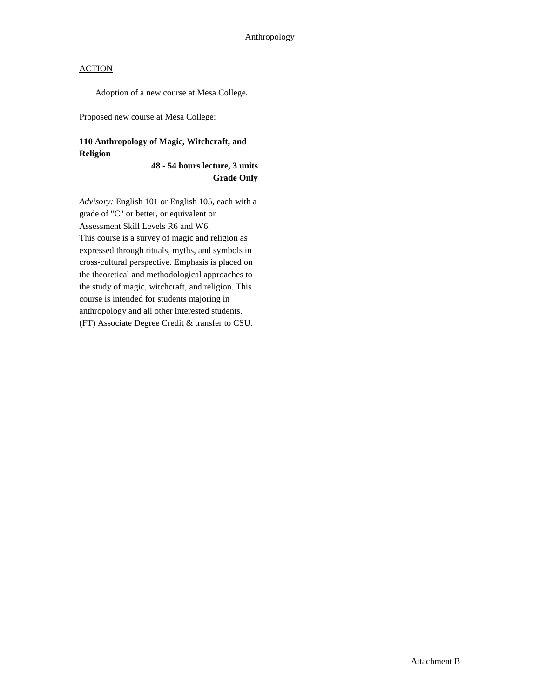Adoption of a new course at Mesa College.

Proposed new course at Mesa College:

### **110 Anthropology of Magic, Witchcraft, and Religion**

### **48 - 54 hours lecture, 3 units Grade Only**

*Advisory:* English 101 or English 105, each with a grade of "C" or better, or equivalent or Assessment Skill Levels R6 and W6. This course is a survey of magic and religion as expressed through rituals, myths, and symbols in cross-cultural perspective. Emphasis is placed on the theoretical and methodological approaches to the study of magic, witchcraft, and religion. This course is intended for students majoring in anthropology and all other interested students. (FT) Associate Degree Credit & transfer to CSU.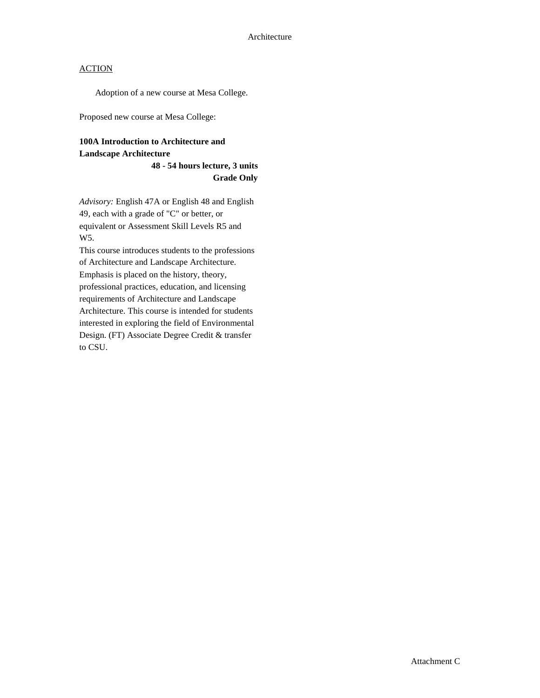Adoption of a new course at Mesa College.

Proposed new course at Mesa College:

# **100A Introduction to Architecture and Landscape Architecture**

**48 - 54 hours lecture, 3 units Grade Only**

*Advisory:* English 47A or English 48 and English 49, each with a grade of "C" or better, or equivalent or Assessment Skill Levels R5 and W5.

This course introduces students to the professions of Architecture and Landscape Architecture. Emphasis is placed on the history, theory, professional practices, education, and licensing requirements of Architecture and Landscape Architecture. This course is intended for students interested in exploring the field of Environmental Design. (FT) Associate Degree Credit & transfer to CSU.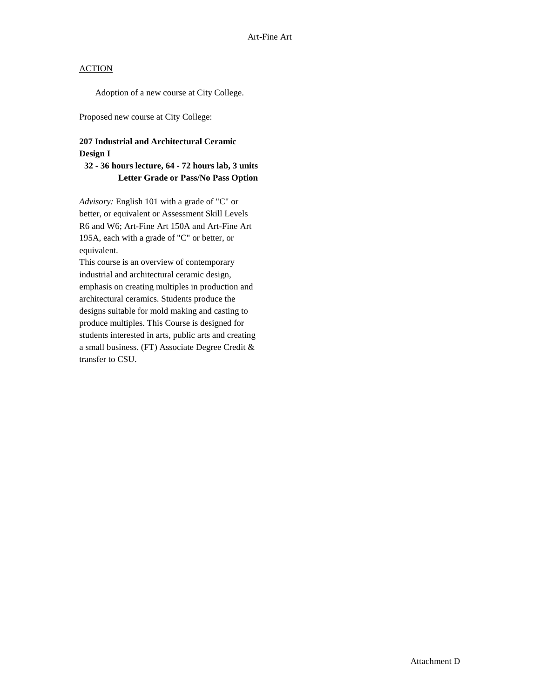Adoption of a new course at City College.

Proposed new course at City College:

### **207 Industrial and Architectural Ceramic Design I**

### **32 - 36 hours lecture, 64 - 72 hours lab, 3 units Letter Grade or Pass/No Pass Option**

*Advisory:* English 101 with a grade of "C" or better, or equivalent or Assessment Skill Levels R6 and W6; Art-Fine Art 150A and Art-Fine Art 195A, each with a grade of "C" or better, or equivalent.

This course is an overview of contemporary industrial and architectural ceramic design, emphasis on creating multiples in production and architectural ceramics. Students produce the designs suitable for mold making and casting to produce multiples. This Course is designed for students interested in arts, public arts and creating a small business. (FT) Associate Degree Credit & transfer to CSU.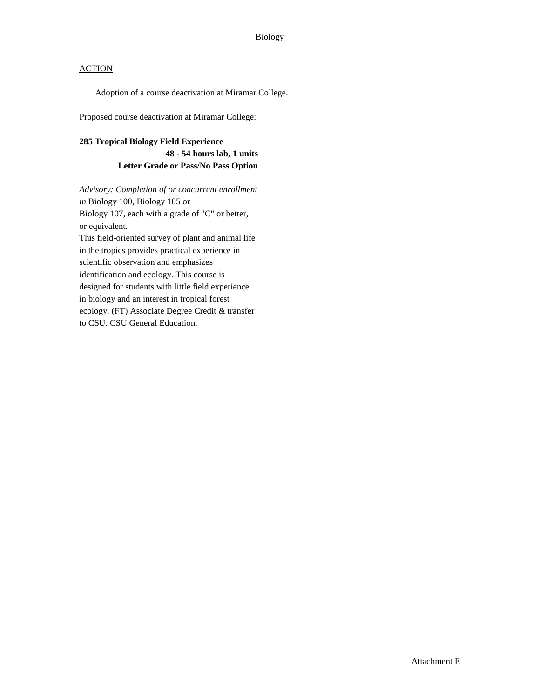Adoption of a course deactivation at Miramar College.

Proposed course deactivation at Miramar College:

### **285 Tropical Biology Field Experience**

**48 - 54 hours lab, 1 units Letter Grade or Pass/No Pass Option**

*Advisory: Completion of or concurrent enrollment in* Biology 100, Biology 105 or Biology 107, each with a grade of "C" or better, or equivalent.

This field-oriented survey of plant and animal life in the tropics provides practical experience in scientific observation and emphasizes identification and ecology. This course is designed for students with little field experience in biology and an interest in tropical forest ecology. (FT) Associate Degree Credit & transfer to CSU. CSU General Education.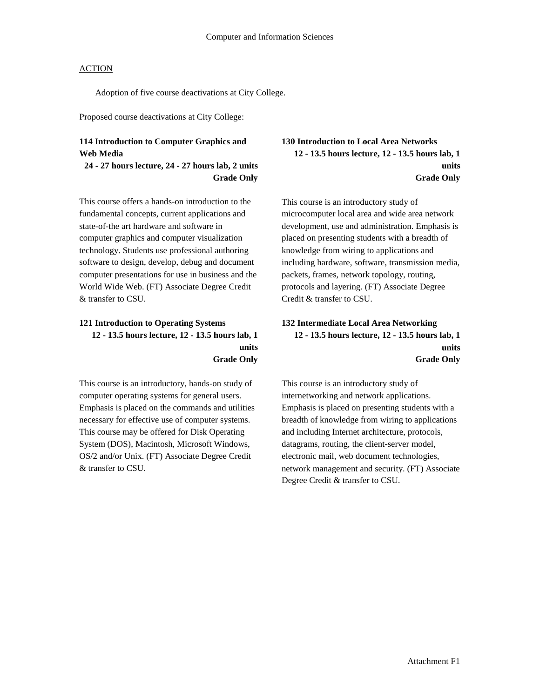Adoption of five course deactivations at City College.

Proposed course deactivations at City College:

### **114 Introduction to Computer Graphics and Web Media**

### **24 - 27 hours lecture, 24 - 27 hours lab, 2 units Grade Only**

This course offers a hands-on introduction to the fundamental concepts, current applications and state-of-the art hardware and software in computer graphics and computer visualization technology. Students use professional authoring software to design, develop, debug and document computer presentations for use in business and the World Wide Web. (FT) Associate Degree Credit & transfer to CSU.

### **121 Introduction to Operating Systems 12 - 13.5 hours lecture, 12 - 13.5 hours lab, 1 units Grade Only**

This course is an introductory, hands-on study of computer operating systems for general users. Emphasis is placed on the commands and utilities necessary for effective use of computer systems. This course may be offered for Disk Operating System (DOS), Macintosh, Microsoft Windows, OS/2 and/or Unix. (FT) Associate Degree Credit & transfer to CSU.

**130 Introduction to Local Area Networks 12 - 13.5 hours lecture, 12 - 13.5 hours lab, 1 units Grade Only**

This course is an introductory study of microcomputer local area and wide area network development, use and administration. Emphasis is placed on presenting students with a breadth of knowledge from wiring to applications and including hardware, software, transmission media, packets, frames, network topology, routing, protocols and layering. (FT) Associate Degree Credit & transfer to CSU.

### **132 Intermediate Local Area Networking 12 - 13.5 hours lecture, 12 - 13.5 hours lab, 1 units Grade Only**

This course is an introductory study of internetworking and network applications. Emphasis is placed on presenting students with a breadth of knowledge from wiring to applications and including Internet architecture, protocols, datagrams, routing, the client-server model, electronic mail, web document technologies, network management and security. (FT) Associate Degree Credit & transfer to CSU.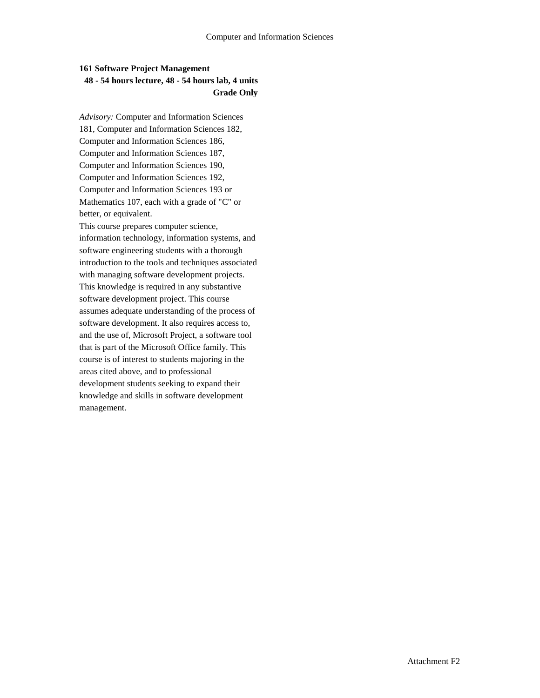### **161 Software Project Management 48 - 54 hours lecture, 48 - 54 hours lab, 4 units Grade Only**

*Advisory:* Computer and Information Sciences 181, Computer and Information Sciences 182, Computer and Information Sciences 186, Computer and Information Sciences 187, Computer and Information Sciences 190, Computer and Information Sciences 192, Computer and Information Sciences 193 or Mathematics 107, each with a grade of "C" or better, or equivalent.

This course prepares computer science, information technology, information systems, and software engineering students with a thorough introduction to the tools and techniques associated with managing software development projects. This knowledge is required in any substantive software development project. This course assumes adequate understanding of the process of software development. It also requires access to, and the use of, Microsoft Project, a software tool that is part of the Microsoft Office family. This course is of interest to students majoring in the areas cited above, and to professional development students seeking to expand their knowledge and skills in software development management.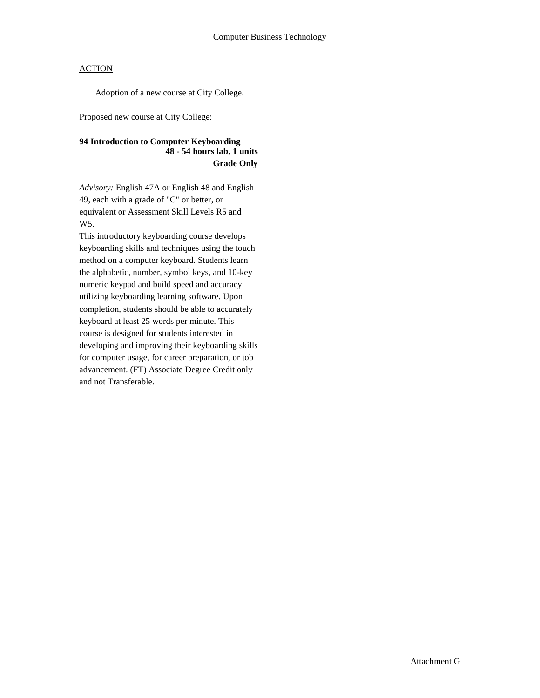Adoption of a new course at City College.

Proposed new course at City College:

### **94 Introduction to Computer Keyboarding 48 - 54 hours lab, 1 units Grade Only**

*Advisory:* English 47A or English 48 and English 49, each with a grade of "C" or better, or equivalent or Assessment Skill Levels R5 and W5.

This introductory keyboarding course develops keyboarding skills and techniques using the touch method on a computer keyboard. Students learn the alphabetic, number, symbol keys, and 10-key numeric keypad and build speed and accuracy utilizing keyboarding learning software. Upon completion, students should be able to accurately keyboard at least 25 words per minute. This course is designed for students interested in developing and improving their keyboarding skills for computer usage, for career preparation, or job advancement. (FT) Associate Degree Credit only and not Transferable.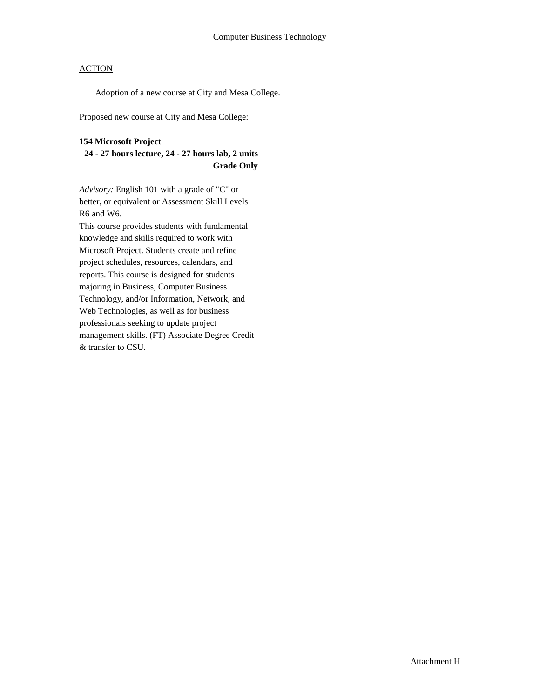Adoption of a new course at City and Mesa College.

Proposed new course at City and Mesa College:

### **154 Microsoft Project**

### **24 - 27 hours lecture, 24 - 27 hours lab, 2 units Grade Only**

*Advisory:* English 101 with a grade of "C" or better, or equivalent or Assessment Skill Levels R6 and W6.

This course provides students with fundamental knowledge and skills required to work with Microsoft Project. Students create and refine project schedules, resources, calendars, and reports. This course is designed for students majoring in Business, Computer Business Technology, and/or Information, Network, and Web Technologies, as well as for business professionals seeking to update project management skills. (FT) Associate Degree Credit & transfer to CSU.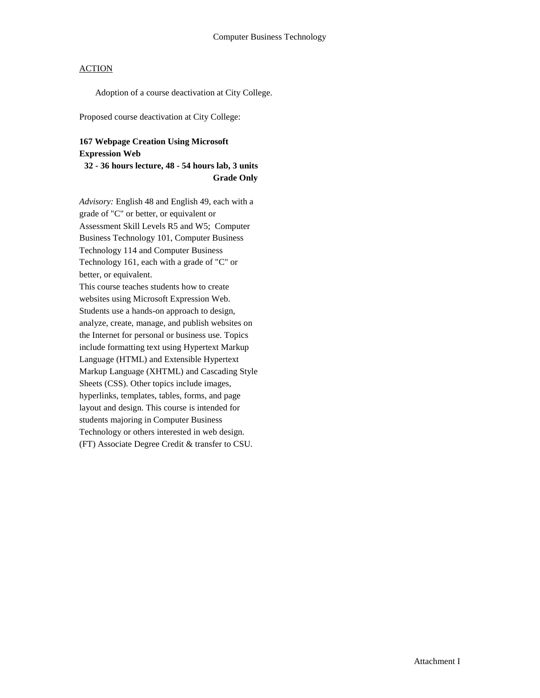Adoption of a course deactivation at City College.

Proposed course deactivation at City College:

### **167 Webpage Creation Using Microsoft Expression Web**

### **32 - 36 hours lecture, 48 - 54 hours lab, 3 units Grade Only**

*Advisory:* English 48 and English 49, each with a grade of "C" or better, or equivalent or Assessment Skill Levels R5 and W5; Computer Business Technology 101, Computer Business Technology 114 and Computer Business Technology 161, each with a grade of "C" or better, or equivalent.

This course teaches students how to create websites using Microsoft Expression Web. Students use a hands-on approach to design, analyze, create, manage, and publish websites on the Internet for personal or business use. Topics include formatting text using Hypertext Markup Language (HTML) and Extensible Hypertext Markup Language (XHTML) and Cascading Style Sheets (CSS). Other topics include images, hyperlinks, templates, tables, forms, and page layout and design. This course is intended for students majoring in Computer Business Technology or others interested in web design. (FT) Associate Degree Credit & transfer to CSU.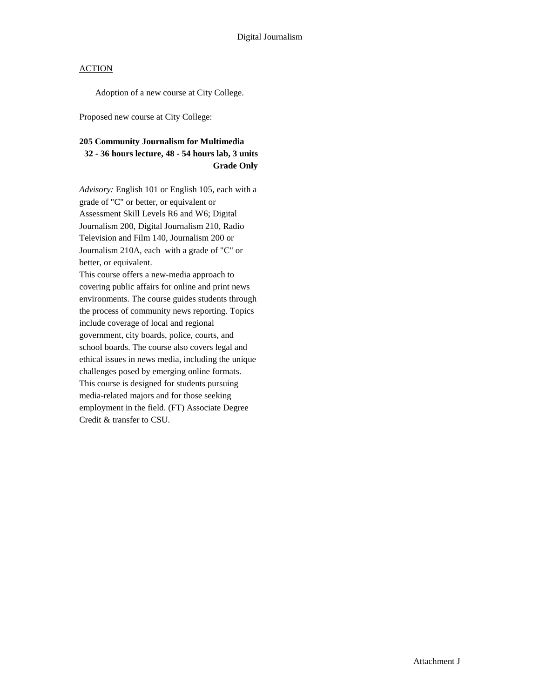Adoption of a new course at City College.

Proposed new course at City College:

### **205 Community Journalism for Multimedia 32 - 36 hours lecture, 48 - 54 hours lab, 3 units Grade Only**

*Advisory:* English 101 or English 105, each with a grade of "C" or better, or equivalent or Assessment Skill Levels R6 and W6; Digital Journalism 200, Digital Journalism 210, Radio Television and Film 140, Journalism 200 or Journalism 210A, each with a grade of "C" or better, or equivalent.

This course offers a new-media approach to covering public affairs for online and print news environments. The course guides students through the process of community news reporting. Topics include coverage of local and regional government, city boards, police, courts, and school boards. The course also covers legal and ethical issues in news media, including the unique challenges posed by emerging online formats. This course is designed for students pursuing media-related majors and for those seeking employment in the field. (FT) Associate Degree Credit & transfer to CSU.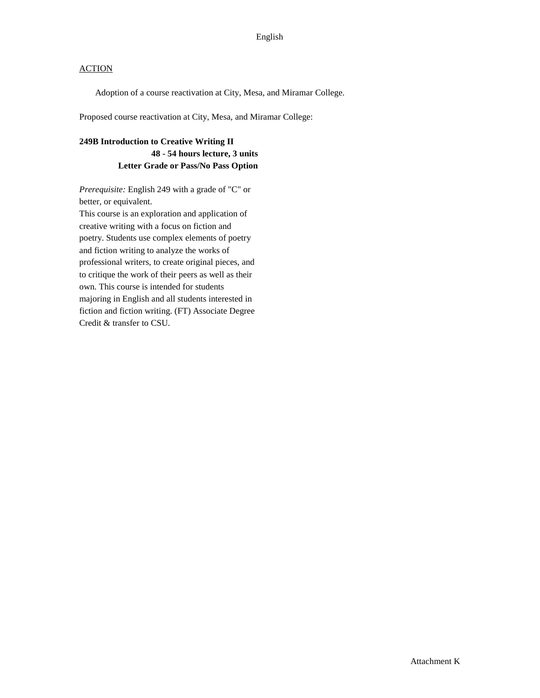Adoption of a course reactivation at City, Mesa, and Miramar College.

Proposed course reactivation at City, Mesa, and Miramar College:

### **249B Introduction to Creative Writing II 48 - 54 hours lecture, 3 units Letter Grade or Pass/No Pass Option**

*Prerequisite:* English 249 with a grade of "C" or better, or equivalent. This course is an exploration and application of creative writing with a focus on fiction and

poetry. Students use complex elements of poetry and fiction writing to analyze the works of professional writers, to create original pieces, and to critique the work of their peers as well as their own. This course is intended for students majoring in English and all students interested in fiction and fiction writing. (FT) Associate Degree Credit & transfer to CSU.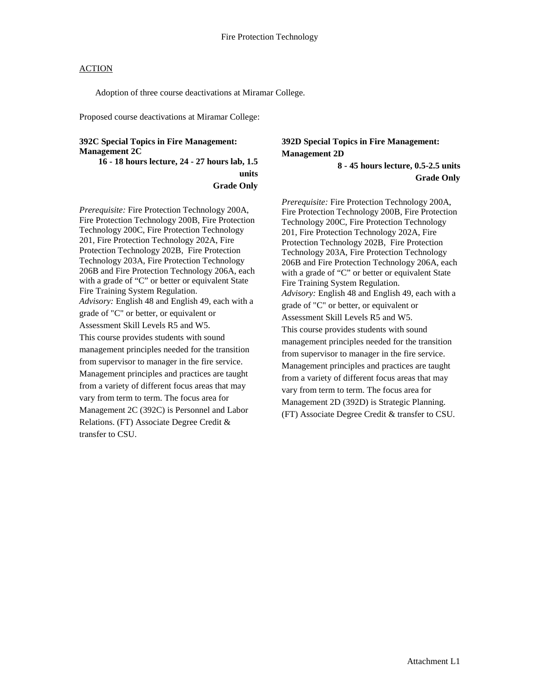Adoption of three course deactivations at Miramar College.

Proposed course deactivations at Miramar College:

#### **392C Special Topics in Fire Management: Management 2C**

**16 - 18 hours lecture, 24 - 27 hours lab, 1.5 units Grade Only**

*Prerequisite:* Fire Protection Technology 200A, Fire Protection Technology 200B, Fire Protection Technology 200C, Fire Protection Technology 201, Fire Protection Technology 202A, Fire Protection Technology 202B, Fire Protection Technology 203A, Fire Protection Technology 206B and Fire Protection Technology 206A, each with a grade of "C" or better or equivalent State Fire Training System Regulation. *Advisory:* English 48 and English 49, each with a grade of "C" or better, or equivalent or Assessment Skill Levels R5 and W5. This course provides students with sound management principles needed for the transition from supervisor to manager in the fire service. Management principles and practices are taught from a variety of different focus areas that may vary from term to term. The focus area for Management 2C (392C) is Personnel and Labor Relations. (FT) Associate Degree Credit & transfer to CSU.

## **392D Special Topics in Fire Management: Management 2D**

**8 - 45 hours lecture, 0.5-2.5 units Grade Only**

*Prerequisite:* Fire Protection Technology 200A, Fire Protection Technology 200B, Fire Protection Technology 200C, Fire Protection Technology 201, Fire Protection Technology 202A, Fire Protection Technology 202B, Fire Protection Technology 203A, Fire Protection Technology 206B and Fire Protection Technology 206A, each with a grade of "C" or better or equivalent State Fire Training System Regulation. *Advisory:* English 48 and English 49, each with a grade of "C" or better, or equivalent or Assessment Skill Levels R5 and W5. This course provides students with sound management principles needed for the transition from supervisor to manager in the fire service. Management principles and practices are taught from a variety of different focus areas that may vary from term to term. The focus area for Management 2D (392D) is Strategic Planning. (FT) Associate Degree Credit & transfer to CSU.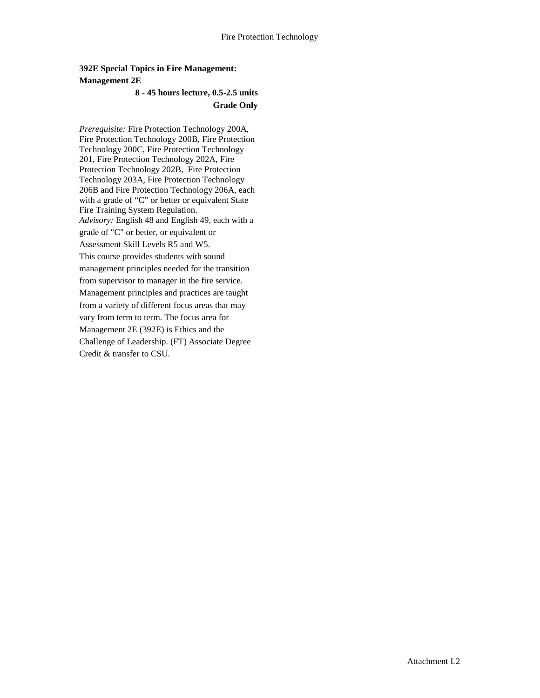### **392E Special Topics in Fire Management: Management 2E**

### **8 - 45 hours lecture, 0.5-2.5 units Grade Only**

*Prerequisite:* Fire Protection Technology 200A, Fire Protection Technology 200B, Fire Protection Technology 200C, Fire Protection Technology 201, Fire Protection Technology 202A, Fire Protection Technology 202B, Fire Protection Technology 203A, Fire Protection Technology 206B and Fire Protection Technology 206A, each with a grade of "C" or better or equivalent State Fire Training System Regulation. *Advisory:* English 48 and English 49, each with a grade of "C" or better, or equivalent or Assessment Skill Levels R5 and W5. This course provides students with sound management principles needed for the transition from supervisor to manager in the fire service. Management principles and practices are taught from a variety of different focus areas that may vary from term to term. The focus area for Management 2E (392E) is Ethics and the Challenge of Leadership. (FT) Associate Degree Credit & transfer to CSU.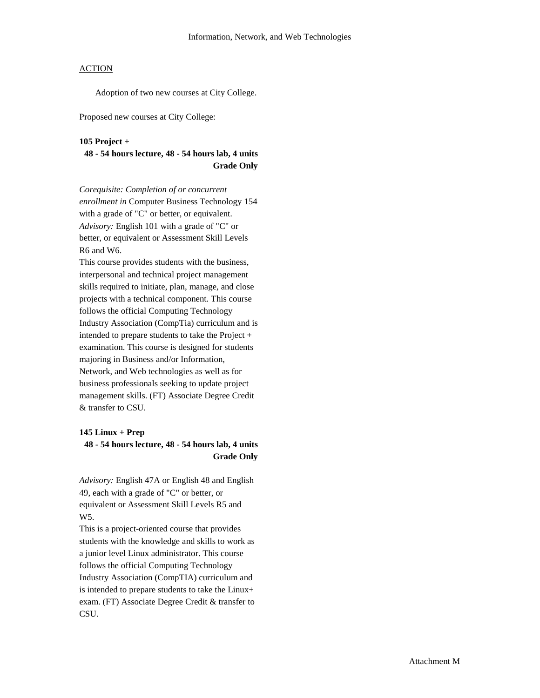Adoption of two new courses at City College.

Proposed new courses at City College:

#### **105 Project +**

**48 - 54 hours lecture, 48 - 54 hours lab, 4 units Grade Only**

*Corequisite: Completion of or concurrent enrollment in* Computer Business Technology 154 with a grade of "C" or better, or equivalent. *Advisory:* English 101 with a grade of "C" or better, or equivalent or Assessment Skill Levels R6 and W6.

This course provides students with the business, interpersonal and technical project management skills required to initiate, plan, manage, and close projects with a technical component. This course follows the official Computing Technology Industry Association (CompTia) curriculum and is intended to prepare students to take the Project + examination. This course is designed for students majoring in Business and/or Information, Network, and Web technologies as well as for business professionals seeking to update project management skills. (FT) Associate Degree Credit & transfer to CSU.

#### **145 Linux + Prep**

#### **48 - 54 hours lecture, 48 - 54 hours lab, 4 units Grade Only**

*Advisory:* English 47A or English 48 and English 49, each with a grade of "C" or better, or equivalent or Assessment Skill Levels R5 and W5.

This is a project-oriented course that provides students with the knowledge and skills to work as a junior level Linux administrator. This course follows the official Computing Technology Industry Association (CompTIA) curriculum and is intended to prepare students to take the Linux+ exam. (FT) Associate Degree Credit & transfer to CSU.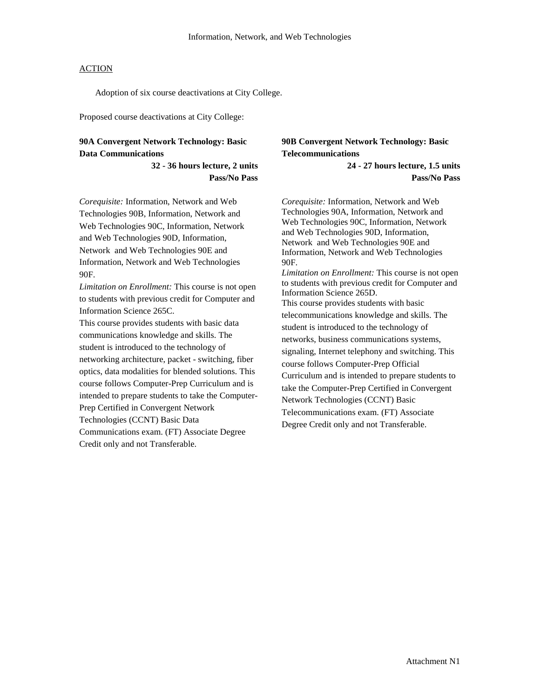Adoption of six course deactivations at City College.

Proposed course deactivations at City College:

### **90A Convergent Network Technology: Basic Data Communications**

**32 - 36 hours lecture, 2 units Pass/No Pass**

*Corequisite:* Information, Network and Web Technologies 90B, Information, Network and Web Technologies 90C, Information, Network and Web Technologies 90D, Information, Network and Web Technologies 90E and Information, Network and Web Technologies 90F.

*Limitation on Enrollment:* This course is not open to students with previous credit for Computer and Information Science 265C.

This course provides students with basic data communications knowledge and skills. The student is introduced to the technology of networking architecture, packet - switching, fiber optics, data modalities for blended solutions. This course follows Computer-Prep Curriculum and is intended to prepare students to take the Computer-Prep Certified in Convergent Network Technologies (CCNT) Basic Data Communications exam. (FT) Associate Degree

Credit only and not Transferable.

### **90B Convergent Network Technology: Basic Telecommunications**

**24 - 27 hours lecture, 1.5 units Pass/No Pass**

*Corequisite:* Information, Network and Web Technologies 90A, Information, Network and Web Technologies 90C, Information, Network and Web Technologies 90D, Information, Network and Web Technologies 90E and Information, Network and Web Technologies 90F.

*Limitation on Enrollment:* This course is not open to students with previous credit for Computer and Information Science 265D. This course provides students with basic telecommunications knowledge and skills. The student is introduced to the technology of networks, business communications systems, signaling, Internet telephony and switching. This course follows Computer-Prep Official Curriculum and is intended to prepare students to take the Computer-Prep Certified in Convergent Network Technologies (CCNT) Basic Telecommunications exam. (FT) Associate Degree Credit only and not Transferable.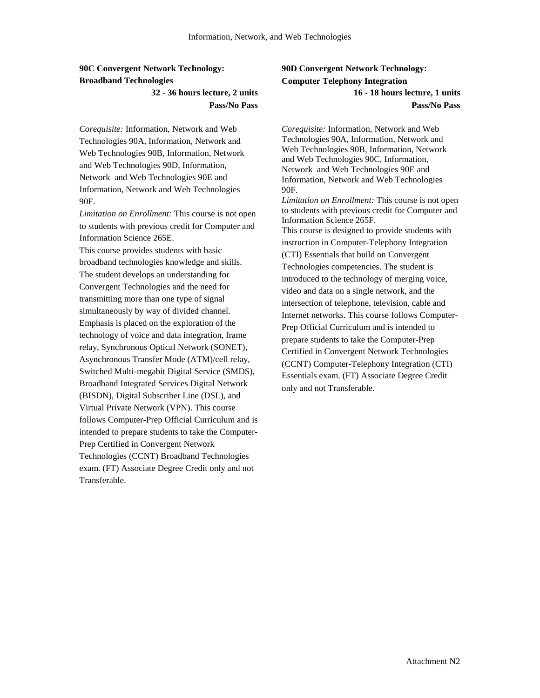### **90C Convergent Network Technology: Broadband Technologies**

### **32 - 36 hours lecture, 2 units Pass/No Pass**

*Corequisite:* Information, Network and Web Technologies 90A, Information, Network and Web Technologies 90B, Information, Network and Web Technologies 90D, Information, Network and Web Technologies 90E and Information, Network and Web Technologies 90F.

*Limitation on Enrollment:* This course is not open to students with previous credit for Computer and Information Science 265E.

This course provides students with basic broadband technologies knowledge and skills. The student develops an understanding for Convergent Technologies and the need for transmitting more than one type of signal simultaneously by way of divided channel. Emphasis is placed on the exploration of the technology of voice and data integration, frame relay, Synchronous Optical Network (SONET), Asynchronous Transfer Mode (ATM)/cell relay, Switched Multi-megabit Digital Service (SMDS), Broadband Integrated Services Digital Network (BISDN), Digital Subscriber Line (DSL), and Virtual Private Network (VPN). This course follows Computer-Prep Official Curriculum and is intended to prepare students to take the Computer-Prep Certified in Convergent Network Technologies (CCNT) Broadband Technologies exam. (FT) Associate Degree Credit only and not Transferable.

### **90D Convergent Network Technology: Computer Telephony Integration 16 - 18 hours lecture, 1 units Pass/No Pass**

*Corequisite:* Information, Network and Web Technologies 90A, Information, Network and Web Technologies 90B, Information, Network and Web Technologies 90C, Information, Network and Web Technologies 90E and Information, Network and Web Technologies 90F.

*Limitation on Enrollment:* This course is not open to students with previous credit for Computer and Information Science 265F. This course is designed to provide students with instruction in Computer-Telephony Integration (CTI) Essentials that build on Convergent Technologies competencies. The student is introduced to the technology of merging voice, video and data on a single network, and the intersection of telephone, television, cable and Internet networks. This course follows Computer-Prep Official Curriculum and is intended to prepare students to take the Computer-Prep Certified in Convergent Network Technologies (CCNT) Computer-Telephony Integration (CTI) Essentials exam. (FT) Associate Degree Credit only and not Transferable.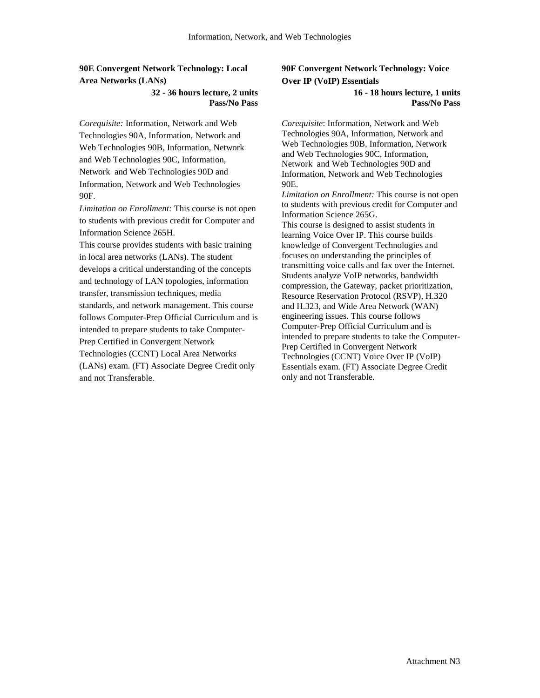### **90E Convergent Network Technology: Local Area Networks (LANs)**

#### **32 - 36 hours lecture, 2 units Pass/No Pass**

*Corequisite:* Information, Network and Web Technologies 90A, Information, Network and Web Technologies 90B, Information, Network and Web Technologies 90C, Information, Network and Web Technologies 90D and Information, Network and Web Technologies 90F.

*Limitation on Enrollment:* This course is not open to students with previous credit for Computer and Information Science 265H.

This course provides students with basic training in local area networks (LANs). The student develops a critical understanding of the concepts and technology of LAN topologies, information transfer, transmission techniques, media standards, and network management. This course follows Computer-Prep Official Curriculum and is intended to prepare students to take Computer-Prep Certified in Convergent Network Technologies (CCNT) Local Area Networks (LANs) exam. (FT) Associate Degree Credit only and not Transferable.

### **90F Convergent Network Technology: Voice Over IP (VoIP) Essentials**

#### **16 - 18 hours lecture, 1 units Pass/No Pass**

*Corequisite*: Information, Network and Web Technologies 90A, Information, Network and Web Technologies 90B, Information, Network and Web Technologies 90C, Information, Network and Web Technologies 90D and Information, Network and Web Technologies 90E.

*Limitation on Enrollment:* This course is not open to students with previous credit for Computer and Information Science 265G.

This course is designed to assist students in learning Voice Over IP. This course builds knowledge of Convergent Technologies and focuses on understanding the principles of transmitting voice calls and fax over the Internet. Students analyze VoIP networks, bandwidth compression, the Gateway, packet prioritization, Resource Reservation Protocol (RSVP), H.320 and H.323, and Wide Area Network (WAN) engineering issues. This course follows Computer-Prep Official Curriculum and is intended to prepare students to take the Computer-Prep Certified in Convergent Network Technologies (CCNT) Voice Over IP (VoIP) Essentials exam. (FT) Associate Degree Credit only and not Transferable.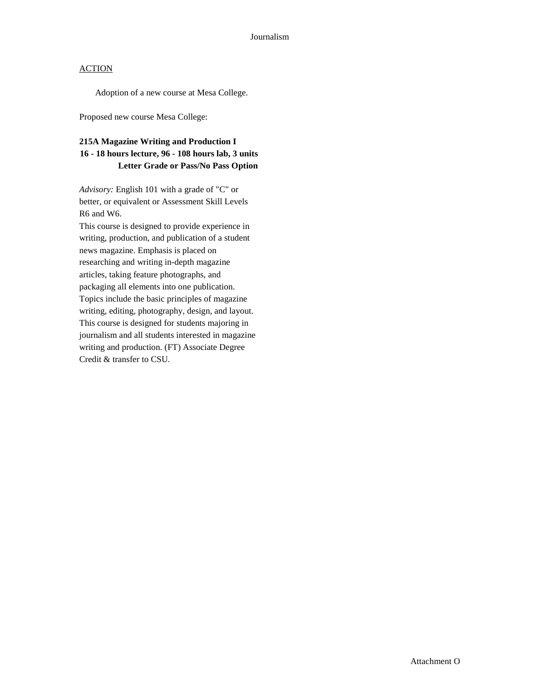Adoption of a new course at Mesa College.

Proposed new course Mesa College:

### **215A Magazine Writing and Production I 16 - 18 hours lecture, 96 - 108 hours lab, 3 units Letter Grade or Pass/No Pass Option**

*Advisory:* English 101 with a grade of "C" or better, or equivalent or Assessment Skill Levels R6 and W6.

This course is designed to provide experience in writing, production, and publication of a student news magazine. Emphasis is placed on researching and writing in-depth magazine articles, taking feature photographs, and packaging all elements into one publication. Topics include the basic principles of magazine writing, editing, photography, design, and layout. This course is designed for students majoring in journalism and all students interested in magazine writing and production. (FT) Associate Degree Credit & transfer to CSU.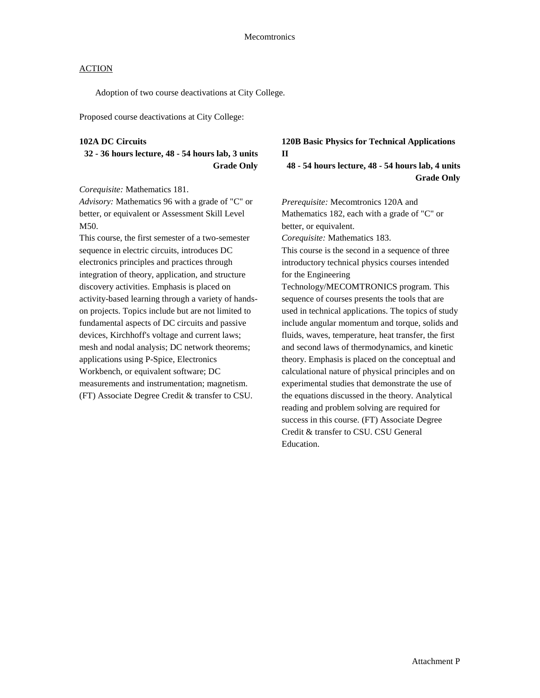Adoption of two course deactivations at City College.

Proposed course deactivations at City College:

#### **102A DC Circuits**

**32 - 36 hours lecture, 48 - 54 hours lab, 3 units Grade Only**

*Corequisite:* Mathematics 181.

*Advisory:* Mathematics 96 with a grade of "C" or better, or equivalent or Assessment Skill Level M50.

This course, the first semester of a two-semester sequence in electric circuits, introduces DC electronics principles and practices through integration of theory, application, and structure discovery activities. Emphasis is placed on activity-based learning through a variety of handson projects. Topics include but are not limited to fundamental aspects of DC circuits and passive devices, Kirchhoff's voltage and current laws; mesh and nodal analysis; DC network theorems; applications using P-Spice, Electronics Workbench, or equivalent software; DC measurements and instrumentation; magnetism. (FT) Associate Degree Credit & transfer to CSU.

### **120B Basic Physics for Technical Applications II**

**48 - 54 hours lecture, 48 - 54 hours lab, 4 units Grade Only**

*Prerequisite:* Mecomtronics 120A and Mathematics 182, each with a grade of "C" or better, or equivalent.

*Corequisite:* Mathematics 183.

This course is the second in a sequence of three introductory technical physics courses intended for the Engineering

Technology/MECOMTRONICS program. This sequence of courses presents the tools that are used in technical applications. The topics of study include angular momentum and torque, solids and fluids, waves, temperature, heat transfer, the first and second laws of thermodynamics, and kinetic theory. Emphasis is placed on the conceptual and calculational nature of physical principles and on experimental studies that demonstrate the use of the equations discussed in the theory. Analytical reading and problem solving are required for success in this course. (FT) Associate Degree Credit & transfer to CSU. CSU General Education.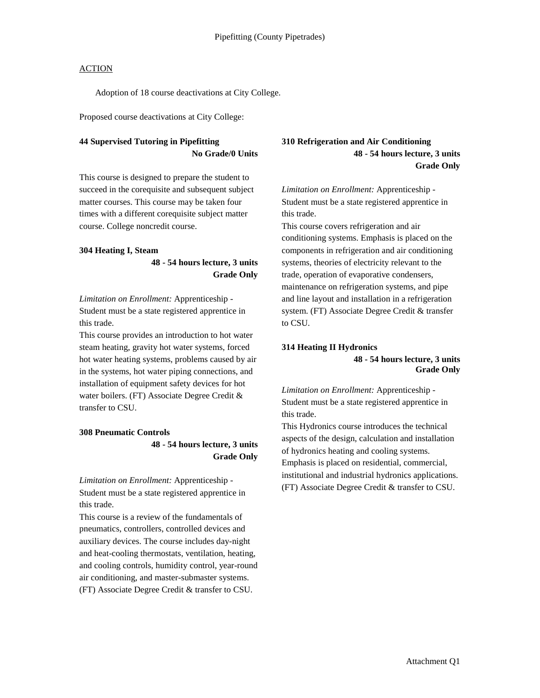Adoption of 18 course deactivations at City College.

Proposed course deactivations at City College:

### **44 Supervised Tutoring in Pipefitting No Grade/0 Units**

This course is designed to prepare the student to succeed in the corequisite and subsequent subject matter courses. This course may be taken four times with a different corequisite subject matter course. College noncredit course.

#### **304 Heating I, Steam**

**48 - 54 hours lecture, 3 units Grade Only**

*Limitation on Enrollment:* Apprenticeship - Student must be a state registered apprentice in this trade.

This course provides an introduction to hot water steam heating, gravity hot water systems, forced hot water heating systems, problems caused by air in the systems, hot water piping connections, and installation of equipment safety devices for hot water boilers. (FT) Associate Degree Credit & transfer to CSU.

#### **308 Pneumatic Controls**

**48 - 54 hours lecture, 3 units Grade Only**

*Limitation on Enrollment:* Apprenticeship - Student must be a state registered apprentice in this trade.

This course is a review of the fundamentals of pneumatics, controllers, controlled devices and auxiliary devices. The course includes day-night and heat-cooling thermostats, ventilation, heating, and cooling controls, humidity control, year-round air conditioning, and master-submaster systems. (FT) Associate Degree Credit & transfer to CSU.

### **310 Refrigeration and Air Conditioning 48 - 54 hours lecture, 3 units Grade Only**

*Limitation on Enrollment:* Apprenticeship - Student must be a state registered apprentice in this trade.

This course covers refrigeration and air conditioning systems. Emphasis is placed on the components in refrigeration and air conditioning systems, theories of electricity relevant to the trade, operation of evaporative condensers, maintenance on refrigeration systems, and pipe and line layout and installation in a refrigeration system. (FT) Associate Degree Credit & transfer to CSU.

#### **314 Heating II Hydronics**

### **48 - 54 hours lecture, 3 units Grade Only**

*Limitation on Enrollment:* Apprenticeship - Student must be a state registered apprentice in this trade.

This Hydronics course introduces the technical aspects of the design, calculation and installation of hydronics heating and cooling systems. Emphasis is placed on residential, commercial, institutional and industrial hydronics applications. (FT) Associate Degree Credit & transfer to CSU.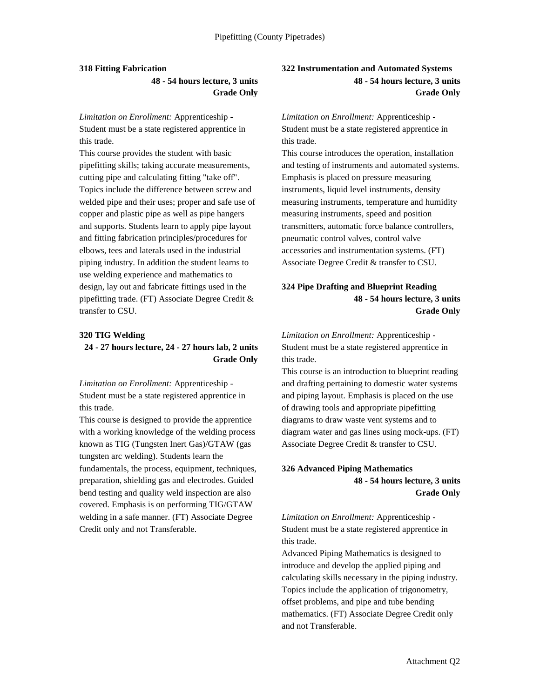#### **318 Fitting Fabrication**

**48 - 54 hours lecture, 3 units Grade Only**

*Limitation on Enrollment:* Apprenticeship - Student must be a state registered apprentice in this trade.

This course provides the student with basic pipefitting skills; taking accurate measurements, cutting pipe and calculating fitting "take off". Topics include the difference between screw and welded pipe and their uses; proper and safe use of copper and plastic pipe as well as pipe hangers and supports. Students learn to apply pipe layout and fitting fabrication principles/procedures for elbows, tees and laterals used in the industrial piping industry. In addition the student learns to use welding experience and mathematics to design, lay out and fabricate fittings used in the pipefitting trade. (FT) Associate Degree Credit & transfer to CSU.

#### **320 TIG Welding**

### **24 - 27 hours lecture, 24 - 27 hours lab, 2 units Grade Only**

*Limitation on Enrollment:* Apprenticeship - Student must be a state registered apprentice in this trade.

This course is designed to provide the apprentice with a working knowledge of the welding process known as TIG (Tungsten Inert Gas)/GTAW (gas tungsten arc welding). Students learn the fundamentals, the process, equipment, techniques, preparation, shielding gas and electrodes. Guided bend testing and quality weld inspection are also covered. Emphasis is on performing TIG/GTAW welding in a safe manner. (FT) Associate Degree Credit only and not Transferable.

### **322 Instrumentation and Automated Systems 48 - 54 hours lecture, 3 units Grade Only**

*Limitation on Enrollment:* Apprenticeship - Student must be a state registered apprentice in this trade.

This course introduces the operation, installation and testing of instruments and automated systems. Emphasis is placed on pressure measuring instruments, liquid level instruments, density measuring instruments, temperature and humidity measuring instruments, speed and position transmitters, automatic force balance controllers, pneumatic control valves, control valve accessories and instrumentation systems. (FT) Associate Degree Credit & transfer to CSU.

### **324 Pipe Drafting and Blueprint Reading 48 - 54 hours lecture, 3 units Grade Only**

*Limitation on Enrollment:* Apprenticeship - Student must be a state registered apprentice in this trade.

This course is an introduction to blueprint reading and drafting pertaining to domestic water systems and piping layout. Emphasis is placed on the use of drawing tools and appropriate pipefitting diagrams to draw waste vent systems and to diagram water and gas lines using mock-ups. (FT) Associate Degree Credit & transfer to CSU.

### **326 Advanced Piping Mathematics 48 - 54 hours lecture, 3 units Grade Only**

*Limitation on Enrollment:* Apprenticeship - Student must be a state registered apprentice in this trade.

Advanced Piping Mathematics is designed to introduce and develop the applied piping and calculating skills necessary in the piping industry. Topics include the application of trigonometry, offset problems, and pipe and tube bending mathematics. (FT) Associate Degree Credit only and not Transferable.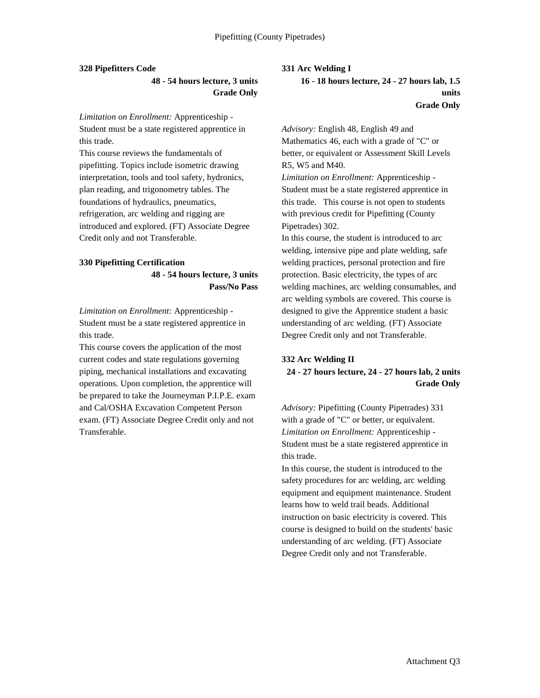#### **328 Pipefitters Code**

**48 - 54 hours lecture, 3 units Grade Only**

*Limitation on Enrollment:* Apprenticeship - Student must be a state registered apprentice in this trade.

This course reviews the fundamentals of pipefitting. Topics include isometric drawing interpretation, tools and tool safety, hydronics, plan reading, and trigonometry tables. The foundations of hydraulics, pneumatics, refrigeration, arc welding and rigging are introduced and explored. (FT) Associate Degree Credit only and not Transferable.

#### **330 Pipefitting Certification**

**48 - 54 hours lecture, 3 units Pass/No Pass**

*Limitation on Enrollment:* Apprenticeship - Student must be a state registered apprentice in this trade.

This course covers the application of the most current codes and state regulations governing piping, mechanical installations and excavating operations. Upon completion, the apprentice will be prepared to take the Journeyman P.I.P.E. exam and Cal/OSHA Excavation Competent Person exam. (FT) Associate Degree Credit only and not Transferable.

**331 Arc Welding I**

**16 - 18 hours lecture, 24 - 27 hours lab, 1.5 units Grade Only**

*Advisory:* English 48, English 49 and Mathematics 46, each with a grade of "C" or better, or equivalent or Assessment Skill Levels R5, W5 and M40.

*Limitation on Enrollment:* Apprenticeship - Student must be a state registered apprentice in this trade. This course is not open to students with previous credit for Pipefitting (County Pipetrades) 302.

In this course, the student is introduced to arc welding, intensive pipe and plate welding, safe welding practices, personal protection and fire protection. Basic electricity, the types of arc welding machines, arc welding consumables, and arc welding symbols are covered. This course is designed to give the Apprentice student a basic understanding of arc welding. (FT) Associate Degree Credit only and not Transferable.

#### **332 Arc Welding II**

### **24 - 27 hours lecture, 24 - 27 hours lab, 2 units Grade Only**

*Advisory:* Pipefitting (County Pipetrades) 331 with a grade of "C" or better, or equivalent. *Limitation on Enrollment:* Apprenticeship - Student must be a state registered apprentice in this trade.

In this course, the student is introduced to the safety procedures for arc welding, arc welding equipment and equipment maintenance. Student learns how to weld trail beads. Additional instruction on basic electricity is covered. This course is designed to build on the students' basic understanding of arc welding. (FT) Associate Degree Credit only and not Transferable.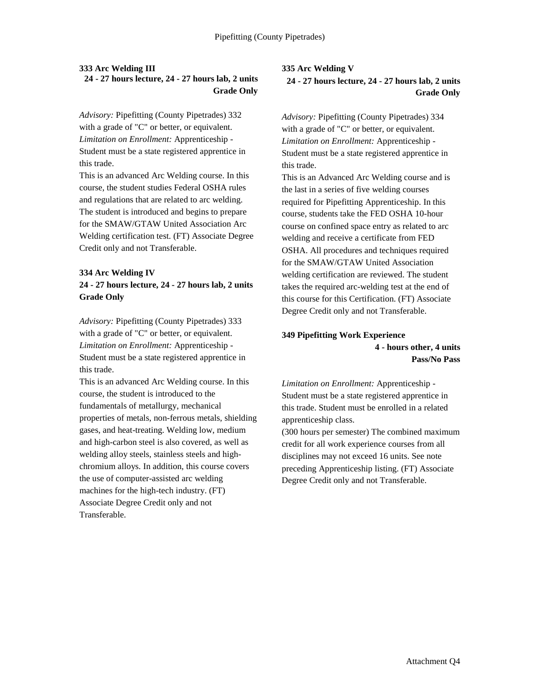### **333 Arc Welding III 24 - 27 hours lecture, 24 - 27 hours lab, 2 units Grade Only**

*Advisory:* Pipefitting (County Pipetrades) 332 with a grade of "C" or better, or equivalent. *Limitation on Enrollment:* Apprenticeship - Student must be a state registered apprentice in this trade.

This is an advanced Arc Welding course. In this course, the student studies Federal OSHA rules and regulations that are related to arc welding. The student is introduced and begins to prepare for the SMAW/GTAW United Association Arc Welding certification test. (FT) Associate Degree Credit only and not Transferable.

#### **334 Arc Welding IV**

**24 - 27 hours lecture, 24 - 27 hours lab, 2 units Grade Only**

*Advisory:* Pipefitting (County Pipetrades) 333 with a grade of "C" or better, or equivalent. *Limitation on Enrollment:* Apprenticeship - Student must be a state registered apprentice in this trade.

This is an advanced Arc Welding course. In this course, the student is introduced to the fundamentals of metallurgy, mechanical properties of metals, non-ferrous metals, shielding gases, and heat-treating. Welding low, medium and high-carbon steel is also covered, as well as welding alloy steels, stainless steels and highchromium alloys. In addition, this course covers the use of computer-assisted arc welding machines for the high-tech industry. (FT) Associate Degree Credit only and not Transferable.

# **335 Arc Welding V**

**24 - 27 hours lecture, 24 - 27 hours lab, 2 units Grade Only**

*Advisory:* Pipefitting (County Pipetrades) 334 with a grade of "C" or better, or equivalent. *Limitation on Enrollment:* Apprenticeship - Student must be a state registered apprentice in this trade.

This is an Advanced Arc Welding course and is the last in a series of five welding courses required for Pipefitting Apprenticeship. In this course, students take the FED OSHA 10-hour course on confined space entry as related to arc welding and receive a certificate from FED OSHA. All procedures and techniques required for the SMAW/GTAW United Association welding certification are reviewed. The student takes the required arc-welding test at the end of this course for this Certification. (FT) Associate Degree Credit only and not Transferable.

### **349 Pipefitting Work Experience 4 - hours other, 4 units Pass/No Pass**

*Limitation on Enrollment:* Apprenticeship - Student must be a state registered apprentice in this trade. Student must be enrolled in a related apprenticeship class.

(300 hours per semester) The combined maximum credit for all work experience courses from all disciplines may not exceed 16 units. See note preceding Apprenticeship listing. (FT) Associate Degree Credit only and not Transferable.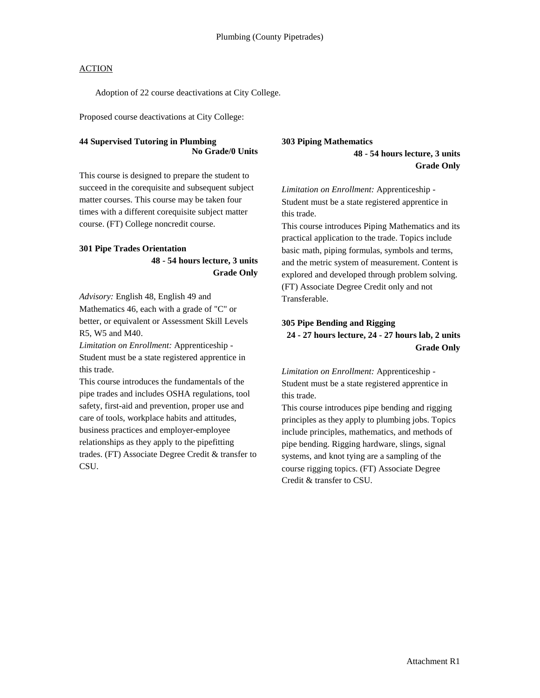Adoption of 22 course deactivations at City College.

Proposed course deactivations at City College:

### **44 Supervised Tutoring in Plumbing No Grade/0 Units**

This course is designed to prepare the student to succeed in the corequisite and subsequent subject matter courses. This course may be taken four times with a different corequisite subject matter course. (FT) College noncredit course.

### **301 Pipe Trades Orientation**

**48 - 54 hours lecture, 3 units Grade Only**

*Advisory:* English 48, English 49 and Mathematics 46, each with a grade of "C" or better, or equivalent or Assessment Skill Levels R5, W5 and M40.

*Limitation on Enrollment:* Apprenticeship - Student must be a state registered apprentice in this trade.

This course introduces the fundamentals of the pipe trades and includes OSHA regulations, tool safety, first-aid and prevention, proper use and care of tools, workplace habits and attitudes, business practices and employer-employee relationships as they apply to the pipefitting trades. (FT) Associate Degree Credit & transfer to CSU.

#### **303 Piping Mathematics**

**48 - 54 hours lecture, 3 units Grade Only**

*Limitation on Enrollment:* Apprenticeship - Student must be a state registered apprentice in this trade.

This course introduces Piping Mathematics and its practical application to the trade. Topics include basic math, piping formulas, symbols and terms, and the metric system of measurement. Content is explored and developed through problem solving. (FT) Associate Degree Credit only and not Transferable.

#### **305 Pipe Bending and Rigging**

**24 - 27 hours lecture, 24 - 27 hours lab, 2 units Grade Only**

*Limitation on Enrollment:* Apprenticeship - Student must be a state registered apprentice in this trade.

This course introduces pipe bending and rigging principles as they apply to plumbing jobs. Topics include principles, mathematics, and methods of pipe bending. Rigging hardware, slings, signal systems, and knot tying are a sampling of the course rigging topics. (FT) Associate Degree Credit & transfer to CSU.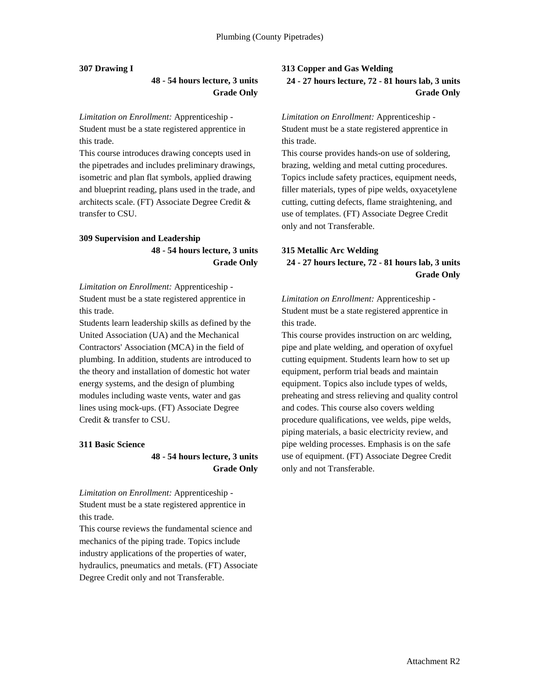#### **307 Drawing I**

### **48 - 54 hours lecture, 3 units Grade Only**

*Limitation on Enrollment:* Apprenticeship - Student must be a state registered apprentice in this trade.

This course introduces drawing concepts used in the pipetrades and includes preliminary drawings, isometric and plan flat symbols, applied drawing and blueprint reading, plans used in the trade, and architects scale. (FT) Associate Degree Credit & transfer to CSU.

### **309 Supervision and Leadership 48 - 54 hours lecture, 3 units Grade Only**

*Limitation on Enrollment:* Apprenticeship - Student must be a state registered apprentice in this trade.

Students learn leadership skills as defined by the United Association (UA) and the Mechanical Contractors' Association (MCA) in the field of plumbing. In addition, students are introduced to the theory and installation of domestic hot water energy systems, and the design of plumbing modules including waste vents, water and gas lines using mock-ups. (FT) Associate Degree Credit & transfer to CSU.

#### **311 Basic Science**

### **48 - 54 hours lecture, 3 units Grade Only**

*Limitation on Enrollment:* Apprenticeship - Student must be a state registered apprentice in this trade.

This course reviews the fundamental science and mechanics of the piping trade. Topics include industry applications of the properties of water, hydraulics, pneumatics and metals. (FT) Associate Degree Credit only and not Transferable.

#### **313 Copper and Gas Welding**

**24 - 27 hours lecture, 72 - 81 hours lab, 3 units Grade Only**

*Limitation on Enrollment:* Apprenticeship - Student must be a state registered apprentice in this trade.

This course provides hands-on use of soldering, brazing, welding and metal cutting procedures. Topics include safety practices, equipment needs, filler materials, types of pipe welds, oxyacetylene cutting, cutting defects, flame straightening, and use of templates. (FT) Associate Degree Credit only and not Transferable.

### **315 Metallic Arc Welding 24 - 27 hours lecture, 72 - 81 hours lab, 3 units Grade Only**

*Limitation on Enrollment:* Apprenticeship - Student must be a state registered apprentice in this trade.

This course provides instruction on arc welding, pipe and plate welding, and operation of oxyfuel cutting equipment. Students learn how to set up equipment, perform trial beads and maintain equipment. Topics also include types of welds, preheating and stress relieving and quality control and codes. This course also covers welding procedure qualifications, vee welds, pipe welds, piping materials, a basic electricity review, and pipe welding processes. Emphasis is on the safe use of equipment. (FT) Associate Degree Credit only and not Transferable.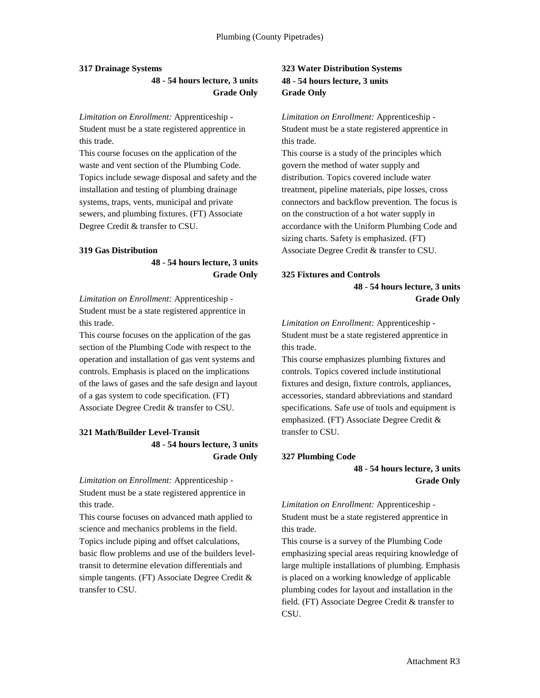#### **317 Drainage Systems**

**48 - 54 hours lecture, 3 units Grade Only**

*Limitation on Enrollment:* Apprenticeship - Student must be a state registered apprentice in this trade.

This course focuses on the application of the waste and vent section of the Plumbing Code. Topics include sewage disposal and safety and the installation and testing of plumbing drainage systems, traps, vents, municipal and private sewers, and plumbing fixtures. (FT) Associate Degree Credit & transfer to CSU.

#### **319 Gas Distribution**

**48 - 54 hours lecture, 3 units Grade Only**

*Limitation on Enrollment:* Apprenticeship - Student must be a state registered apprentice in this trade.

This course focuses on the application of the gas section of the Plumbing Code with respect to the operation and installation of gas vent systems and controls. Emphasis is placed on the implications of the laws of gases and the safe design and layout of a gas system to code specification. (FT) Associate Degree Credit & transfer to CSU.

### **321 Math/Builder Level-Transit 48 - 54 hours lecture, 3 units Grade Only**

*Limitation on Enrollment:* Apprenticeship - Student must be a state registered apprentice in this trade.

This course focuses on advanced math applied to science and mechanics problems in the field. Topics include piping and offset calculations, basic flow problems and use of the builders leveltransit to determine elevation differentials and simple tangents. (FT) Associate Degree Credit & transfer to CSU.

### **323 Water Distribution Systems 48 - 54 hours lecture, 3 units Grade Only**

*Limitation on Enrollment:* Apprenticeship - Student must be a state registered apprentice in this trade.

This course is a study of the principles which govern the method of water supply and distribution. Topics covered include water treatment, pipeline materials, pipe losses, cross connectors and backflow prevention. The focus is on the construction of a hot water supply in accordance with the Uniform Plumbing Code and sizing charts. Safety is emphasized. (FT) Associate Degree Credit & transfer to CSU.

#### **325 Fixtures and Controls**

**48 - 54 hours lecture, 3 units Grade Only**

*Limitation on Enrollment:* Apprenticeship - Student must be a state registered apprentice in this trade.

This course emphasizes plumbing fixtures and controls. Topics covered include institutional fixtures and design, fixture controls, appliances, accessories, standard abbreviations and standard specifications. Safe use of tools and equipment is emphasized. (FT) Associate Degree Credit & transfer to CSU.

#### **327 Plumbing Code**

**48 - 54 hours lecture, 3 units Grade Only**

*Limitation on Enrollment:* Apprenticeship - Student must be a state registered apprentice in this trade.

This course is a survey of the Plumbing Code emphasizing special areas requiring knowledge of large multiple installations of plumbing. Emphasis is placed on a working knowledge of applicable plumbing codes for layout and installation in the field. (FT) Associate Degree Credit & transfer to CSU.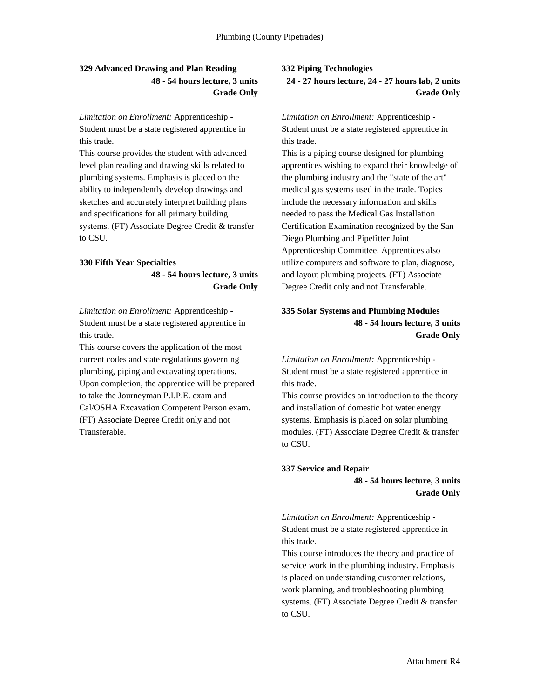### **329 Advanced Drawing and Plan Reading 48 - 54 hours lecture, 3 units Grade Only**

*Limitation on Enrollment:* Apprenticeship - Student must be a state registered apprentice in this trade.

This course provides the student with advanced level plan reading and drawing skills related to plumbing systems. Emphasis is placed on the ability to independently develop drawings and sketches and accurately interpret building plans and specifications for all primary building systems. (FT) Associate Degree Credit & transfer to CSU.

### **330 Fifth Year Specialties**

**48 - 54 hours lecture, 3 units Grade Only**

*Limitation on Enrollment:* Apprenticeship - Student must be a state registered apprentice in this trade.

This course covers the application of the most current codes and state regulations governing plumbing, piping and excavating operations. Upon completion, the apprentice will be prepared to take the Journeyman P.I.P.E. exam and Cal/OSHA Excavation Competent Person exam. (FT) Associate Degree Credit only and not Transferable.

#### **332 Piping Technologies**

**24 - 27 hours lecture, 24 - 27 hours lab, 2 units Grade Only**

*Limitation on Enrollment:* Apprenticeship - Student must be a state registered apprentice in this trade.

This is a piping course designed for plumbing apprentices wishing to expand their knowledge of the plumbing industry and the "state of the art" medical gas systems used in the trade. Topics include the necessary information and skills needed to pass the Medical Gas Installation Certification Examination recognized by the San Diego Plumbing and Pipefitter Joint Apprenticeship Committee. Apprentices also utilize computers and software to plan, diagnose, and layout plumbing projects. (FT) Associate Degree Credit only and not Transferable.

### **335 Solar Systems and Plumbing Modules 48 - 54 hours lecture, 3 units Grade Only**

*Limitation on Enrollment:* Apprenticeship - Student must be a state registered apprentice in this trade.

This course provides an introduction to the theory and installation of domestic hot water energy systems. Emphasis is placed on solar plumbing modules. (FT) Associate Degree Credit & transfer to CSU.

#### **337 Service and Repair**

**48 - 54 hours lecture, 3 units Grade Only**

*Limitation on Enrollment:* Apprenticeship - Student must be a state registered apprentice in this trade.

This course introduces the theory and practice of service work in the plumbing industry. Emphasis is placed on understanding customer relations, work planning, and troubleshooting plumbing systems. (FT) Associate Degree Credit & transfer to CSU.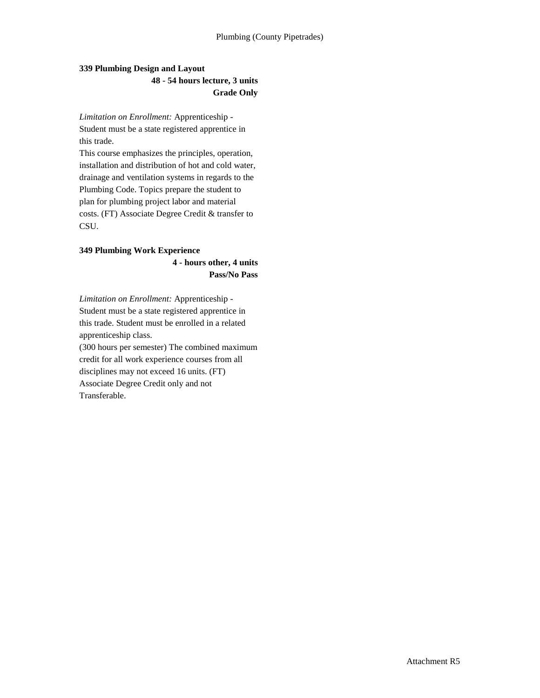### **339 Plumbing Design and Layout 48 - 54 hours lecture, 3 units Grade Only**

*Limitation on Enrollment:* Apprenticeship - Student must be a state registered apprentice in this trade.

This course emphasizes the principles, operation, installation and distribution of hot and cold water, drainage and ventilation systems in regards to the Plumbing Code. Topics prepare the student to plan for plumbing project labor and material costs. (FT) Associate Degree Credit & transfer to CSU.

### **349 Plumbing Work Experience**

**4 - hours other, 4 units Pass/No Pass**

*Limitation on Enrollment:* Apprenticeship - Student must be a state registered apprentice in this trade. Student must be enrolled in a related apprenticeship class.

(300 hours per semester) The combined maximum credit for all work experience courses from all disciplines may not exceed 16 units. (FT) Associate Degree Credit only and not Transferable.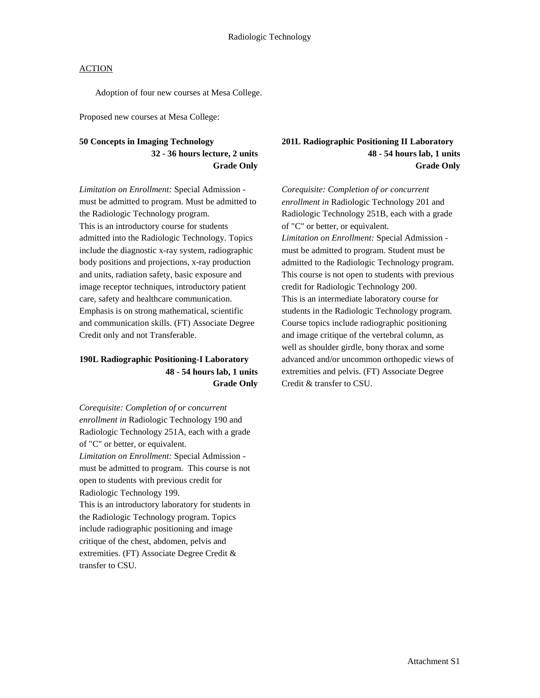Adoption of four new courses at Mesa College.

Proposed new courses at Mesa College:

### **50 Concepts in Imaging Technology 32 - 36 hours lecture, 2 units Grade Only**

*Limitation on Enrollment:* Special Admission must be admitted to program. Must be admitted to the Radiologic Technology program. This is an introductory course for students admitted into the Radiologic Technology. Topics include the diagnostic x-ray system, radiographic body positions and projections, x-ray production and units, radiation safety, basic exposure and image receptor techniques, introductory patient care, safety and healthcare communication. Emphasis is on strong mathematical, scientific and communication skills. (FT) Associate Degree Credit only and not Transferable.

### **190L Radiographic Positioning-I Laboratory 48 - 54 hours lab, 1 units Grade Only**

*Corequisite: Completion of or concurrent enrollment in* Radiologic Technology 190 and Radiologic Technology 251A, each with a grade of "C" or better, or equivalent. *Limitation on Enrollment:* Special Admission must be admitted to program. This course is not open to students with previous credit for Radiologic Technology 199. This is an introductory laboratory for students in the Radiologic Technology program. Topics include radiographic positioning and image critique of the chest, abdomen, pelvis and extremities. (FT) Associate Degree Credit & transfer to CSU.

### **201L Radiographic Positioning II Laboratory 48 - 54 hours lab, 1 units Grade Only**

*Corequisite: Completion of or concurrent enrollment in* Radiologic Technology 201 and Radiologic Technology 251B, each with a grade of "C" or better, or equivalent. *Limitation on Enrollment:* Special Admission must be admitted to program. Student must be admitted to the Radiologic Technology program. This course is not open to students with previous credit for Radiologic Technology 200. This is an intermediate laboratory course for students in the Radiologic Technology program. Course topics include radiographic positioning and image critique of the vertebral column, as well as shoulder girdle, bony thorax and some advanced and/or uncommon orthopedic views of extremities and pelvis. (FT) Associate Degree Credit & transfer to CSU.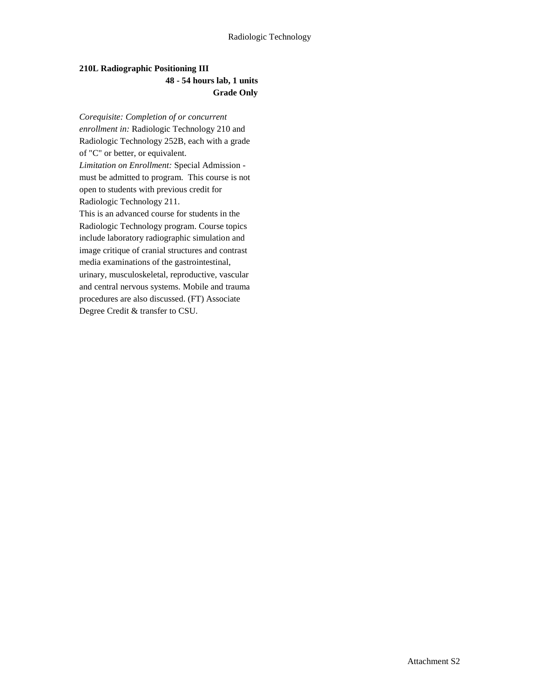### **210L Radiographic Positioning III 48 - 54 hours lab, 1 units Grade Only**

*Corequisite: Completion of or concurrent enrollment in:* Radiologic Technology 210 and Radiologic Technology 252B, each with a grade of "C" or better, or equivalent. *Limitation on Enrollment:* Special Admission must be admitted to program. This course is not open to students with previous credit for Radiologic Technology 211. This is an advanced course for students in the Radiologic Technology program. Course topics include laboratory radiographic simulation and image critique of cranial structures and contrast media examinations of the gastrointestinal, urinary, musculoskeletal, reproductive, vascular and central nervous systems. Mobile and trauma procedures are also discussed. (FT) Associate Degree Credit & transfer to CSU.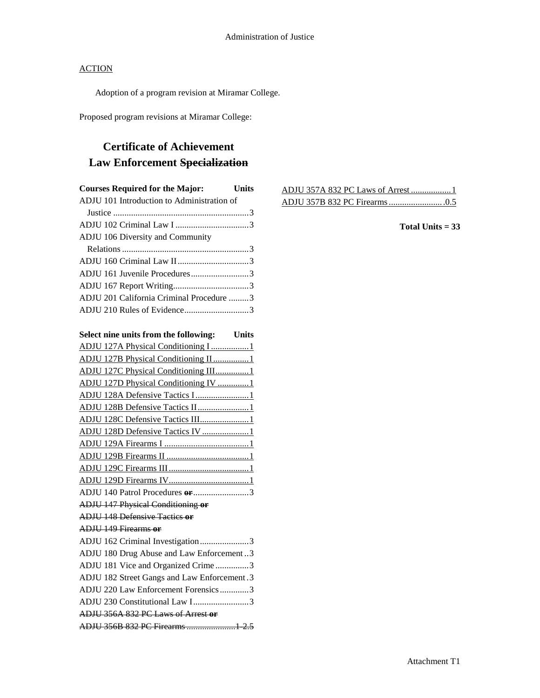Adoption of a program revision at Miramar College.

Proposed program revisions at Miramar College:

# **Certificate of Achievement Law Enforcement Specialization**

| <b>Courses Required for the Major:</b> Units |  |
|----------------------------------------------|--|
| ADJU 101 Introduction to Administration of   |  |
|                                              |  |
|                                              |  |
| <b>ADJU 106 Diversity and Community</b>      |  |
|                                              |  |
|                                              |  |
| ADJU 161 Juvenile Procedures3                |  |
|                                              |  |
| ADJU 201 California Criminal Procedure 3     |  |
| ADJU 210 Rules of Evidence3                  |  |

| Select nine units from the following: Units |
|---------------------------------------------|
| ADJU 127A Physical Conditioning I 1         |
| ADJU 127B Physical Conditioning II 1        |
| ADJU 127C Physical Conditioning III1        |
| ADJU 127D Physical Conditioning IV 1        |
| ADJU 128A Defensive Tactics I1              |
| ADJU 128B Defensive Tactics II1             |
| ADJU 128C Defensive Tactics III1            |
| ADJU 128D Defensive Tactics IV 1            |
|                                             |
|                                             |
|                                             |
|                                             |
| ADJU 140 Patrol Procedures or 3             |
| <b>ADJU 147 Physical Conditioning or</b>    |
| <b>ADJU 148 Defensive Tactics or</b>        |
| <b>ADIU 149 Firearms or</b>                 |
| ADJU 162 Criminal Investigation3            |
| ADJU 180 Drug Abuse and Law Enforcement3    |
| ADJU 181 Vice and Organized Crime 3         |
| ADJU 182 Street Gangs and Law Enforcement.3 |
| ADJU 220 Law Enforcement Forensics3         |
| ADJU 230 Constitutional Law I3              |
| ADJU 356A 832 PC Laws of Arrest or          |
| ADJU 356B 832 PC Firearms  1 2.5            |

**Total Units = 33**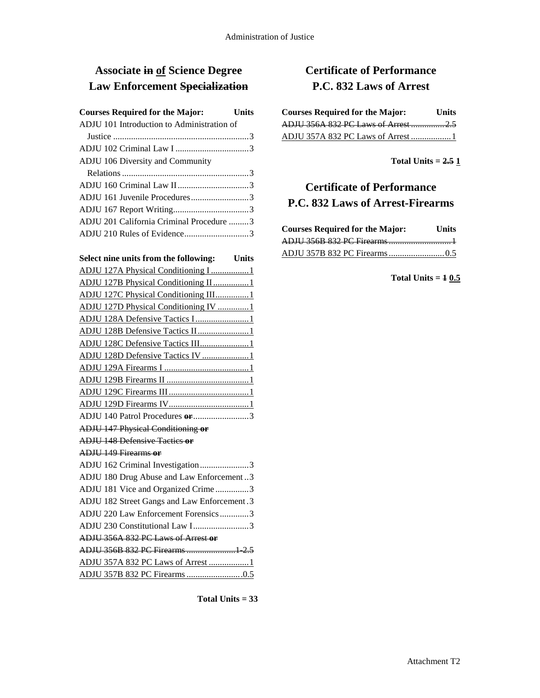## **Associate in of Science Degree Law Enforcement Specialization**

| <b>Courses Required for the Major:</b><br><b>Units</b> |  |
|--------------------------------------------------------|--|
| ADJU 101 Introduction to Administration of             |  |
|                                                        |  |
|                                                        |  |
| ADJU 106 Diversity and Community                       |  |
|                                                        |  |
|                                                        |  |
| ADJU 161 Juvenile Procedures3                          |  |
|                                                        |  |
| ADJU 201 California Criminal Procedure 3               |  |
|                                                        |  |

| Select nine units from the following: Units |
|---------------------------------------------|
| ADJU 127A Physical Conditioning I 1         |
| ADJU 127B Physical Conditioning II 1        |
| ADJU 127C Physical Conditioning III1        |
| ADJU 127D Physical Conditioning IV 1        |
| ADJU 128A Defensive Tactics I 1             |
| ADJU 128B Defensive Tactics II1             |
| ADJU 128C Defensive Tactics III1            |
| ADJU 128D Defensive Tactics IV 1            |
|                                             |
|                                             |
|                                             |
|                                             |
| ADJU 140 Patrol Procedures or 3             |
| <b>ADJU 147 Physical Conditioning or</b>    |
| <b>ADJU 148 Defensive Tactics or</b>        |
| <b>ADJU 149 Firearms or</b>                 |
| ADJU 162 Criminal Investigation3            |
| ADJU 180 Drug Abuse and Law Enforcement3    |
| ADJU 181 Vice and Organized Crime 3         |
| ADJU 182 Street Gangs and Law Enforcement.3 |
| ADJU 220 Law Enforcement Forensics3         |
| ADJU 230 Constitutional Law I3              |
| ADJU 356A 832 PC Laws of Arrest or          |
| ADJU 356B 832 PC Firearms  1 2.5            |
| ADJU 357A 832 PC Laws of Arrest 1           |
|                                             |

**Total Units = 33**

# **Certificate of Performance P.C. 832 Laws of Arrest**

| <b>Courses Required for the Major:</b> | <b>Units</b> |
|----------------------------------------|--------------|
| ADJU 356A 832 PC Laws of Arrest  2.5   |              |
| ADJU 357A 832 PC Laws of Arrest  1     |              |

**Total Units = 2.5 1**

# **Certificate of Performance P.C. 832 Laws of Arrest-Firearms**

| <b>Courses Required for the Major:</b> | Units |
|----------------------------------------|-------|
|                                        |       |
|                                        |       |

**Total Units = 1 0.5**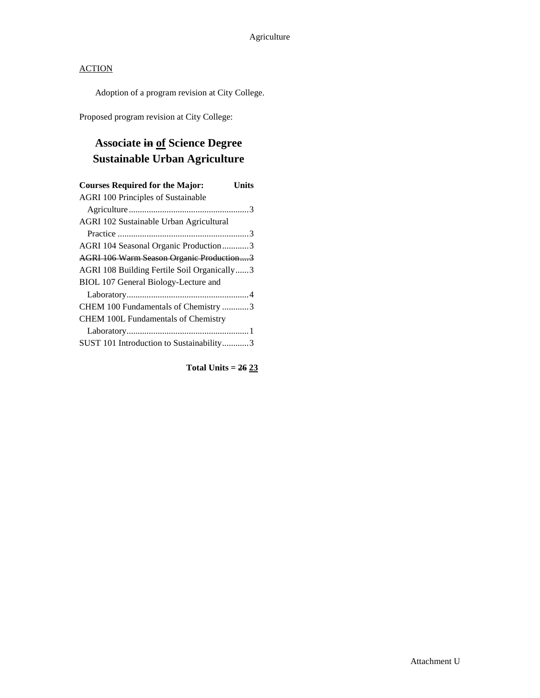Adoption of a program revision at City College.

Proposed program revision at City College:

# **Associate in of Science Degree Sustainable Urban Agriculture**

| <b>Courses Required for the Major:</b><br>Units |
|-------------------------------------------------|
| <b>AGRI 100 Principles of Sustainable</b>       |
|                                                 |
| AGRI 102 Sustainable Urban Agricultural         |
|                                                 |
| AGRI 104 Seasonal Organic Production3           |
| AGRI 106 Warm Season Organic Production3        |
| AGRI 108 Building Fertile Soil Organically3     |
| BIOL 107 General Biology-Lecture and            |
|                                                 |
| CHEM 100 Fundamentals of Chemistry 3            |
| <b>CHEM 100L Fundamentals of Chemistry</b>      |
|                                                 |
| SUST 101 Introduction to Sustainability3        |

**Total Units = 26 23**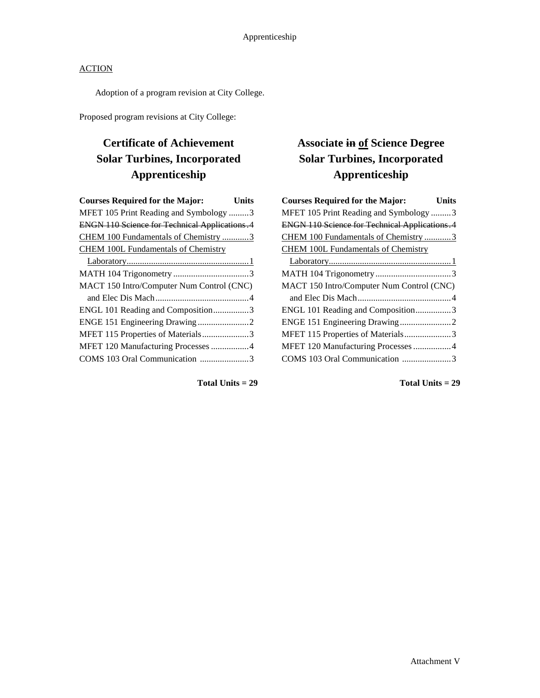Adoption of a program revision at City College.

Proposed program revisions at City College:

# **Certificate of Achievement Solar Turbines, Incorporated Apprenticeship**

| <b>Courses Required for the Major:</b>               | Units |
|------------------------------------------------------|-------|
| MFET 105 Print Reading and Symbology 3               |       |
| <b>ENGN 110 Science for Technical Applications.4</b> |       |
| CHEM 100 Fundamentals of Chemistry 3                 |       |
| <b>CHEM 100L Fundamentals of Chemistry</b>           |       |
|                                                      |       |
|                                                      |       |
| MACT 150 Intro/Computer Num Control (CNC)            |       |
|                                                      |       |
| ENGL 101 Reading and Composition3                    |       |
|                                                      |       |
| MFET 115 Properties of Materials3                    |       |
| MFET 120 Manufacturing Processes 4                   |       |
| COMS 103 Oral Communication 3                        |       |
|                                                      |       |

#### **Total Units = 29**

# **Associate in of Science Degree Solar Turbines, Incorporated Apprenticeship**

| <b>Courses Required for the Major:</b><br><b>Units</b> |
|--------------------------------------------------------|
| MFET 105 Print Reading and Symbology 3                 |
| <b>ENGN 110 Science for Technical Applications. 4</b>  |
| CHEM 100 Fundamentals of Chemistry 3                   |
| <b>CHEM 100L Fundamentals of Chemistry</b>             |
|                                                        |
|                                                        |
| MACT 150 Intro/Computer Num Control (CNC)              |
|                                                        |
| ENGL 101 Reading and Composition3                      |
|                                                        |
| MFET 115 Properties of Materials3                      |
| MFET 120 Manufacturing Processes  4                    |
| COMS 103 Oral Communication 3                          |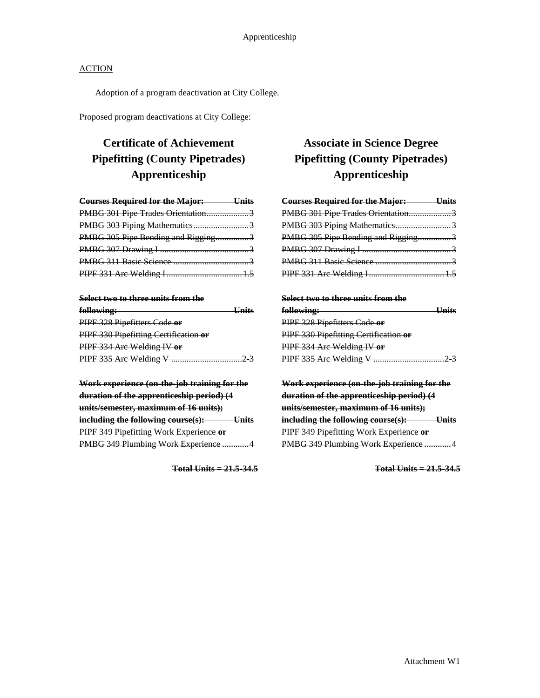Adoption of a program deactivation at City College.

Proposed program deactivations at City College:

# **Certificate of Achievement Pipefitting (County Pipetrades) Apprenticeship**

| <b>Courses Required for the Major:</b> Units |  |
|----------------------------------------------|--|
| PMBG 301 Pipe Trades Orientation3            |  |
| PMBG 303 Piping Mathematics3                 |  |
| PMBG 305 Pipe Bending and Rigging3           |  |
|                                              |  |
|                                              |  |
|                                              |  |

#### **Select two to three units from the**

| following:                            | $\mathbf{I}$ Inita |
|---------------------------------------|--------------------|
| PIPF 328 Pipefitters Code or          |                    |
| PIPF 330 Pipefitting Certification or |                    |
| PIPF 334 Are Welding IV or            |                    |
| PIPF 335 Are Welding V.               |                    |

**Work experience (on-the-job training for the duration of the apprenticeship period) (4 units/semester, maximum of 16 units); including the following course(s): Units** PIPF 349 Pipefitting Work Experience **or** PMBG 349 Plumbing Work Experience ............4

**Total Units = 21.5-34.5**

## **Associate in Science Degree Pipefitting (County Pipetrades) Apprenticeship**

| <b>Courses Required for the Major:</b> Units |  |
|----------------------------------------------|--|
| PMBG 301 Pipe Trades Orientation3            |  |
| PMBG 303 Piping Mathematics3                 |  |
| PMBG 305 Pipe Bending and Rigging3           |  |
|                                              |  |
|                                              |  |
|                                              |  |

#### **Select two to three units from the**

| following:                            | Units |
|---------------------------------------|-------|
| PIPF 328 Pipefitters Code or          |       |
| PIPF 330 Pipefitting Certification or |       |
| PIPF 334 Arc Welding IV or            |       |
| PIPF 335 Are Welding V.               |       |

**Work experience (on-the-job training for the duration of the apprenticeship period) (4 units/semester, maximum of 16 units); including the following course(s): Units** PIPF 349 Pipefitting Work Experience **or** PMBG 349 Plumbing Work Experience ............4

**Total Units = 21.5-34.5**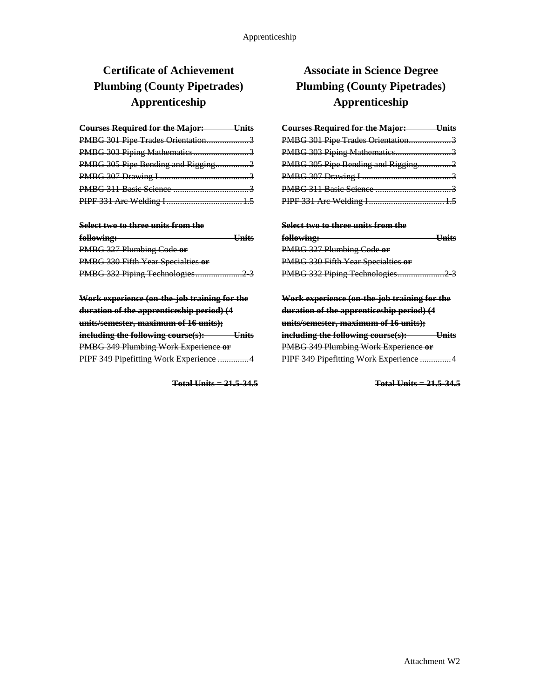# **Certificate of Achievement Plumbing (County Pipetrades) Apprenticeship**

| <b>Courses Required for the Major:</b> Units |  |
|----------------------------------------------|--|
| PMBG 301 Pipe Trades Orientation3            |  |
| PMBG 303 Piping Mathematics3                 |  |
| PMBG 305 Pipe Bending and Rigging2           |  |
|                                              |  |
|                                              |  |
|                                              |  |

#### **Select two to three units from the**

| following:                         | <b>Unite</b> |
|------------------------------------|--------------|
| PMBG 327 Plumbing Code or          |              |
| PMBG 330 Fifth Year Specialties or |              |
|                                    |              |

**Work experience (on-the-job training for the duration of the apprenticeship period) (4 units/semester, maximum of 16 units); including the following course(s): Units** PMBG 349 Plumbing Work Experience **or** PIPF 349 Pipefitting Work Experience ..............4

**Total Units = 21.5-34.5**

## **Associate in Science Degree Plumbing (County Pipetrades) Apprenticeship**

| <b>Courses Required for the Major: Units</b> |  |
|----------------------------------------------|--|
| PMBG 301 Pipe Trades Orientation3            |  |
| PMBG 303 Piping Mathematics3                 |  |
| PMBG 305 Pipe Bending and Rigging2           |  |
|                                              |  |
|                                              |  |
|                                              |  |

| Select two to three units from the       |        |
|------------------------------------------|--------|
| following:                               | LInite |
| PMBG 327 Plumbing Code or                |        |
| PMBG 330 Fifth Year Specialties or       |        |
| PMBG 332 Piping Technologies<br>$\sim$ 2 |        |

**Work experience (on-the-job training for the duration of the apprenticeship period) (4 units/semester, maximum of 16 units); including the following course(s): Units** PMBG 349 Plumbing Work Experience **or** PIPF 349 Pipefitting Work Experience ..............4

**Total Units = 21.5-34.5**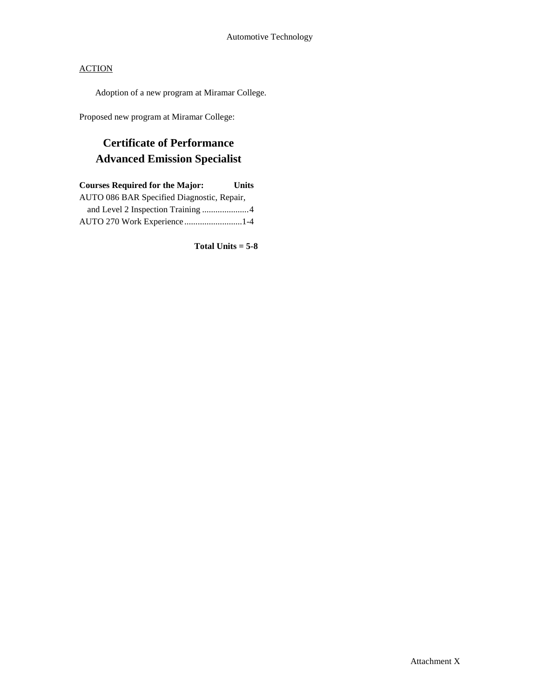Adoption of a new program at Miramar College.

Proposed new program at Miramar College:

# **Certificate of Performance Advanced Emission Specialist**

| <b>Courses Required for the Major:</b>     | <b>Units</b> |
|--------------------------------------------|--------------|
| AUTO 086 BAR Specified Diagnostic, Repair, |              |
| and Level 2 Inspection Training 4          |              |
| AUTO 270 Work Experience 1-4               |              |

**Total Units = 5-8**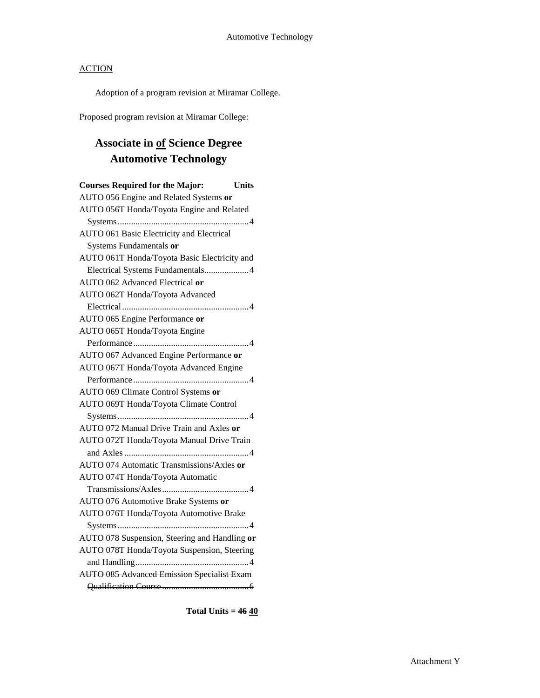Adoption of a program revision at Miramar College.

Proposed program revision at Miramar College:

# **Associate in of Science Degree Automotive Technology**

| <b>Courses Required for the Major:</b>            | <b>Units</b> |
|---------------------------------------------------|--------------|
| AUTO 056 Engine and Related Systems or            |              |
| AUTO 056T Honda/Toyota Engine and Related         |              |
|                                                   |              |
| AUTO 061 Basic Electricity and Electrical         |              |
| Systems Fundamentals or                           |              |
| AUTO 061T Honda/Toyota Basic Electricity and      |              |
| Electrical Systems Fundamentals4                  |              |
| AUTO 062 Advanced Electrical or                   |              |
| AUTO 062T Honda/Toyota Advanced                   |              |
|                                                   |              |
| AUTO 065 Engine Performance or                    |              |
| AUTO 065T Honda/Toyota Engine                     |              |
|                                                   |              |
| AUTO 067 Advanced Engine Performance or           |              |
| AUTO 067T Honda/Toyota Advanced Engine            |              |
|                                                   |              |
| AUTO 069 Climate Control Systems or               |              |
| AUTO 069T Honda/Toyota Climate Control            |              |
|                                                   |              |
| AUTO 072 Manual Drive Train and Axles or          |              |
| AUTO 072T Honda/Toyota Manual Drive Train         |              |
|                                                   |              |
| AUTO 074 Automatic Transmissions/Axles or         |              |
| AUTO 074T Honda/Toyota Automatic                  |              |
|                                                   |              |
| AUTO 076 Automotive Brake Systems or              |              |
| AUTO 076T Honda/Toyota Automotive Brake           |              |
|                                                   |              |
| AUTO 078 Suspension, Steering and Handling or     |              |
| AUTO 078T Honda/Toyota Suspension, Steering       |              |
|                                                   |              |
| <b>AUTO 085 Advanced Emission Specialist Exam</b> |              |
|                                                   |              |

**Total Units = 46 40**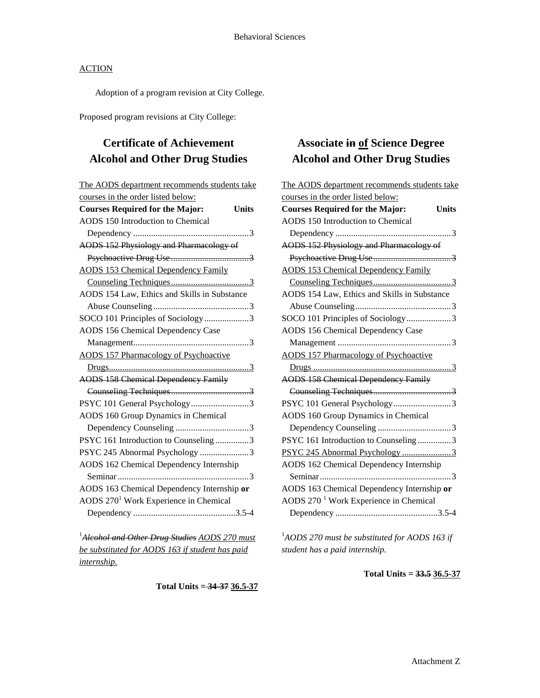Adoption of a program revision at City College.

Proposed program revisions at City College:

# **Certificate of Achievement Alcohol and Other Drug Studies**

| The AODS department recommends students take           |
|--------------------------------------------------------|
| courses in the order listed below:                     |
| <b>Courses Required for the Major:</b><br><b>Units</b> |
| AODS 150 Introduction to Chemical                      |
|                                                        |
| AODS 152 Physiology and Pharmacology of                |
|                                                        |
| <b>AODS 153 Chemical Dependency Family</b>             |
|                                                        |
| AODS 154 Law, Ethics and Skills in Substance           |
|                                                        |
| SOCO 101 Principles of Sociology3                      |
| <b>AODS 156 Chemical Dependency Case</b>               |
|                                                        |
| <b>AODS 157 Pharmacology of Psychoactive</b>           |
|                                                        |
| <b>AODS 158 Chemical Dependency Family</b>             |
|                                                        |
| PSYC 101 General Psychology3                           |
| AODS 160 Group Dynamics in Chemical                    |
|                                                        |
| PSYC 161 Introduction to Counseling 3                  |
| PSYC 245 Abnormal Psychology 3                         |
| AODS 162 Chemical Dependency Internship                |
|                                                        |
| AODS 163 Chemical Dependency Internship or             |
| AODS 270 <sup>1</sup> Work Experience in Chemical      |
|                                                        |
|                                                        |

1 *Alcohol and Other Drug Studies AODS 270 must be substituted for AODS 163 if student has paid internship.*

**Total Units = 34-37 36.5-37**

## **Associate in of Science Degree Alcohol and Other Drug Studies**

| The AODS department recommends students take           |
|--------------------------------------------------------|
| courses in the order listed below:                     |
| <b>Courses Required for the Major:</b><br><b>Units</b> |
| AODS 150 Introduction to Chemical                      |
|                                                        |
| AODS 152 Physiology and Pharmacology of                |
|                                                        |
| <b>AODS 153 Chemical Dependency Family</b>             |
|                                                        |
| AODS 154 Law, Ethics and Skills in Substance           |
|                                                        |
| SOCO 101 Principles of Sociology3                      |
| <b>AODS 156 Chemical Dependency Case</b>               |
|                                                        |
| <b>AODS 157 Pharmacology of Psychoactive</b>           |
|                                                        |
| <b>AODS 158 Chemical Dependency Family</b>             |
|                                                        |
| PSYC 101 General Psychology3                           |
| AODS 160 Group Dynamics in Chemical                    |
|                                                        |
| PSYC 161 Introduction to Counseling 3                  |
| PSYC 245 Abnormal Psychology 3                         |
| AODS 162 Chemical Dependency Internship                |
|                                                        |
| AODS 163 Chemical Dependency Internship or             |
| AODS 270 <sup>1</sup> Work Experience in Chemical      |
|                                                        |

1 *AODS 270 must be substituted for AODS 163 if student has a paid internship.*

**Total Units = 33.5 36.5-37**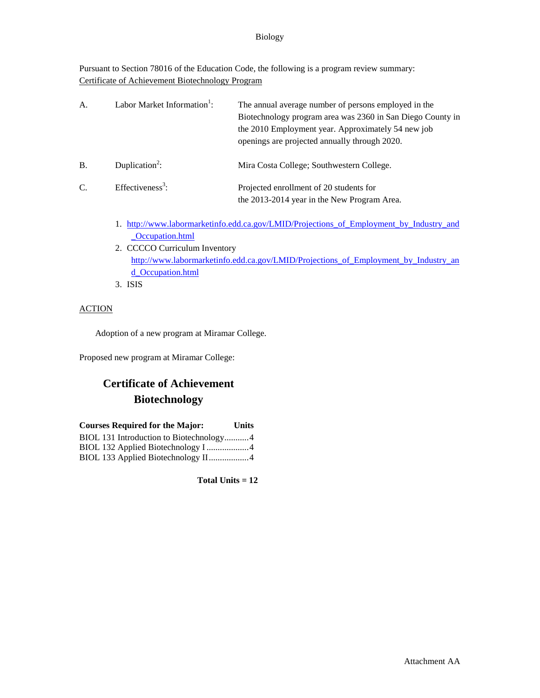#### Biology

Pursuant to Section 78016 of the Education Code, the following is a program review summary: Certificate of Achievement Biotechnology Program

| A.        | Labor Market Information <sup>1</sup> : | The annual average number of persons employed in the<br>Biotechnology program area was 2360 in San Diego County in<br>the 2010 Employment year. Approximately 54 new job<br>openings are projected annually through 2020. |
|-----------|-----------------------------------------|---------------------------------------------------------------------------------------------------------------------------------------------------------------------------------------------------------------------------|
| <b>B.</b> | Duplication <sup>2</sup> :              | Mira Costa College; Southwestern College.                                                                                                                                                                                 |
| C.        | Effectiveness <sup>3</sup> :            | Projected enrollment of 20 students for<br>the 2013-2014 year in the New Program Area.                                                                                                                                    |
|           |                                         | http://www.labormarketinfo.edd.ca.gov/LMID/Projections.of Employment by Industry and                                                                                                                                      |

- 1. http://www.labormarketinfo.edd.ca.gov/LMID/Projections of Employment [\\_Occupation.html](http://www.labormarketinfo.edd.ca.gov/LMID/Projections_of_Employment_by_Industry_and_Occupation.html)
- 2. CCCCO Curriculum Inventory [http://www.labormarketinfo.edd.ca.gov/LMID/Projections\\_of\\_Employment\\_by\\_Industry\\_an](http://www.labormarketinfo.edd.ca.gov/LMID/Projections_of_Employment_by_Industry_and_Occupation.html) [d\\_Occupation.html](http://www.labormarketinfo.edd.ca.gov/LMID/Projections_of_Employment_by_Industry_and_Occupation.html)
- 3. ISIS

#### **ACTION**

Adoption of a new program at Miramar College.

Proposed new program at Miramar College:

## **Certificate of Achievement Biotechnology**

| <b>Courses Required for the Major:</b>  | <b>Units</b> |
|-----------------------------------------|--------------|
| BIOL 131 Introduction to Biotechnology4 |              |
|                                         |              |
| BIOL 133 Applied Biotechnology II4      |              |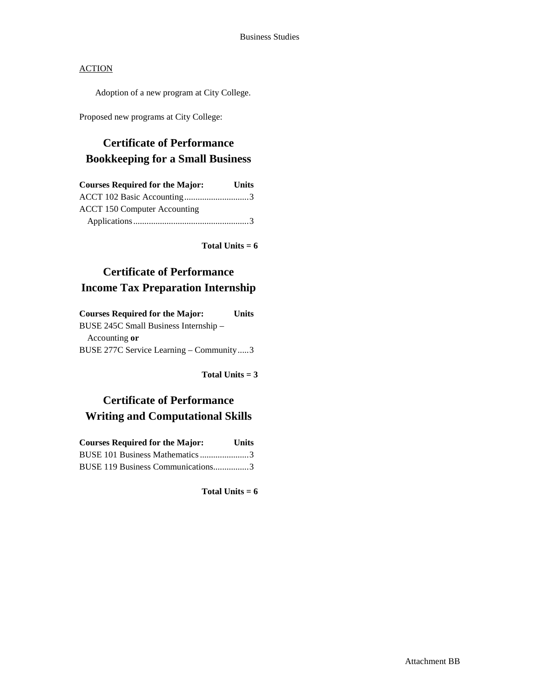Adoption of a new program at City College.

Proposed new programs at City College:

## **Certificate of Performance Bookkeeping for a Small Business**

| <b>Courses Required for the Major:</b> | <b>Units</b> |
|----------------------------------------|--------------|
|                                        |              |
| <b>ACCT 150 Computer Accounting</b>    |              |
|                                        |              |

**Total Units = 6**

## **Certificate of Performance Income Tax Preparation Internship**

| <b>Courses Required for the Major:</b>    | <b>Units</b> |
|-------------------------------------------|--------------|
| BUSE 245C Small Business Internship -     |              |
| Accounting or                             |              |
| BUSE 277C Service Learning - Community  3 |              |

**Total Units = 3**

# **Certificate of Performance Writing and Computational Skills**

| <b>Courses Required for the Major:</b> | <b>Units</b> |
|----------------------------------------|--------------|
| BUSE 101 Business Mathematics 3        |              |
| BUSE 119 Business Communications3      |              |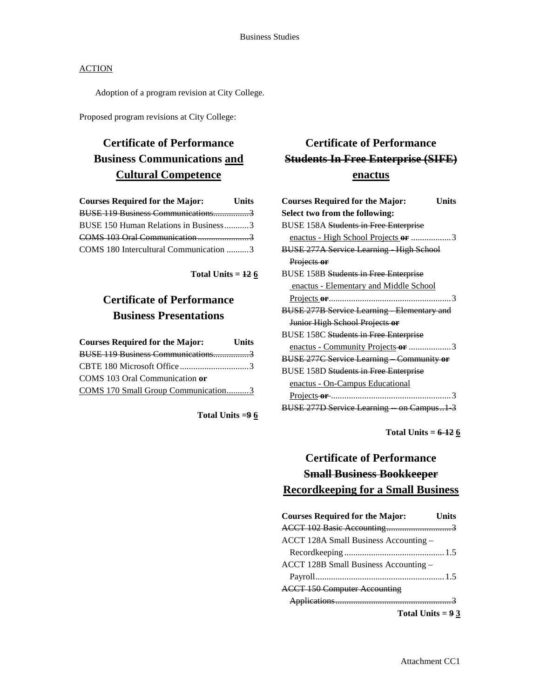Adoption of a program revision at City College.

Proposed program revisions at City College:

# **Certificate of Performance Business Communications and Cultural Competence**

| <b>Courses Required for the Major:</b> | <b>Units</b> |
|----------------------------------------|--------------|
| BUSE 119 Business Communications3      |              |
| BUSE 150 Human Relations in Business3  |              |
|                                        |              |
| COMS 180 Intercultural Communication 3 |              |

**Total Units = 12 6**

### **Certificate of Performance Business Presentations**

| <b>Courses Required for the Major:</b> | <b>Units</b> |
|----------------------------------------|--------------|
| BUSE 119 Business Communications3      |              |
|                                        |              |
| COMS 103 Oral Communication or         |              |
| COMS 170 Small Group Communication3    |              |

**Total Units =9 6**

# **Certificate of Performance Students In Free Enterprise (SIFE) enactus**

| <b>Courses Required for the Major:</b>           | Units |
|--------------------------------------------------|-------|
| Select two from the following:                   |       |
| <b>BUSE 158A Students in Free Enterprise</b>     |       |
| enactus - High School Projects or 3              |       |
| <b>BUSE 277A Service Learning High School</b>    |       |
| Projects or                                      |       |
| <b>BUSE 158B Students in Free Enterprise</b>     |       |
| enactus - Elementary and Middle School           |       |
|                                                  |       |
| <b>BUSE 277B Service Learning Elementary and</b> |       |
| Junior High School Projects or                   |       |
| <b>BUSE 158C Students in Free Enterprise</b>     |       |
| enactus - Community Projects-or 3                |       |
| <b>BUSE 277C Service Learning Community or</b>   |       |
| <b>BUSE 158D Students in Free Enterprise</b>     |       |
| <u>enactus - On-Campus Educational</u>           |       |
|                                                  |       |
| BUSE 277D Service Learning on Campus1 3          |       |
|                                                  |       |

**Total Units = 6-12 6**

## **Certificate of Performance Small Business Bookkeeper Recordkeeping for a Small Business**

| <b>Courses Required for the Major:</b> | Units |
|----------------------------------------|-------|
|                                        |       |
| ACCT 128A Small Business Accounting -  |       |
|                                        |       |
| ACCT 128B Small Business Accounting -  |       |
|                                        |       |
| <b>ACCT 150 Computer Accounting</b>    |       |
|                                        |       |
| Total Units = $9\frac{3}{5}$           |       |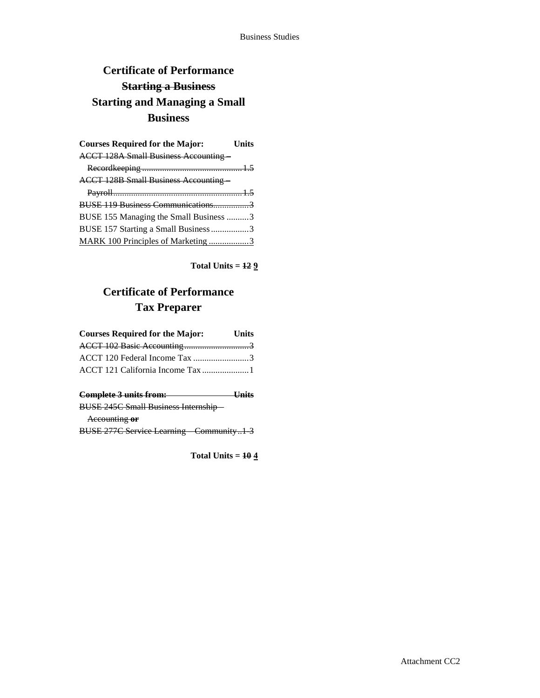# **Certificate of Performance Starting a Business Starting and Managing a Small Business**

| <b>Courses Required for the Major:</b>       | <b>Units</b> |
|----------------------------------------------|--------------|
| <b>ACCT 128A Small Business Accounting-</b>  |              |
|                                              |              |
| <b>ACCT 128B Small Business Accounting -</b> |              |
|                                              |              |
|                                              |              |
| BUSE 155 Managing the Small Business 3       |              |
| BUSE 157 Starting a Small Business 3         |              |
| MARK 100 Principles of Marketing 3           |              |

**Total Units = 12 9**

# **Certificate of Performance Tax Preparer**

| <b>Courses Required for the Major:</b>  | Units      |
|-----------------------------------------|------------|
|                                         |            |
| ACCT 120 Federal Income Tax 3           |            |
| ACCT 121 California Income Tax 1        |            |
| $Ccomn$ $\lambda$ $\sim$ $2emn$ ; $\mu$ | $II - 34a$ |

| <del>Complete 3 units from:</del>              |  |
|------------------------------------------------|--|
| <b>BUSE 245C Small Business Internship-</b>    |  |
| Accounting or                                  |  |
| <b>BUSE 277C Service Learning Community1 3</b> |  |

**Total Units = 10 4**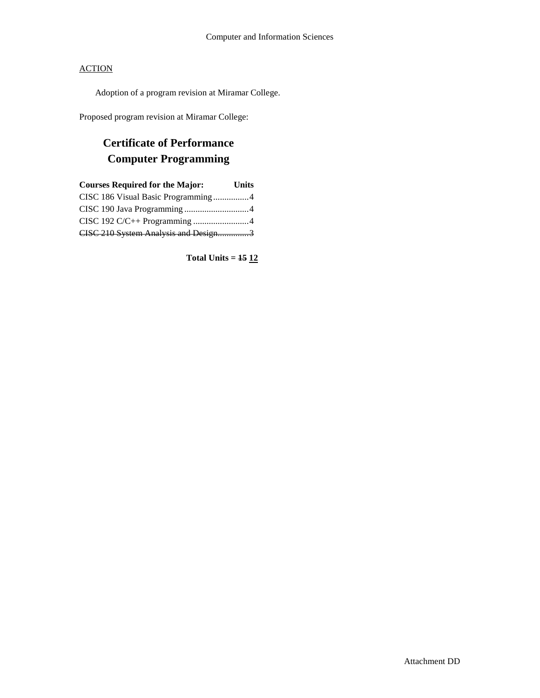Adoption of a program revision at Miramar College.

Proposed program revision at Miramar College:

# **Certificate of Performance Computer Programming**

| <b>Courses Required for the Major:</b> | <b>Units</b> |
|----------------------------------------|--------------|
| CISC 186 Visual Basic Programming4     |              |
|                                        |              |
| CISC 192 C/C++ Programming 4           |              |
| CISC 210 System Analysis and Design3   |              |
|                                        |              |

**Total Units = 15 12**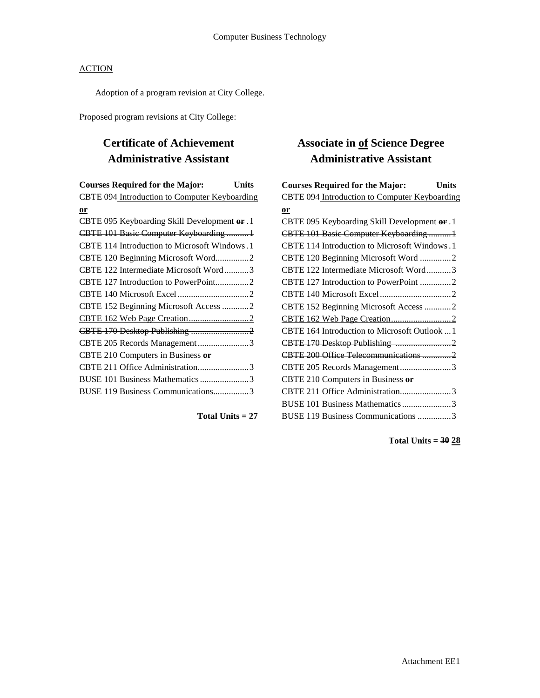Adoption of a program revision at City College.

Proposed program revisions at City College:

# **Certificate of Achievement Administrative Assistant**

| <b>Courses Required for the Major:</b>        | Units |
|-----------------------------------------------|-------|
| CBTE 094 Introduction to Computer Keyboarding |       |
| or                                            |       |
| CBTE 095 Keyboarding Skill Development or .1  |       |
| CBTE 101 Basic Computer Keyboarding 1         |       |
| CBTE 114 Introduction to Microsoft Windows.1  |       |
| CBTE 120 Beginning Microsoft Word2            |       |
| CBTE 122 Intermediate Microsoft Word3         |       |
| CBTE 127 Introduction to PowerPoint2          |       |
|                                               |       |
| CBTE 152 Beginning Microsoft Access 2         |       |
|                                               |       |
|                                               |       |
| CBTE 205 Records Management3                  |       |
| CBTE 210 Computers in Business or             |       |
| CBTE 211 Office Administration3               |       |
| BUSE 101 Business Mathematics 3               |       |
| BUSE 119 Business Communications3             |       |
|                                               |       |

**Total Units = 27**

## **Associate in of Science Degree Administrative Assistant**

| <b>Courses Required for the Major:</b><br><b>Units</b> |  |
|--------------------------------------------------------|--|
| CBTE 094 Introduction to Computer Keyboarding          |  |
| or                                                     |  |
| CBTE 095 Keyboarding Skill Development or .1           |  |
| CBTE 101 Basic Computer Keyboarding 1                  |  |
| CBTE 114 Introduction to Microsoft Windows.1           |  |
| CBTE 120 Beginning Microsoft Word 2                    |  |
| CBTE 122 Intermediate Microsoft Word3                  |  |
| CBTE 127 Introduction to PowerPoint 2                  |  |
|                                                        |  |
| CBTE 152 Beginning Microsoft Access 2                  |  |
|                                                        |  |
| CBTE 164 Introduction to Microsoft Outlook  1          |  |
|                                                        |  |
| CBTE 200 Office Telecommunications  2                  |  |
| CBTE 205 Records Management3                           |  |
| CBTE 210 Computers in Business or                      |  |
| CBTE 211 Office Administration3                        |  |
| BUSE 101 Business Mathematics3                         |  |
| BUSE 119 Business Communications 3                     |  |

**Total Units = 30 28**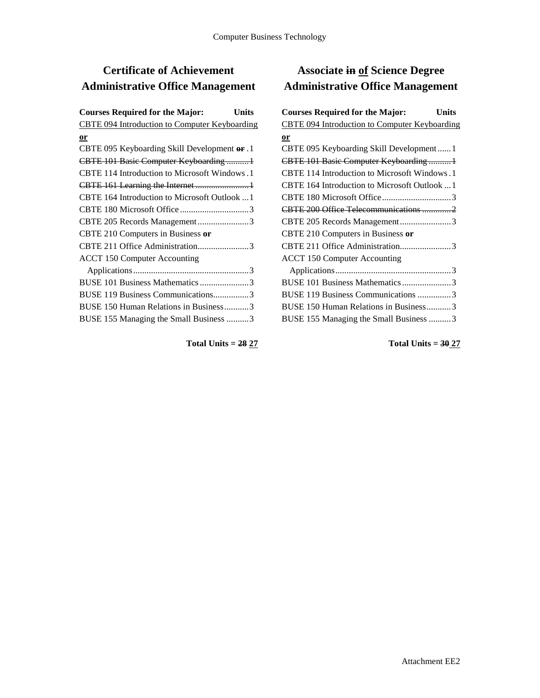# **Certificate of Achievement Administrative Office Management**

| <b>Courses Required for the Major:</b>               | Units |
|------------------------------------------------------|-------|
| <b>CBTE 094 Introduction to Computer Keyboarding</b> |       |
| $or$                                                 |       |
| CBTE 095 Keyboarding Skill Development or .1         |       |
| CBTE 101 Basic Computer Keyboarding 1                |       |
| CBTE 114 Introduction to Microsoft Windows.1         |       |
|                                                      |       |
| CBTE 164 Introduction to Microsoft Outlook  1        |       |
|                                                      |       |
| CBTE 205 Records Management3                         |       |
| CBTE 210 Computers in Business or                    |       |
| CBTE 211 Office Administration3                      |       |
| <b>ACCT 150 Computer Accounting</b>                  |       |
|                                                      |       |
| BUSE 101 Business Mathematics 3                      |       |
| BUSE 119 Business Communications3                    |       |
| BUSE 150 Human Relations in Business3                |       |
| BUSE 155 Managing the Small Business 3               |       |
|                                                      |       |

## **Associate in of Science Degree Administrative Office Management**

| <b>Courses Required for the Major:</b><br>Units      |
|------------------------------------------------------|
| <b>CBTE 094 Introduction to Computer Keyboarding</b> |
| $or$                                                 |
| CBTE 095 Keyboarding Skill Development  1            |
| CBTE 101 Basic Computer Keyboarding1                 |
| CBTE 114 Introduction to Microsoft Windows.1         |
| CBTE 164 Introduction to Microsoft Outlook  1        |
|                                                      |
| CBTE 200 Office Telecommunications  2                |
| CBTE 205 Records Management3                         |
| CBTE 210 Computers in Business or                    |
| CBTE 211 Office Administration3                      |
| <b>ACCT 150 Computer Accounting</b>                  |
|                                                      |
| BUSE 101 Business Mathematics3                       |
| BUSE 119 Business Communications 3                   |
| BUSE 150 Human Relations in Business3                |
| BUSE 155 Managing the Small Business 3               |

**Total Units = 28 27**

**Total Units = 30 27**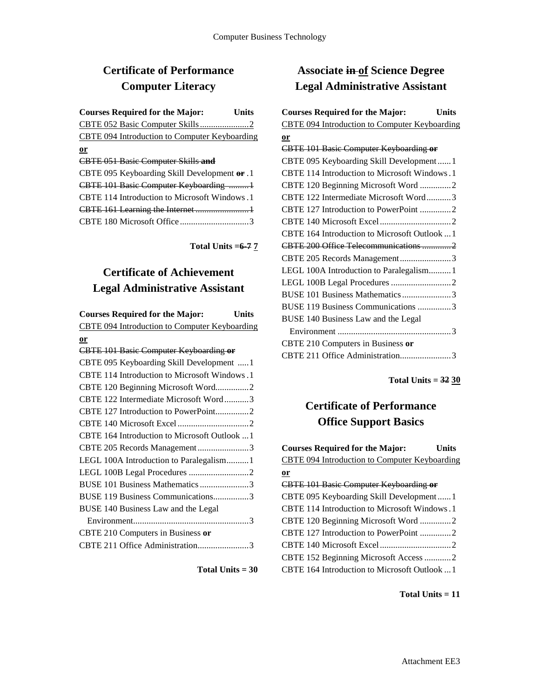### **Certificate of Performance Computer Literacy**

| <b>Courses Required for the Major:</b>        | Units |
|-----------------------------------------------|-------|
|                                               |       |
| CBTE 094 Introduction to Computer Keyboarding |       |
| <u>or</u>                                     |       |
| <b>CBTE 051 Basic Computer Skills and</b>     |       |
| CBTE 095 Keyboarding Skill Development or .1  |       |
| CBTE 101 Basic Computer Keyboarding 1         |       |
| CBTE 114 Introduction to Microsoft Windows.1  |       |
|                                               |       |
|                                               |       |

**Total Units =6-7 7**

### **Certificate of Achievement Legal Administrative Assistant**

**Courses Required for the Major: Units** CBTE 094 Introduction to Computer Keyboarding **or** CBTE 101 Basic Computer Keyboarding **or** CBTE 095 Keyboarding Skill Development .....1 CBTE 114 Introduction to Microsoft Windows.1 CBTE 120 Beginning Microsoft Word...............2 CBTE 122 Intermediate Microsoft Word...........3 CBTE 127 Introduction to PowerPoint...............2 CBTE 140 Microsoft Excel ................................2 CBTE 164 Introduction to Microsoft Outlook ...1 CBTE 205 Records Management.......................3 LEGL 100A Introduction to Paralegalism.......... 1 LEGL 100B Legal Procedures ...........................2 BUSE 101 Business Mathematics......................3 BUSE 119 Business Communications................3 BUSE 140 Business Law and the Legal Environment....................................................3 CBTE 210 Computers in Business **or** CBTE 211 Office Administration.......................3

**Total Units = 30**

### **Associate in of Science Degree Legal Administrative Assistant**

| <b>Courses Required for the Major:</b><br><b>Units</b> |
|--------------------------------------------------------|
| <b>CBTE 094 Introduction to Computer Keyboarding</b>   |
| or                                                     |
| <b>CBTE 101 Basic Computer Keyboarding or</b>          |
| CBTE 095 Keyboarding Skill Development  1              |
| <b>CBTE 114 Introduction to Microsoft Windows.1</b>    |
| CBTE 120 Beginning Microsoft Word 2                    |
| CBTE 122 Intermediate Microsoft Word3                  |
| CBTE 127 Introduction to PowerPoint 2                  |
|                                                        |
| CBTE 164 Introduction to Microsoft Outlook  1          |
| CBTE 200 Office Telecommunications 2                   |
| CBTE 205 Records Management3                           |
| LEGL 100A Introduction to Paralegalism 1               |
|                                                        |
| BUSE 101 Business Mathematics3                         |
| BUSE 119 Business Communications 3                     |
| BUSE 140 Business Law and the Legal                    |
|                                                        |
| CBTE 210 Computers in Business or                      |
| CBTE 211 Office Administration3                        |

**Total Units = 32 30**

### **Certificate of Performance Office Support Basics**

| <b>Courses Required for the Major:</b>        | Units |
|-----------------------------------------------|-------|
| CBTE 094 Introduction to Computer Keyboarding |       |
| $or$                                          |       |
| <b>CBTE 101 Basic Computer Keyboarding or</b> |       |
| CBTE 095 Keyboarding Skill Development1       |       |
| CBTE 114 Introduction to Microsoft Windows.1  |       |
| CBTE 120 Beginning Microsoft Word 2           |       |
|                                               |       |
|                                               |       |
| CBTE 152 Beginning Microsoft Access 2         |       |
| CBTE 164 Introduction to Microsoft Outlook  1 |       |
|                                               |       |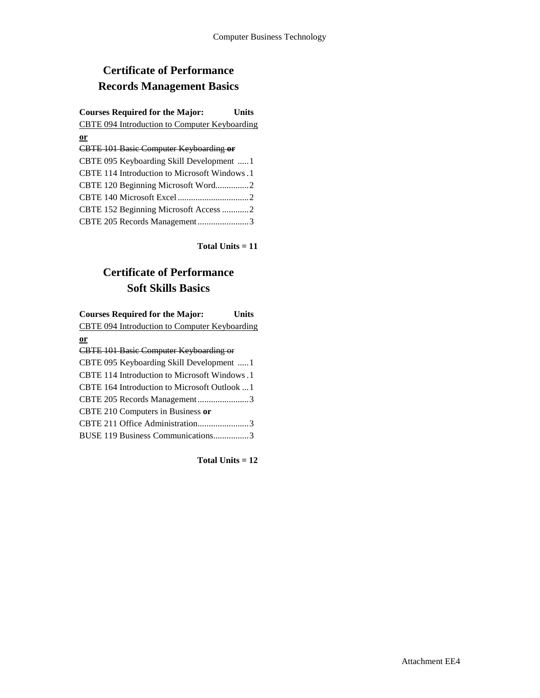# **Certificate of Performance Records Management Basics**

| <b>Courses Required for the Major:</b>        | Units |
|-----------------------------------------------|-------|
| CBTE 094 Introduction to Computer Keyboarding |       |
| $or$                                          |       |
| <b>CBTE 101 Basic Computer Keyboarding or</b> |       |
| CBTE 095 Keyboarding Skill Development  1     |       |
| CBTE 114 Introduction to Microsoft Windows.1  |       |
| CBTE 120 Beginning Microsoft Word2            |       |
|                                               |       |
| CBTE 152 Beginning Microsoft Access 2         |       |
| CBTE 205 Records Management3                  |       |

**Total Units = 11**

## **Certificate of Performance Soft Skills Basics**

| <b>Courses Required for the Major:</b><br>Units |
|-------------------------------------------------|
| CBTE 094 Introduction to Computer Keyboarding   |
| $or$                                            |
| <b>CBTE 101 Basic Computer Keyboarding or</b>   |
| CBTE 095 Keyboarding Skill Development 1        |
| CBTE 114 Introduction to Microsoft Windows.1    |
| CBTE 164 Introduction to Microsoft Outlook 1    |
| CBTE 205 Records Management3                    |
| CBTE 210 Computers in Business or               |
| CBTE 211 Office Administration3                 |
| BUSE 119 Business Communications3               |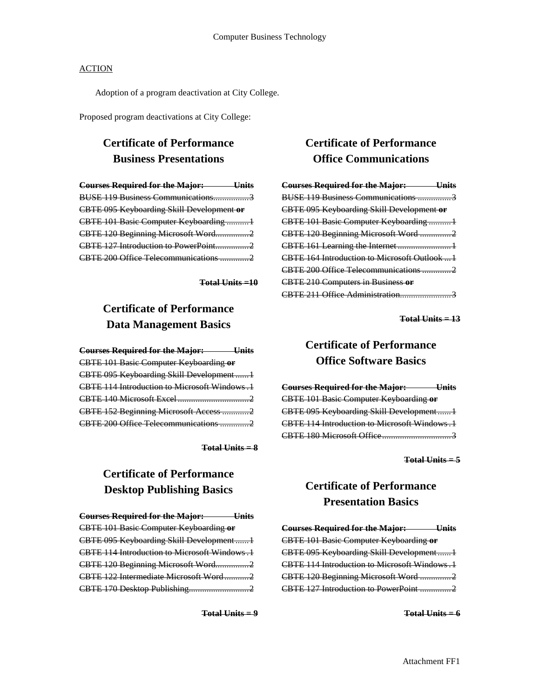Adoption of a program deactivation at City College.

Proposed program deactivations at City College:

## **Certificate of Performance Business Presentations**

| <b>Courses Required for the Major:</b> Units |  |
|----------------------------------------------|--|
| BUSE 119 Business Communications3            |  |
| CBTE 095 Keyboarding Skill Development or    |  |
| CBTE 101 Basic Computer Keyboarding 1        |  |
| CBTE 120 Beginning Microsoft Word2           |  |
| CBTE 127 Introduction to PowerPoint2         |  |
| CBTE 200 Office Telecommunications 2         |  |

**Total Units =10**

## **Certificate of Performance Data Management Basics**

| <b>Courses Required for the Major:</b> Units        |  |
|-----------------------------------------------------|--|
| <b>CBTE 101 Basic Computer Keyboarding or</b>       |  |
| CBTE 095 Keyboarding Skill Development1             |  |
| <b>CBTE 114 Introduction to Microsoft Windows.1</b> |  |
|                                                     |  |
| CBTE 152 Beginning Microsoft Access  2              |  |
|                                                     |  |

**Total Units = 8**

### **Certificate of Performance Desktop Publishing Basics**

| <b>Courses Required for the Major:</b> Units  |  |
|-----------------------------------------------|--|
| <b>CBTE 101 Basic Computer Keyboarding or</b> |  |
| CBTE 095 Keyboarding Skill Development1       |  |
| CBTE 114 Introduction to Microsoft Windows .1 |  |
| CBTE 120 Beginning Microsoft Word2            |  |
| CBTE 122 Intermediate Microsoft Word2         |  |
|                                               |  |

**Total Units = 9**

## **Certificate of Performance Office Communications**

| <b>Courses Required for the Major: Units</b>  |
|-----------------------------------------------|
| BUSE 119 Business Communications 3            |
| CBTE 095 Keyboarding Skill Development or     |
| CBTE 101 Basic Computer Keyboarding  1        |
| CBTE 120 Beginning Microsoft Word 2           |
|                                               |
| CBTE 164 Introduction to Microsoft Outlook  1 |
| CBTE 200 Office Telecommunications 2          |
| <b>CBTE 210 Computers in Business or</b>      |
| CBTE 211 Office Administration3               |
|                                               |

**Total Units = 13**

### **Certificate of Performance Office Software Basics**

**Courses Required for the Major: Units** CBTE 101 Basic Computer Keyboarding **or** CBTE 095 Keyboarding Skill Development ...... 1 CBTE 114 Introduction to Microsoft Windows.1 CBTE 180 Microsoft Office...............................3

**Total Units = 5**

### **Certificate of Performance Presentation Basics**

| <b>Courses Required for the Major: Units</b> |
|----------------------------------------------|
| CBTE 101 Basic Computer Keyboarding or       |
| CBTE 095 Keyboarding Skill Development1      |
| CBTE 114 Introduction to Microsoft Windows.1 |
| CBTE 120 Beginning Microsoft Word 2          |
| CBTE 127 Introduction to PowerPoint 2        |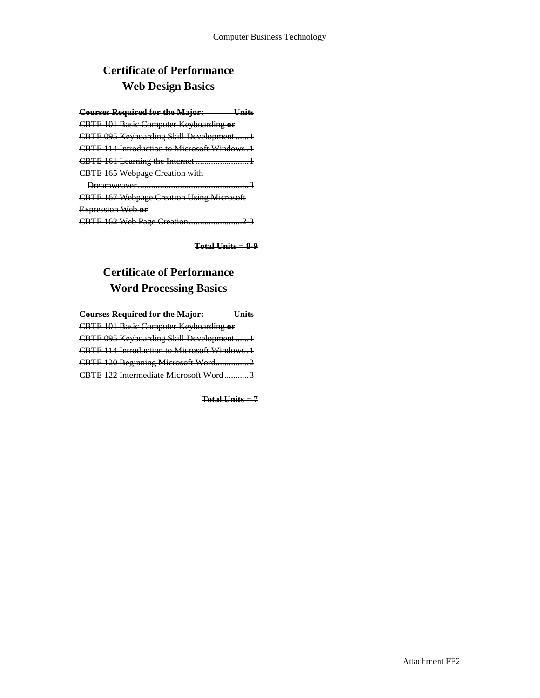# **Certificate of Performance Web Design Basics**

| <b>Courses Required for the Major:</b>           |
|--------------------------------------------------|
| <b>CBTE 101 Basic Computer Keyboarding or</b>    |
| CBTE 095 Keyboarding Skill Development1          |
| CBTE 114 Introduction to Microsoft Windows, 1    |
|                                                  |
| <b>CBTE 165 Webpage Creation with</b>            |
| Dreamweaver<br>.                                 |
| <b>CBTE 167 Webpage Creation Using Microsoft</b> |
| Expression Web or                                |
|                                                  |

**Total Units = 8-9**

## **Certificate of Performance Word Processing Basics**

| <b>Courses Required for the Major:</b> Units  |  |
|-----------------------------------------------|--|
| <b>CBTE 101 Basic Computer Keyboarding or</b> |  |
| CBTE 095 Keyboarding Skill Development1       |  |
| CBTE 114 Introduction to Microsoft Windows .1 |  |
| CBTE 120 Beginning Microsoft Word2            |  |
| CBTE 122 Intermediate Microsoft Word3         |  |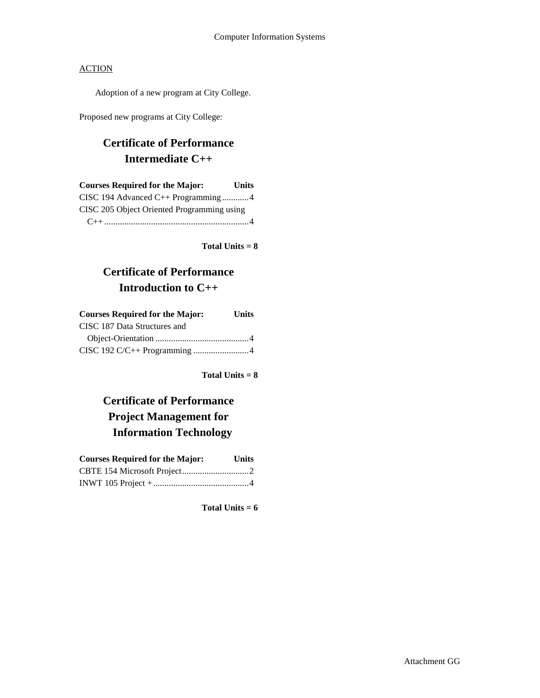Adoption of a new program at City College.

Proposed new programs at City College:

### **Certificate of Performance Intermediate C++**

| <b>Courses Required for the Major:</b>     | <b>Units</b> |
|--------------------------------------------|--------------|
| CISC 194 Advanced C++ Programming4         |              |
| CISC 205 Object Oriented Programming using |              |
|                                            |              |

**Total Units = 8**

### **Certificate of Performance Introduction to C++**

| <b>Courses Required for the Major:</b> | <b>Units</b> |
|----------------------------------------|--------------|
| CISC 187 Data Structures and           |              |
|                                        |              |
|                                        |              |

**Total Units = 8**

# **Certificate of Performance Project Management for Information Technology**

| <b>Courses Required for the Major:</b> | <b>Units</b> |
|----------------------------------------|--------------|
|                                        |              |
|                                        |              |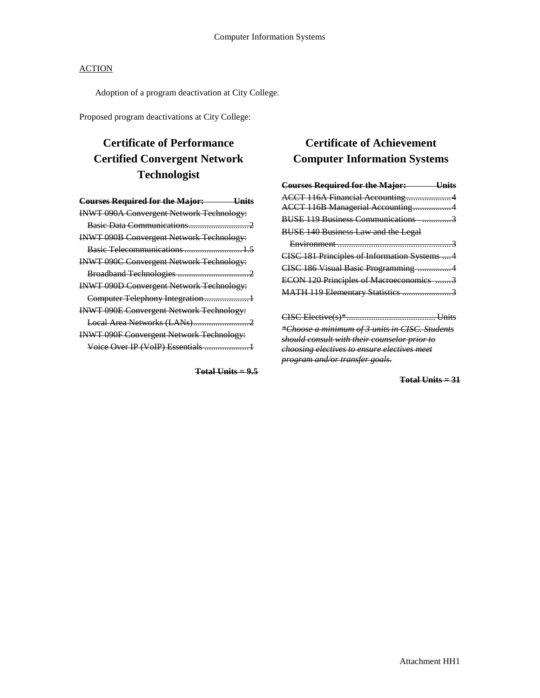Adoption of a program deactivation at City College.

Proposed program deactivations at City College:

# **Certificate of Performance Certified Convergent Network Technologist**

| <b>Courses Required for the Major:</b><br>Units |
|-------------------------------------------------|
| <b>INWT 090A Convergent Network Technology:</b> |
|                                                 |
| <b>INWT 090B Convergent Network Technology:</b> |
| Basic Telecommunications  1.5                   |
| <b>INWT 090C Convergent Network Technology:</b> |
|                                                 |
| <b>INWT 090D Convergent Network Technology:</b> |
| Computer Telephony Integration1                 |
| <b>INWT 090E Convergent Network Technology:</b> |
|                                                 |
| <b>INWT 090F Convergent Network Technology:</b> |
| Voice Over IP (VoIP) Essentials  1              |

**Total Units = 9.5**

### **Certificate of Achievement Computer Information Systems**

| <b>Courses Required for the Major: Units</b>   |
|------------------------------------------------|
| ACCT 116A Financial Accounting4                |
| ACCT 116B Managerial Accounting4               |
| BUSE 119 Business Communications 3             |
| <b>BUSE 140 Business Law and the Legal</b>     |
|                                                |
| CISC 181 Principles of Information Systems  4  |
| CISC 186 Visual Basic Programming 4            |
| ECON 120 Principles of Macroeconomics 3        |
| MATH 119 Elementary Statistics 3               |
|                                                |
|                                                |
| *Choose a minimum of 3 units in CISC. Students |
| should consult with their counselor prior to   |
| choosing electives to ensure electives meet    |
| <del>program and/or transfer goals.</del>      |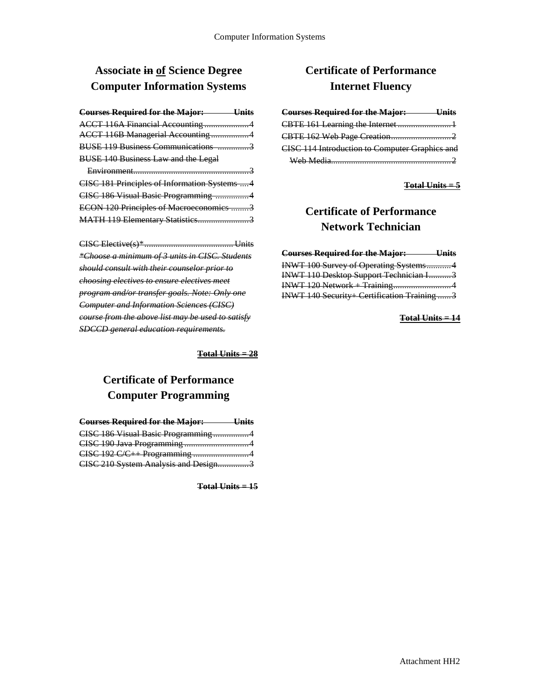## **Associate in of Science Degree Computer Information Systems**

| <b>Courses Required for the Major:</b>     | <u>Units</u> |
|--------------------------------------------|--------------|
| ACCT 116A Financial Accounting 4           |              |
| ACCT 116B Managerial Accounting4           |              |
| BUSE 119 Business Communications 3         |              |
| <b>BUSE 140 Business Law and the Legal</b> |              |
| Environment                                |              |

| CISC 181 Principles of Information Systems  4 |  |
|-----------------------------------------------|--|
| CISC 186 Visual Basic Programming 4           |  |
| ECON 120 Principles of Macroeconomics 3       |  |
| MATH 119 Elementary Statistics3               |  |

CISC Elective(s)\*........................................ Units *\*Choose a minimum of 3 units in CISC. Students should consult with their counselor prior to choosing electives to ensure electives meet program and/or transfer goals. Note: Only one Computer and Information Sciences (CISC) course from the above list may be used to satisfy SDCCD general education requirements.*

**Total Units = 28**

### **Certificate of Performance Computer Programming**

| <b>Courses Required for the Major:</b> Units |  |
|----------------------------------------------|--|
| CISC 186 Visual Basic Programming4           |  |
|                                              |  |
| CISC 192 C/C++ Programming 4                 |  |
| CISC 210 System Analysis and Design3         |  |

**Total Units = 15**

### **Certificate of Performance Internet Fluency**

| <b>Courses Required for the Major:</b><br>— Units     |  |
|-------------------------------------------------------|--|
|                                                       |  |
|                                                       |  |
| <b>CISC 114 Introduction to Computer Graphics and</b> |  |
| $Wab$ Madia                                           |  |

#### **Total Units = 5**

## **Certificate of Performance Network Technician**

| <b>Courses Required for the Major:</b> Units |  |
|----------------------------------------------|--|
| INWT 100 Survey of Operating Systems4        |  |
| INWT 110 Desktop Support Technician I3       |  |
| INWT 120 Network + Training4                 |  |
| INWT 140 Security+ Certification Training 3  |  |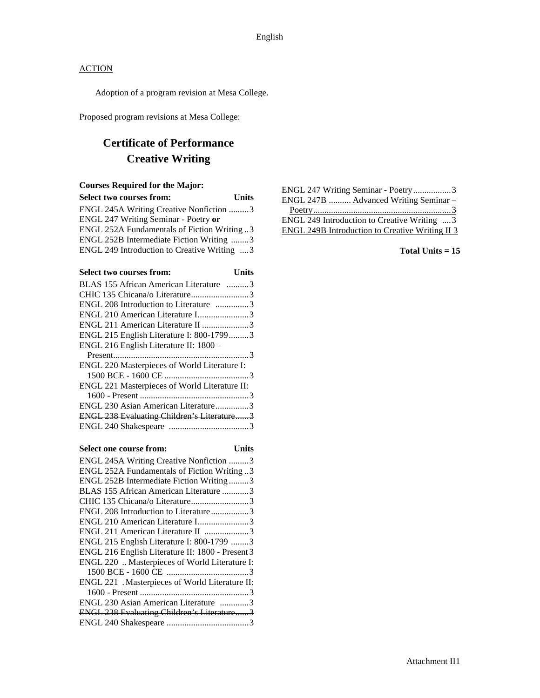Adoption of a program revision at Mesa College.

Proposed program revisions at Mesa College:

# **Certificate of Performance Creative Writing**

#### **Courses Required for the Major:**

| <b>Select two courses from:</b>             | <b>Units</b> |
|---------------------------------------------|--------------|
| ENGL 245A Writing Creative Nonfiction 3     |              |
| ENGL 247 Writing Seminar - Poetry or        |              |
| ENGL 252A Fundamentals of Fiction Writing3  |              |
| ENGL 252B Intermediate Fiction Writing 3    |              |
| ENGL 249 Introduction to Creative Writing 3 |              |
|                                             |              |

| <b>Select two courses from:</b><br>Units      |  |
|-----------------------------------------------|--|
| BLAS 155 African American Literature 3        |  |
| CHIC 135 Chicana/o Literature3                |  |
| ENGL 208 Introduction to Literature 3         |  |
| ENGL 210 American Literature I3               |  |
| ENGL 211 American Literature II 3             |  |
| ENGL 215 English Literature I: 800-17993      |  |
| ENGL 216 English Literature II: 1800 -        |  |
|                                               |  |
| ENGL 220 Masterpieces of World Literature I:  |  |
|                                               |  |
| ENGL 221 Masterpieces of World Literature II: |  |
|                                               |  |
| ENGL 230 Asian American Literature3           |  |
| ENGL 238 Evaluating Children's Literature3    |  |
|                                               |  |

#### **Select one course from: Units**

| ENGL 245A Writing Creative Nonfiction 3           |
|---------------------------------------------------|
| ENGL 252A Fundamentals of Fiction Writing3        |
| ENGL 252B Intermediate Fiction Writing3           |
| BLAS 155 African American Literature 3            |
| CHIC 135 Chicana/o Literature3                    |
| ENGL 208 Introduction to Literature3              |
| ENGL 210 American Literature I3                   |
| ENGL 211 American Literature II 3                 |
| ENGL 215 English Literature I: 800-1799 3         |
| ENGL 216 English Literature II: 1800 - Present 3  |
| ENGL 220  Masterpieces of World Literature I:     |
|                                                   |
| ENGL 221 . Masterpieces of World Literature II:   |
|                                                   |
| ENGL 230 Asian American Literature 3              |
| <b>ENGL 238 Evaluating Children's Literature3</b> |
|                                                   |
|                                                   |

| ENGL 247 Writing Seminar - Poetry3              |
|-------------------------------------------------|
| ENGL 247B  Advanced Writing Seminar -           |
|                                                 |
| ENGL 249 Introduction to Creative Writing  3    |
| ENGL 249B Introduction to Creative Writing II 3 |
|                                                 |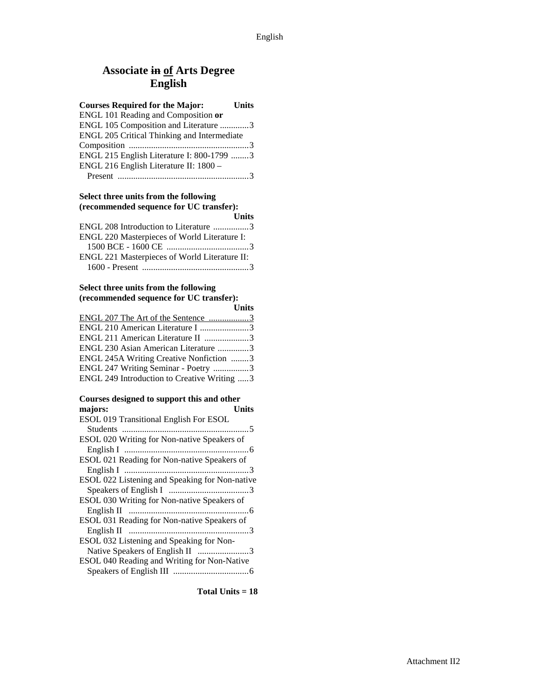### **Associate in of Arts Degree English**

| <b>Courses Required for the Major:</b>      | Units |
|---------------------------------------------|-------|
| ENGL 101 Reading and Composition or         |       |
| ENGL 105 Composition and Literature 3       |       |
| ENGL 205 Critical Thinking and Intermediate |       |
|                                             |       |
| ENGL 215 English Literature I: 800-1799 3   |       |
| ENGL 216 English Literature II: 1800 -      |       |
|                                             |       |

#### **Select three units from the following (recommended sequence for UC transfer):**

|                                               | <b>Units</b> |
|-----------------------------------------------|--------------|
| ENGL 208 Introduction to Literature 3         |              |
| ENGL 220 Masterpieces of World Literature I:  |              |
|                                               |              |
| ENGL 221 Masterpieces of World Literature II: |              |
|                                               |              |

#### **Select three units from the following (recommended sequence for UC transfer):**

|                                             | <b>Units</b> |
|---------------------------------------------|--------------|
| ENGL 207 The Art of the Sentence 3          |              |
| ENGL 210 American Literature I 3            |              |
| ENGL 211 American Literature II 3           |              |
| ENGL 230 Asian American Literature 3        |              |
| ENGL 245A Writing Creative Nonfiction 3     |              |
| ENGL 247 Writing Seminar - Poetry 3         |              |
| ENGL 249 Introduction to Creative Writing 3 |              |

#### **Courses designed to support this and other**   $majors:$

| ESOL 019 Transitional English For ESOL         |  |
|------------------------------------------------|--|
|                                                |  |
| ESOL 020 Writing for Non-native Speakers of    |  |
|                                                |  |
| ESOL 021 Reading for Non-native Speakers of    |  |
|                                                |  |
| ESOL 022 Listening and Speaking for Non-native |  |
|                                                |  |
| ESOL 030 Writing for Non-native Speakers of    |  |
|                                                |  |
| ESOL 031 Reading for Non-native Speakers of    |  |
|                                                |  |
| ESOL 032 Listening and Speaking for Non-       |  |
| Native Speakers of English II 3                |  |
| ESOL 040 Reading and Writing for Non-Native    |  |
|                                                |  |
|                                                |  |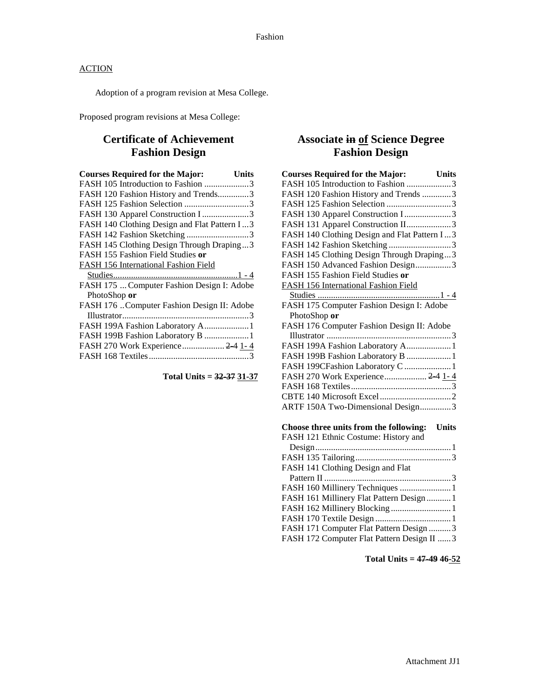Adoption of a program revision at Mesa College.

Proposed program revisions at Mesa College:

### **Certificate of Achievement Fashion Design**

| <b>Courses Required for the Major:</b><br>Units |
|-------------------------------------------------|
| FASH 105 Introduction to Fashion 3              |
| FASH 120 Fashion History and Trends3            |
| FASH 125 Fashion Selection 3                    |
| FASH 130 Apparel Construction I 3               |
| FASH 140 Clothing Design and Flat Pattern I3    |
| FASH 142 Fashion Sketching 3                    |
| FASH 145 Clothing Design Through Draping3       |
| FASH 155 Fashion Field Studies or               |
| FASH 156 International Fashion Field            |
|                                                 |
| FASH 175  Computer Fashion Design I: Adobe      |
| PhotoShop or                                    |
| FASH 176 Computer Fashion Design II: Adobe      |
|                                                 |
| FASH 199A Fashion Laboratory A1                 |
| FASH 199B Fashion Laboratory B 1                |
| FASH 270 Work Experience 24 1-4                 |
|                                                 |

**Total Units = 32-37 31-37**

### **Associate in of Science Degree Fashion Design**

| <b>Courses Required for the Major:</b> Units           |
|--------------------------------------------------------|
| FASH 105 Introduction to Fashion 3                     |
| FASH 120 Fashion History and Trends 3                  |
| FASH 125 Fashion Selection 3                           |
| FASH 130 Apparel Construction I 3                      |
| FASH 131 Apparel Construction II3                      |
| FASH 140 Clothing Design and Flat Pattern I3           |
| FASH 142 Fashion Sketching 3                           |
| FASH 145 Clothing Design Through Draping3              |
| FASH 150 Advanced Fashion Design3                      |
| FASH 155 Fashion Field Studies or                      |
| FASH 156 International Fashion Field                   |
|                                                        |
| FASH 175 Computer Fashion Design I: Adobe              |
| PhotoShop or                                           |
| FASH 176 Computer Fashion Design II: Adobe             |
|                                                        |
| FASH 199A Fashion Laboratory A 1                       |
| FASH 199B Fashion Laboratory B  1                      |
| FASH 199CFashion Laboratory C  1                       |
| FASH 270 Work Experience 2-4 1-4                       |
|                                                        |
|                                                        |
| ARTF 150A Two-Dimensional Design3                      |
|                                                        |
| Choose three units from the following:<br><b>Units</b> |
| FASH 121 Ethnic Costume: History and                   |
|                                                        |
|                                                        |
| FASH 141 Clothing Design and Flat                      |
|                                                        |
| FASH 160 Millinery Techniques  1                       |
| FASH 161 Millinery Flat Pattern Design  1              |
| FASH 162 Millinery Blocking  1                         |
|                                                        |
| FASH 171 Computer Flat Pattern Design 3                |
| FASH 172 Computer Flat Pattern Design II  3            |
|                                                        |

**Total Units = 47-49 46-52**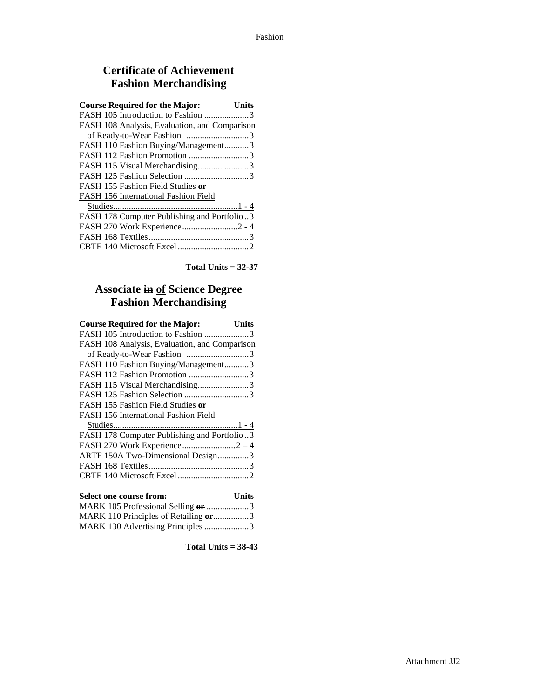### **Certificate of Achievement Fashion Merchandising**

| <b>Course Required for the Major:</b>         | Units |
|-----------------------------------------------|-------|
| FASH 105 Introduction to Fashion 3            |       |
| FASH 108 Analysis, Evaluation, and Comparison |       |
|                                               |       |
| FASH 110 Fashion Buying/Management3           |       |
| FASH 112 Fashion Promotion 3                  |       |
| FASH 115 Visual Merchandising3                |       |
| FASH 125 Fashion Selection 3                  |       |
| FASH 155 Fashion Field Studies or             |       |
| FASH 156 International Fashion Field          |       |
|                                               |       |
| FASH 178 Computer Publishing and Portfolio3   |       |
| FASH 270 Work Experience2 - 4                 |       |
|                                               |       |
|                                               |       |

**Total Units = 32-37**

### **Associate in of Science Degree Fashion Merchandising**

| <b>Course Required for the Major:</b><br><b>Units</b> |
|-------------------------------------------------------|
| FASH 105 Introduction to Fashion 3                    |
| FASH 108 Analysis, Evaluation, and Comparison         |
| of Ready-to-Wear Fashion 3                            |
| FASH 110 Fashion Buying/Management3                   |
| FASH 112 Fashion Promotion 3                          |
| FASH 115 Visual Merchandising3                        |
|                                                       |
| FASH 155 Fashion Field Studies or                     |
| <b>FASH 156 International Fashion Field</b>           |
|                                                       |
| FASH 178 Computer Publishing and Portfolio3           |
|                                                       |
| ARTF 150A Two-Dimensional Design3                     |
|                                                       |
|                                                       |
|                                                       |
| <b>Select one course from:</b><br><b>Units</b>        |
| MARK 105 Professional Selling or 3                    |

MARK 110 Principles of Retailing **or**................3 MARK 130 Advertising Principles ....................3

**Total Units = 38-43**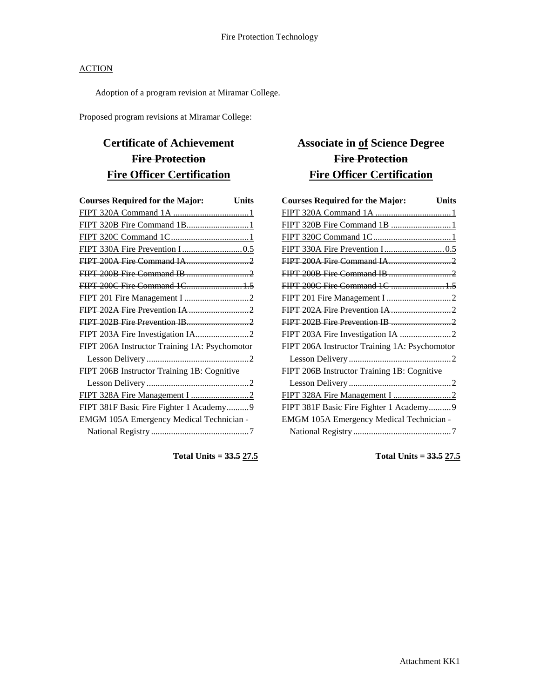Adoption of a program revision at Miramar College.

Proposed program revisions at Miramar College:

# **Certificate of Achievement Fire Protection Fire Officer Certification**

| <b>Courses Required for the Major:</b><br><b>Units</b> |
|--------------------------------------------------------|
|                                                        |
|                                                        |
|                                                        |
|                                                        |
|                                                        |
|                                                        |
| FIPT 200C Fire Command 1C 1.5                          |
|                                                        |
|                                                        |
|                                                        |
|                                                        |
| FIPT 206A Instructor Training 1A: Psychomotor          |
|                                                        |
| FIPT 206B Instructor Training 1B: Cognitive            |
|                                                        |
|                                                        |
| FIPT 381F Basic Fire Fighter 1 Academy9                |
| EMGM 105A Emergency Medical Technician -               |
|                                                        |

**Total Units = 33.5 27.5**

## **Associate in of Science Degree Fire Protection Fire Officer Certification**

| <b>Courses Required for the Major:</b><br><b>Units</b> |  |
|--------------------------------------------------------|--|
|                                                        |  |
|                                                        |  |
|                                                        |  |
|                                                        |  |
|                                                        |  |
|                                                        |  |
| FIPT 200C Fire Command 1C  1.5                         |  |
|                                                        |  |
|                                                        |  |
|                                                        |  |
|                                                        |  |
| FIPT 206A Instructor Training 1A: Psychomotor          |  |
|                                                        |  |
| FIPT 206B Instructor Training 1B: Cognitive            |  |
|                                                        |  |
|                                                        |  |
| FIPT 381F Basic Fire Fighter 1 Academy9                |  |
| EMGM 105A Emergency Medical Technician -               |  |
|                                                        |  |

**Total Units = 33.5 27.5**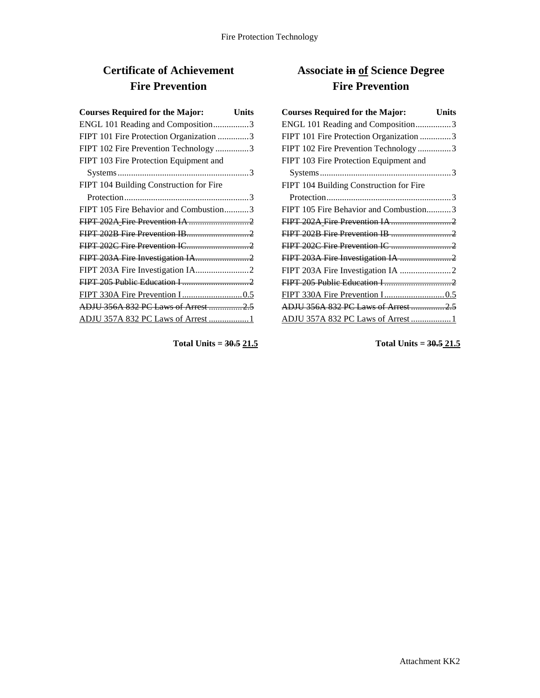# **Certificate of Achievement Fire Prevention**

| <b>Courses Required for the Major:</b><br><b>Units</b> |
|--------------------------------------------------------|
| ENGL 101 Reading and Composition3                      |
| FIPT 101 Fire Protection Organization 3                |
| FIPT 102 Fire Prevention Technology 3                  |
| FIPT 103 Fire Protection Equipment and                 |
|                                                        |
| FIPT 104 Building Construction for Fire                |
|                                                        |
| FIPT 105 Fire Behavior and Combustion3                 |
|                                                        |
|                                                        |
|                                                        |
|                                                        |
|                                                        |
|                                                        |
|                                                        |
| ADJU 356A 832 PC Laws of Arrest 2.5                    |
| ADJU 357A 832 PC Laws of Arrest 1                      |

**Total Units = 30.5 21.5**

# **Associate in of Science Degree Fire Prevention**

| <b>Courses Required for the Major:</b>  | <b>Units</b> |
|-----------------------------------------|--------------|
| ENGL 101 Reading and Composition3       |              |
| FIPT 101 Fire Protection Organization 3 |              |
| FIPT 102 Fire Prevention Technology 3   |              |
| FIPT 103 Fire Protection Equipment and  |              |
|                                         |              |
| FIPT 104 Building Construction for Fire |              |
|                                         |              |
| FIPT 105 Fire Behavior and Combustion3  |              |
|                                         |              |
|                                         |              |
|                                         |              |
|                                         |              |
|                                         |              |
|                                         |              |
|                                         |              |
| ADJU 356A 832 PC Laws of Arrest  2.5    |              |
| ADJU 357A 832 PC Laws of Arrest  1      |              |

**Total Units = 30.5 21.5**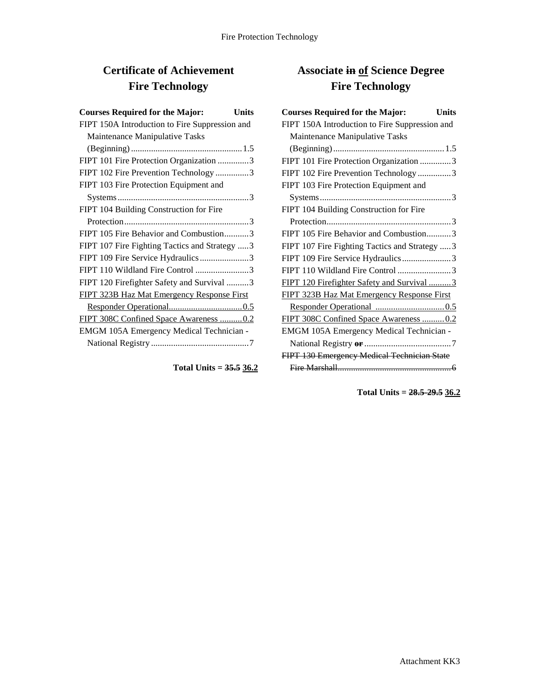# **Certificate of Achievement Fire Technology**

| <b>Courses Required for the Major:</b><br>Units |
|-------------------------------------------------|
| FIPT 150A Introduction to Fire Suppression and  |
| Maintenance Manipulative Tasks                  |
|                                                 |
| FIPT 101 Fire Protection Organization 3         |
| FIPT 102 Fire Prevention Technology3            |
| FIPT 103 Fire Protection Equipment and          |
|                                                 |
| FIPT 104 Building Construction for Fire         |
|                                                 |
| FIPT 105 Fire Behavior and Combustion3          |
| FIPT 107 Fire Fighting Tactics and Strategy 3   |
| FIPT 109 Fire Service Hydraulics3               |
| FIPT 110 Wildland Fire Control 3                |
| FIPT 120 Firefighter Safety and Survival 3      |
| FIPT 323B Haz Mat Emergency Response First      |
|                                                 |
| FIPT 308C Confined Space Awareness 0.2          |
| EMGM 105A Emergency Medical Technician -        |
|                                                 |

#### **Total Units = 35.5 36.2**

## **Associate in of Science Degree Fire Technology**

| <b>Courses Required for the Major:</b><br>Units   |
|---------------------------------------------------|
| FIPT 150A Introduction to Fire Suppression and    |
| Maintenance Manipulative Tasks                    |
|                                                   |
| FIPT 101 Fire Protection Organization 3           |
| FIPT 102 Fire Prevention Technology 3             |
| FIPT 103 Fire Protection Equipment and            |
| $Systems \dots 3$                                 |
| FIPT 104 Building Construction for Fire           |
|                                                   |
| FIPT 105 Fire Behavior and Combustion3            |
| FIPT 107 Fire Fighting Tactics and Strategy  3    |
| FIPT 109 Fire Service Hydraulics3                 |
| FIPT 110 Wildland Fire Control 3                  |
| FIPT 120 Firefighter Safety and Survival 3        |
| <b>FIPT 323B Haz Mat Emergency Response First</b> |
|                                                   |
| FIPT 308C Confined Space Awareness 0.2            |
| EMGM 105A Emergency Medical Technician -          |
|                                                   |
| FIPT 130 Emergency Medical Technician State       |
|                                                   |

**Total Units = 28.5-29.5 36.2**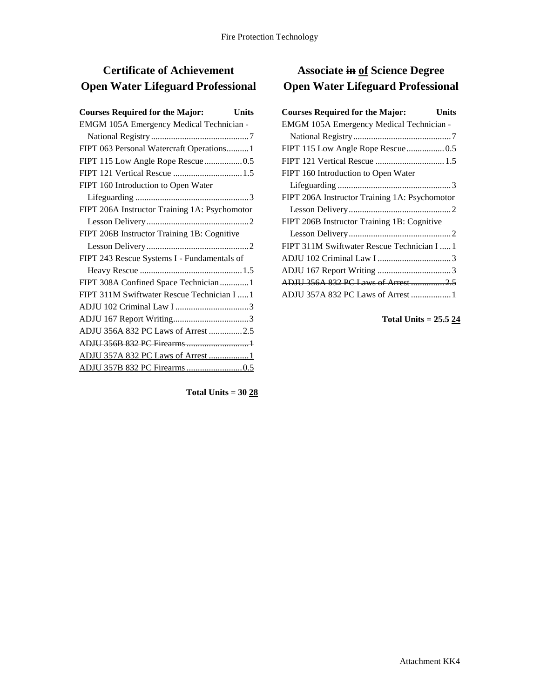# **Certificate of Achievement Open Water Lifeguard Professional**

| EMGM 105A Emergency Medical Technician -      |
|-----------------------------------------------|
|                                               |
| FIPT 063 Personal Watercraft Operations 1     |
| FIPT 115 Low Angle Rope Rescue0.5             |
| FIPT 121 Vertical Rescue 1.5                  |
| FIPT 160 Introduction to Open Water           |
|                                               |
| FIPT 206A Instructor Training 1A: Psychomotor |
|                                               |
| FIPT 206B Instructor Training 1B: Cognitive   |
|                                               |
| FIPT 243 Rescue Systems I - Fundamentals of   |
|                                               |
|                                               |
| FIPT 308A Confined Space Technician  1        |
| FIPT 311M Swiftwater Rescue Technician I  1   |
|                                               |
|                                               |
| ADJU 356A 832 PC Laws of Arrest 2.5           |
| ADJU 356B 832 PC Firearms  1                  |
| ADJU 357A 832 PC Laws of Arrest 1             |
|                                               |

**Associate in of Science Degree Open Water Lifeguard Professional**

| <b>Courses Required for the Major:</b>        | Units |
|-----------------------------------------------|-------|
| EMGM 105A Emergency Medical Technician -      |       |
|                                               |       |
|                                               |       |
| FIPT 121 Vertical Rescue  1.5                 |       |
| FIPT 160 Introduction to Open Water           |       |
|                                               |       |
| FIPT 206A Instructor Training 1A: Psychomotor |       |
|                                               |       |
| FIPT 206B Instructor Training 1B: Cognitive   |       |
|                                               |       |
| FIPT 311M Swiftwater Rescue Technician I  1   |       |
|                                               |       |
|                                               |       |
| ADJU 356A 832 PC Laws of Arrest  2.5          |       |
| ADJU 357A 832 PC Laws of Arrest  1            |       |

**Total Units = 25.5 24**

**Total Units = 30 28**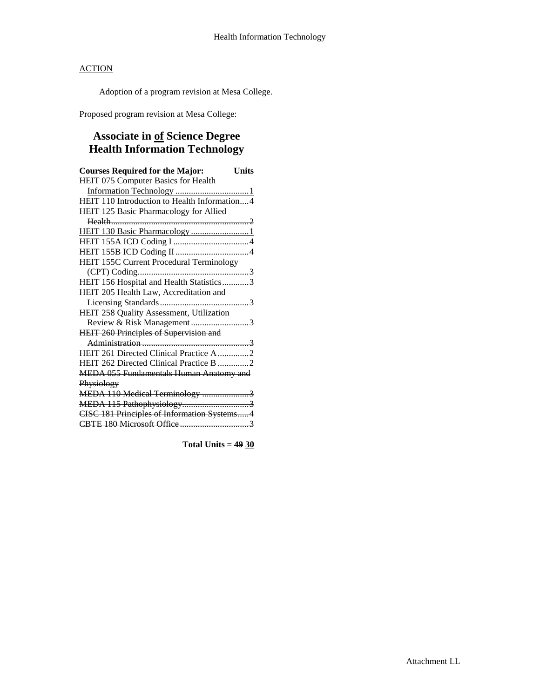Adoption of a program revision at Mesa College.

Proposed program revision at Mesa College:

## **Associate in of Science Degree Health Information Technology**

| <b>Courses Required for the Major:</b><br>Units |  |
|-------------------------------------------------|--|
| <b>HEIT 075 Computer Basics for Health</b>      |  |
|                                                 |  |
| HEIT 110 Introduction to Health Information4    |  |
| <b>HEIT 125 Basic Pharmacology for Allied</b>   |  |
|                                                 |  |
| HEIT 130 Basic Pharmacology 1                   |  |
|                                                 |  |
|                                                 |  |
| HEIT 155C Current Procedural Terminology        |  |
|                                                 |  |
| HEIT 156 Hospital and Health Statistics3        |  |
| HEIT 205 Health Law, Accreditation and          |  |
|                                                 |  |
| HEIT 258 Quality Assessment, Utilization        |  |
| Review & Risk Management3                       |  |
| <b>HEIT 260 Principles of Supervision and</b>   |  |
|                                                 |  |
| HEIT 261 Directed Clinical Practice A2          |  |
| HEIT 262 Directed Clinical Practice B 2         |  |
| MEDA 055 Fundamentals Human Anatomy and         |  |
| Physiology                                      |  |
| MEDA 110 Medical Terminology 3                  |  |
| MEDA 115 Pathophysiology3                       |  |
| CISC 181 Principles of Information Systems4     |  |
|                                                 |  |

**Total Units = 49 30**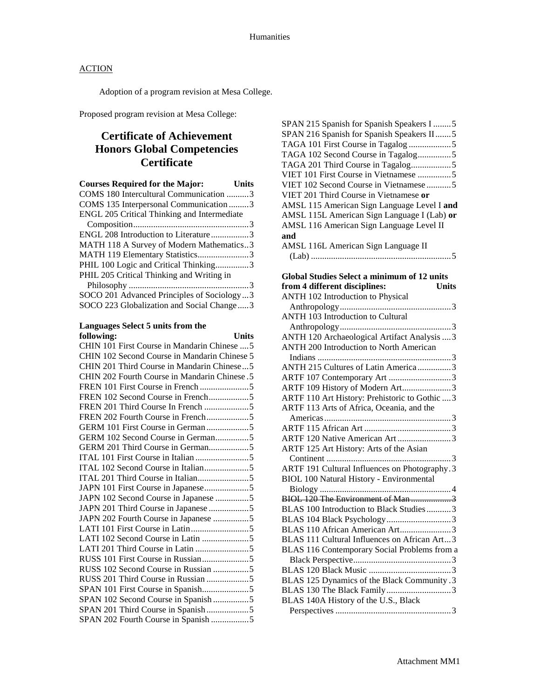Adoption of a program revision at Mesa College.

Proposed program revision at Mesa College:

### **Certificate of Achievement Honors Global Competencies Certificate**

| <b>Courses Required for the Major:</b>      | Units |
|---------------------------------------------|-------|
| COMS 180 Intercultural Communication 3      |       |
| COMS 135 Interpersonal Communication 3      |       |
| ENGL 205 Critical Thinking and Intermediate |       |
|                                             |       |
| ENGL 208 Introduction to Literature3        |       |
| MATH 118 A Survey of Modern Mathematics3    |       |
| MATH 119 Elementary Statistics3             |       |
| PHIL 100 Logic and Critical Thinking3       |       |
| PHIL 205 Critical Thinking and Writing in   |       |
|                                             |       |
| SOCO 201 Advanced Principles of Sociology3  |       |
| SOCO 223 Globalization and Social Change3   |       |

#### **Languages Select 5 units from the following: Units**

| CHIN 101 First Course in Mandarin Chinese  5  |  |
|-----------------------------------------------|--|
| CHIN 102 Second Course in Mandarin Chinese 5  |  |
| CHIN 201 Third Course in Mandarin Chinese5    |  |
| CHIN 202 Fourth Course in Mandarin Chinese. 5 |  |
|                                               |  |
| FREN 102 Second Course in French5             |  |
| FREN 201 Third Course In French 5             |  |
| FREN 202 Fourth Course in French5             |  |
| GERM 101 First Course in German 5             |  |
| GERM 102 Second Course in German5             |  |
| GERM 201 Third Course in German5              |  |
|                                               |  |
| ITAL 102 Second Course in Italian5            |  |
|                                               |  |
| JAPN 101 First Course in Japanese5            |  |
| JAPN 102 Second Course in Japanese 5          |  |
| JAPN 201 Third Course in Japanese 5           |  |
| JAPN 202 Fourth Course in Japanese 5          |  |
|                                               |  |
| LATI 102 Second Course in Latin 5             |  |
|                                               |  |
|                                               |  |
| RUSS 102 Second Course in Russian 5           |  |
| RUSS 201 Third Course in Russian 5            |  |
|                                               |  |
| SPAN 102 Second Course in Spanish 5           |  |
| SPAN 201 Third Course in Spanish5             |  |
| SPAN 202 Fourth Course in Spanish 5           |  |
|                                               |  |

| SPAN 215 Spanish for Spanish Speakers I 5   |
|---------------------------------------------|
| SPAN 216 Spanish for Spanish Speakers II5   |
|                                             |
| TAGA 102 Second Course in Tagalog5          |
|                                             |
| VIET 101 First Course in Vietnamese 5       |
| VIET 102 Second Course in Vietnamese 5      |
| VIET 201 Third Course in Vietnamese or      |
| AMSL 115 American Sign Language Level I and |
| AMSL 115L American Sign Language I (Lab) or |
| AMSL 116 American Sign Language Level II    |
| and                                         |
| AMSL 116L American Sign Language II         |
|                                             |

#### **Global Studies Select a minimum of 12 units**  from 4 different disciplines:

| ANTH 102 Introduction to Physical               |
|-------------------------------------------------|
|                                                 |
| <b>ANTH 103 Introduction to Cultural</b>        |
|                                                 |
| ANTH 120 Archaeological Artifact Analysis  3    |
| ANTH 200 Introduction to North American         |
|                                                 |
| ANTH 215 Cultures of Latin America 3            |
| ARTF 107 Contemporary Art 3                     |
| ARTF 109 History of Modern Art3                 |
| ARTF 110 Art History: Prehistoric to Gothic  3  |
| ARTF 113 Arts of Africa, Oceania, and the       |
|                                                 |
|                                                 |
| ARTF 120 Native American Art 3                  |
| ARTF 125 Art History: Arts of the Asian         |
|                                                 |
| ARTF 191 Cultural Influences on Photography.3   |
| <b>BIOL 100 Natural History - Environmental</b> |
|                                                 |
| BIOL 120 The Environment of Man 3               |
| BLAS 100 Introduction to Black Studies3         |
|                                                 |
| BLAS 110 African American Art3                  |
| BLAS 111 Cultural Influences on African Art3    |
| BLAS 116 Contemporary Social Problems from a    |
|                                                 |
|                                                 |
| BLAS 125 Dynamics of the Black Community .3     |
| BLAS 130 The Black Family3                      |
| BLAS 140A History of the U.S., Black            |
|                                                 |
|                                                 |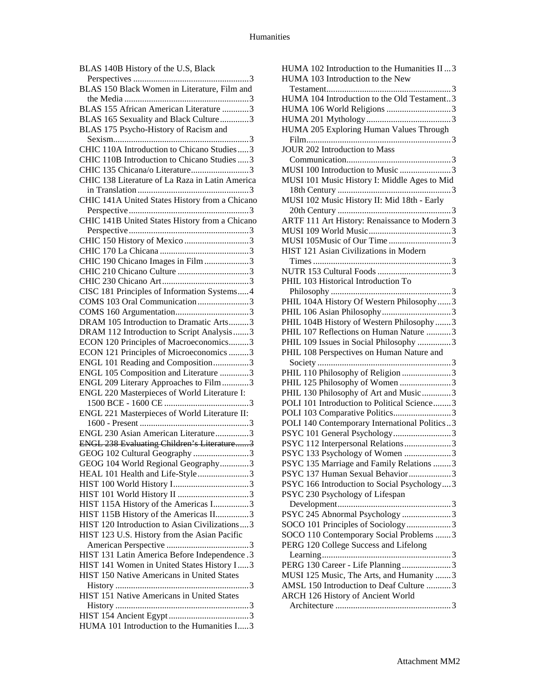| BLAS 140B History of the U.S, Black             |
|-------------------------------------------------|
|                                                 |
| BLAS 150 Black Women in Literature, Film and    |
|                                                 |
| BLAS 155 African American Literature 3          |
| BLAS 165 Sexuality and Black Culture3           |
| BLAS 175 Psycho-History of Racism and           |
|                                                 |
| CHIC 110A Introduction to Chicano Studies3      |
| CHIC 110B Introduction to Chicano Studies  3    |
| CHIC 135 Chicana/o Literature3                  |
| CHIC 138 Literature of La Raza in Latin America |
|                                                 |
| CHIC 141A United States History from a Chicano  |
|                                                 |
|                                                 |
| CHIC 141B United States History from a Chicano  |
|                                                 |
| CHIC 150 History of Mexico 3                    |
|                                                 |
| CHIC 190 Chicano Images in Film 3               |
|                                                 |
|                                                 |
| CISC 181 Principles of Information Systems4     |
| COMS 103 Oral Communication 3                   |
|                                                 |
| DRAM 105 Introduction to Dramatic Arts3         |
| DRAM 112 Introduction to Script Analysis3       |
|                                                 |
| ECON 120 Principles of Macroeconomics3          |
| ECON 121 Principles of Microeconomics 3         |
| ENGL 101 Reading and Composition3               |
| ENGL 105 Composition and Literature 3           |
| ENGL 209 Literary Approaches to Film3           |
| ENGL 220 Masterpieces of World Literature I:    |
|                                                 |
| ENGL 221 Masterpieces of World Literature II:   |
|                                                 |
| ENGL 230 Asian American Literature3             |
| ENGL 238 Evaluating Children's Literature3      |
| GEOG 102 Cultural Geography 3                   |
| GEOG 104 World Regional Geography3              |
| HEAL 101 Health and Life-Style3                 |
|                                                 |
|                                                 |
| HIST 115A History of the Americas I3            |
| HIST 115B History of the Americas II3           |
| HIST 120 Introduction to Asian Civilizations3   |
| HIST 123 U.S. History from the Asian Pacific    |
|                                                 |
|                                                 |
| HIST 131 Latin America Before Independence.3    |
| HIST 141 Women in United States History I3      |
| HIST 150 Native Americans in United States      |
|                                                 |
| HIST 151 Native Americans in United States      |
|                                                 |
|                                                 |
| HUMA 101 Introduction to the Humanities I3      |

| HUMA 102 Introduction to the Humanities II  3 |
|-----------------------------------------------|
| HUMA 103 Introduction to the New              |
|                                               |
| HUMA 104 Introduction to the Old Testament3   |
| HUMA 106 World Religions 3                    |
|                                               |
| HUMA 205 Exploring Human Values Through       |
|                                               |
| JOUR 202 Introduction to Mass                 |
|                                               |
| MUSI 100 Introduction to Music 3              |
| MUSI 101 Music History I: Middle Ages to Mid  |
|                                               |
| MUSI 102 Music History II: Mid 18th - Early   |
|                                               |
| ARTF 111 Art History: Renaissance to Modern 3 |
|                                               |
| MUSI 105Music of Our Time3                    |
| HIST 121 Asian Civilizations in Modern        |
|                                               |
|                                               |
| PHIL 103 Historical Introduction To           |
|                                               |
| PHIL 104A History Of Western Philosophy3      |
|                                               |
| PHIL 104B History of Western Philosophy3      |
| PHIL 107 Reflections on Human Nature 3        |
| PHIL 109 Issues in Social Philosophy 3        |
| PHIL 108 Perspectives on Human Nature and     |
|                                               |
| PHIL 110 Philosophy of Religion 3             |
| PHIL 125 Philosophy of Women 3                |
| PHIL 130 Philosophy of Art and Music 3        |
| POLI 101 Introduction to Political Science3   |
| POLI 103 Comparative Politics3                |
| POLI 140 Contemporary International Politics3 |
| PSYC 101 General Psychology3                  |
| PSYC 112 Interpersonal Relations 3            |
| PSYC 133 Psychology of Women 3                |
|                                               |
|                                               |
| PSYC 135 Marriage and Family Relations 3      |
| PSYC 137 Human Sexual Behavior3               |
| PSYC 166 Introduction to Social Psychology3   |
| PSYC 230 Psychology of Lifespan               |
|                                               |
| PSYC 245 Abnormal Psychology 3                |
| SOCO 101 Principles of Sociology3             |
| SOCO 110 Contemporary Social Problems 3       |
| PERG 120 College Success and Lifelong         |
|                                               |
| PERG 130 Career - Life Planning3              |
| MUSI 125 Music, The Arts, and Humanity 3      |
| AMSL 150 Introduction to Deaf Culture 3       |
| ARCH 126 History of Ancient World             |
|                                               |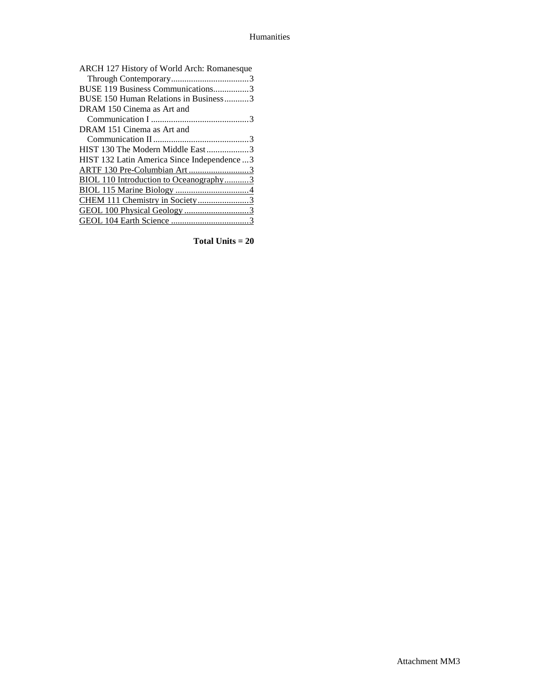| ARCH 127 History of World Arch: Romanesque   |
|----------------------------------------------|
|                                              |
| BUSE 119 Business Communications3            |
| BUSE 150 Human Relations in Business3        |
| DRAM 150 Cinema as Art and                   |
|                                              |
| DRAM 151 Cinema as Art and                   |
|                                              |
| HIST 130 The Modern Middle East3             |
| HIST 132 Latin America Since Independence  3 |
| ARTF 130 Pre-Columbian Art3                  |
| BIOL 110 Introduction to Oceanography3       |
|                                              |
| CHEM 111 Chemistry in Society3               |
|                                              |
|                                              |
|                                              |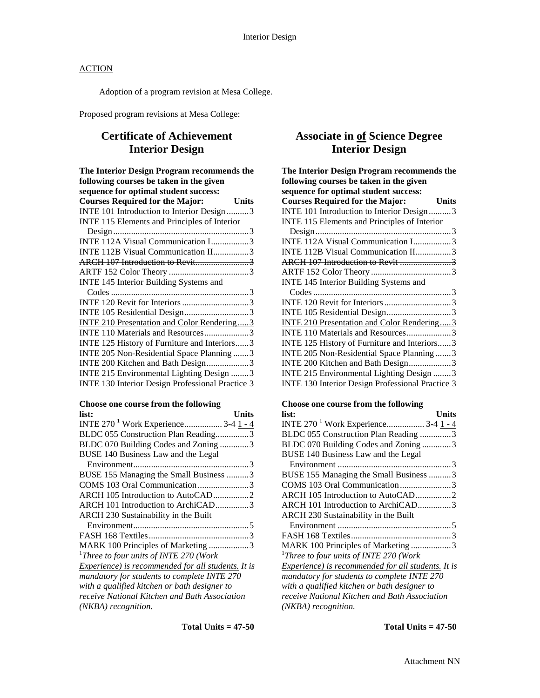Adoption of a program revision at Mesa College.

Proposed program revisions at Mesa College:

### **Certificate of Achievement Interior Design**

| The Interior Design Program recommends the              |
|---------------------------------------------------------|
| following courses be taken in the given                 |
| sequence for optimal student success:                   |
| <b>Courses Required for the Major:</b><br><b>Units</b>  |
| INTE 101 Introduction to Interior Design 3              |
| INTE 115 Elements and Principles of Interior            |
|                                                         |
| INTE 112A Visual Communication I3                       |
| INTE 112B Visual Communication II3                      |
|                                                         |
|                                                         |
| INTE 145 Interior Building Systems and                  |
|                                                         |
|                                                         |
| INTE 105 Residential Design3                            |
| INTE 210 Presentation and Color Rendering3              |
| INTE 110 Materials and Resources3                       |
| INTE 125 History of Furniture and Interiors3            |
| INTE 205 Non-Residential Space Planning 3               |
| INTE 200 Kitchen and Bath Design3                       |
| INTE 215 Environmental Lighting Design 3                |
| <b>INTE 130 Interior Design Professional Practice 3</b> |
|                                                         |

#### **Choose one course from the following**

| list:                                              | Units |
|----------------------------------------------------|-------|
| INTE 270 <sup>1</sup> Work Experience $3-4$ 1 - 4  |       |
| BLDC 055 Construction Plan Reading3                |       |
| BLDC 070 Building Codes and Zoning 3               |       |
| BUSE 140 Business Law and the Legal                |       |
|                                                    |       |
| BUSE 155 Managing the Small Business 3             |       |
| COMS 103 Oral Communication3                       |       |
| ARCH 105 Introduction to AutoCAD2                  |       |
| ARCH 101 Introduction to ArchiCAD3                 |       |
| ARCH 230 Sustainability in the Built               |       |
|                                                    |       |
|                                                    |       |
| MARK 100 Principles of Marketing 3                 |       |
| <sup>1</sup> Three to four units of INTE 270 (Work |       |
| Experience) is recommended for all students. It is |       |
| mandatory for students to complete INTE 270        |       |
| with a qualified kitchen or bath designer to       |       |
| receive National Kitchen and Bath Association      |       |
| (NKBA) recognition.                                |       |

### **Associate in of Science Degree Interior Design**

| The Interior Design Program recommends the        |       |
|---------------------------------------------------|-------|
| following courses be taken in the given           |       |
| sequence for optimal student success:             |       |
| <b>Courses Required for the Major:</b>            | Units |
| INTE 101 Introduction to Interior Design3         |       |
| INTE 115 Elements and Principles of Interior      |       |
|                                                   |       |
| INTE 112A Visual Communication I3                 |       |
| INTE 112B Visual Communication II3                |       |
| ARCH 107 Introduction to Revit 3                  |       |
|                                                   |       |
| INTE 145 Interior Building Systems and            |       |
|                                                   |       |
|                                                   |       |
|                                                   |       |
| <b>INTE 210 Presentation and Color Rendering3</b> |       |
| INTE 110 Materials and Resources3                 |       |
| INTE 125 History of Furniture and Interiors3      |       |
| INTE 205 Non-Residential Space Planning  3        |       |
| INTE 200 Kitchen and Bath Design3                 |       |
| INTE 215 Environmental Lighting Design 3          |       |
| INTE 130 Interior Design Professional Practice 3  |       |

#### **Choose one course from the following**

| list:                                                     | <b>Units</b> |
|-----------------------------------------------------------|--------------|
| INTE 270 <sup>-1</sup> Work Experience <del>3-4</del> 1-4 |              |
| BLDC 055 Construction Plan Reading 3                      |              |
| BLDC 070 Building Codes and Zoning3                       |              |
| BUSE 140 Business Law and the Legal                       |              |
|                                                           |              |
| BUSE 155 Managing the Small Business 3                    |              |
| COMS 103 Oral Communication3                              |              |
| ARCH 105 Introduction to AutoCAD2                         |              |
| ARCH 101 Introduction to ArchiCAD3                        |              |
| ARCH 230 Sustainability in the Built                      |              |
|                                                           |              |
|                                                           |              |
| MARK 100 Principles of Marketing3                         |              |
| <sup>1</sup> Three to four units of INTE 270 (Work        |              |
| Experience) is recommended for all students. It is        |              |
| mandatory for students to complete INTE 270               |              |
| with a qualified kitchen or bath designer to              |              |
| receive National Kitchen and Bath Association             |              |
| (NKBA) recognition.                                       |              |
|                                                           |              |

**Total Units = 47-50**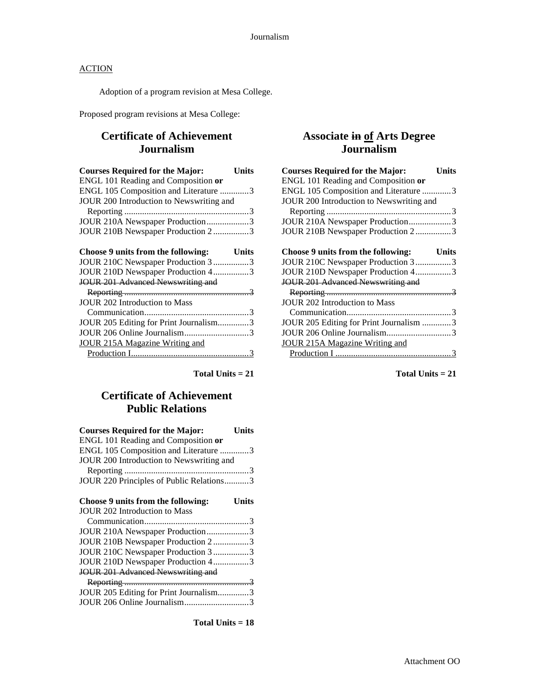Adoption of a program revision at Mesa College.

Proposed program revisions at Mesa College:

### **Certificate of Achievement Journalism**

| <b>Courses Required for the Major:</b>   | <b>Units</b> |
|------------------------------------------|--------------|
| ENGL 101 Reading and Composition or      |              |
| ENGL 105 Composition and Literature 3    |              |
| JOUR 200 Introduction to Newswriting and |              |
|                                          |              |
| JOUR 210A Newspaper Production3          |              |
| JOUR 210B Newspaper Production 23        |              |
|                                          |              |

| Choose 9 units from the following:     | Units |
|----------------------------------------|-------|
| JOUR 210C Newspaper Production 3 3     |       |
| JOUR 210D Newspaper Production 43      |       |
| JOUR 201 Advanced Newswriting and      |       |
|                                        |       |
| JOUR 202 Introduction to Mass          |       |
|                                        |       |
| JOUR 205 Editing for Print Journalism3 |       |
|                                        |       |
| <b>JOUR 215A Magazine Writing and</b>  |       |
|                                        |       |

**Total Units = 21**

### **Certificate of Achievement Public Relations**

| <b>Courses Required for the Major:</b>                                | Units |
|-----------------------------------------------------------------------|-------|
| ENGL 101 Reading and Composition or                                   |       |
| ENGL 105 Composition and Literature 3                                 |       |
| JOUR 200 Introduction to Newswriting and                              |       |
|                                                                       |       |
| JOUR 220 Principles of Public Relations3                              |       |
|                                                                       |       |
| Choose 9 units from the following:                                    | Units |
| <b>JOUR 202 Introduction to Mass</b>                                  |       |
|                                                                       |       |
| JOUR 210A Newspaper Production3                                       |       |
| JOUR 210B Newspaper Production 23                                     |       |
|                                                                       |       |
| JOUR 210C Newspaper Production 3 3                                    |       |
| JOUR 210D Newspaper Production 43                                     |       |
| <b>JOUR 201 Advanced Newswriting and</b>                              |       |
|                                                                       |       |
| JOUR 205 Editing for Print Journalism3<br>JOUR 206 Online Journalism3 |       |

**Total Units = 18**

### **Associate in of Arts Degree Journalism**

| <b>Courses Required for the Major:</b><br>Units    |  |
|----------------------------------------------------|--|
| ENGL 101 Reading and Composition or                |  |
| ENGL 105 Composition and Literature 3              |  |
| JOUR 200 Introduction to Newswriting and           |  |
|                                                    |  |
| JOUR 210A Newspaper Production3                    |  |
| JOUR 210B Newspaper Production 23                  |  |
|                                                    |  |
| Choose 9 units from the following:<br><b>Units</b> |  |
| JOUR 210C Newspaper Production 33                  |  |
| JOUR 210D Newspaper Production 43                  |  |
| <b>JOUR 201 Advanced Newswriting and</b>           |  |
|                                                    |  |
| JOUR 202 Introduction to Mass                      |  |
|                                                    |  |
| JOUR 205 Editing for Print Journalism 3            |  |
|                                                    |  |
| <b>JOUR 215A Magazine Writing and</b>              |  |
|                                                    |  |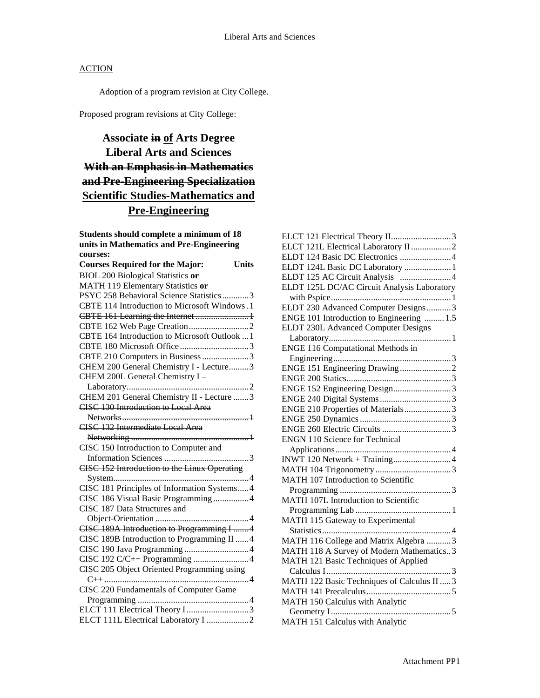Adoption of a program revision at City College.

Proposed program revisions at City College:

# **Associate in of Arts Degree Liberal Arts and Sciences With an Emphasis in Mathematics and Pre-Engineering Specialization Scientific Studies-Mathematics and Pre-Engineering**

**Students should complete a minimum of 18 units in Mathematics and Pre-Engineering courses: Courses Required for the Major: Units**

| Courses Required for the Major:               | Units |
|-----------------------------------------------|-------|
| <b>BIOL 200 Biological Statistics or</b>      |       |
| MATH 119 Elementary Statistics or             |       |
| PSYC 258 Behavioral Science Statistics3       |       |
| CBTE 114 Introduction to Microsoft Windows .1 |       |
| CBTE 161 Learning the Internet 1              |       |
|                                               |       |
| CBTE 164 Introduction to Microsoft Outlook  1 |       |
|                                               |       |
| CBTE 210 Computers in Business 3              |       |
| CHEM 200 General Chemistry I - Lecture3       |       |
| CHEM 200L General Chemistry I -               |       |
|                                               |       |
| CHEM 201 General Chemistry II - Lecture 3     |       |
| <b>CISC 130 Introduction to Local Area</b>    |       |
|                                               |       |
| CISC 132 Intermediate Local Area              |       |
|                                               |       |
| CISC 150 Introduction to Computer and         |       |
|                                               |       |
| CISC 152 Introduction to the Linux Operating  |       |
|                                               |       |
| CISC 181 Principles of Information Systems4   |       |
| CISC 186 Visual Basic Programming4            |       |
| CISC 187 Data Structures and                  |       |
|                                               |       |
| CISC 189A Introduction to Programming I 4     |       |
| CISC 189B Introduction to Programming II 4    |       |
|                                               |       |
| CISC 192 C/C++ Programming 4                  |       |
| CISC 205 Object Oriented Programming using    |       |
|                                               |       |
| CISC 220 Fundamentals of Computer Game        |       |
|                                               |       |
| ELCT 111 Electrical Theory I 3                |       |
| ELCT 111L Electrical Laboratory I 2           |       |

| ELCT 121 Electrical Theory II3              |
|---------------------------------------------|
| ELCT 121L Electrical Laboratory II 2        |
| ELDT 124 Basic DC Electronics 4             |
| ELDT 124L Basic DC Laboratory  1            |
| ELDT 125 AC Circuit Analysis 4              |
| ELDT 125L DC/AC Circuit Analysis Laboratory |
|                                             |
| ELDT 230 Advanced Computer Designs3         |
| ENGE 101 Introduction to Engineering  1.5   |
| ELDT 230L Advanced Computer Designs         |
|                                             |
| <b>ENGE 116 Computational Methods in</b>    |
|                                             |
|                                             |
|                                             |
| ENGE 152 Engineering Design3                |
|                                             |
| ENGE 210 Properties of Materials3           |
|                                             |
|                                             |
| <b>ENGN 110 Science for Technical</b>       |
|                                             |
|                                             |
|                                             |
| MATH 107 Introduction to Scientific         |
|                                             |
| MATH 107L Introduction to Scientific        |
|                                             |
| MATH 115 Gateway to Experimental            |
|                                             |
| MATH 116 College and Matrix Algebra 3       |
| MATH 118 A Survey of Modern Mathematics3    |
| MATH 121 Basic Techniques of Applied        |
|                                             |
| MATH 122 Basic Techniques of Calculus II  3 |
|                                             |
| MATH 150 Calculus with Analytic             |
|                                             |
| MATH 151 Calculus with Analytic             |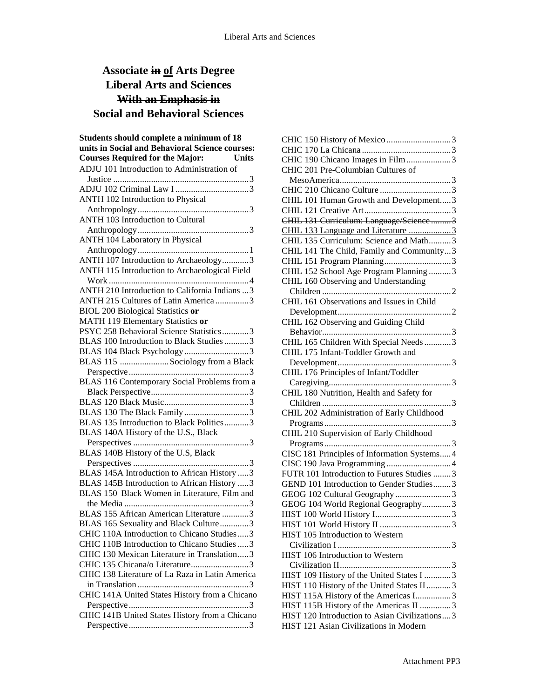# **Associate in of Arts Degree Liberal Arts and Sciences With an Emphasis in Social and Behavioral Sciences**

| Students should complete a minimum of 18                                          |
|-----------------------------------------------------------------------------------|
| units in Social and Behavioral Science courses:                                   |
| <b>Courses Required for the Major:</b><br><b>Units</b>                            |
| ADJU 101 Introduction to Administration of                                        |
|                                                                                   |
|                                                                                   |
| ANTH 102 Introduction to Physical                                                 |
|                                                                                   |
| <b>ANTH 103 Introduction to Cultural</b>                                          |
|                                                                                   |
| ANTH 104 Laboratory in Physical                                                   |
|                                                                                   |
| ANTH 107 Introduction to Archaeology3                                             |
| ANTH 115 Introduction to Archaeological Field                                     |
|                                                                                   |
| ANTH 210 Introduction to California Indians  3                                    |
| ANTH 215 Cultures of Latin America 3                                              |
| <b>BIOL 200 Biological Statistics or</b>                                          |
| MATH 119 Elementary Statistics or                                                 |
| PSYC 258 Behavioral Science Statistics3                                           |
| BLAS 100 Introduction to Black Studies3                                           |
| BLAS 104 Black Psychology 3                                                       |
| BLAS 115 Sociology from a Black                                                   |
|                                                                                   |
| BLAS 116 Contemporary Social Problems from a                                      |
|                                                                                   |
|                                                                                   |
|                                                                                   |
| BLAS 135 Introduction to Black Politics3                                          |
| BLAS 140A History of the U.S., Black                                              |
|                                                                                   |
| BLAS 140B History of the U.S, Black                                               |
|                                                                                   |
| BLAS 145A Introduction to African History  3                                      |
| BLAS 145B Introduction to African History 3                                       |
| BLAS 150 Black Women in Literature, Film and                                      |
|                                                                                   |
| BLAS 155 African American Literature 3                                            |
| BLAS 165 Sexuality and Black Culture3                                             |
| CHIC 110A Introduction to Chicano Studies3                                        |
| CHIC 110B Introduction to Chicano Studies  3                                      |
| CHIC 130 Mexican Literature in Translation3                                       |
| CHIC 135 Chicana/o Literature3<br>CHIC 138 Literature of La Raza in Latin America |
|                                                                                   |
| CHIC 141A United States History from a Chicano                                    |
|                                                                                   |
| CHIC 141B United States History from a Chicano                                    |
|                                                                                   |
|                                                                                   |

| CHIC 190 Chicano Images in Film 3              |
|------------------------------------------------|
| CHIC 201 Pre-Columbian Cultures of             |
|                                                |
|                                                |
| CHIL 101 Human Growth and Development3         |
|                                                |
| CHIL 131 Curriculum: Language/Science3         |
| CHIL 133 Language and Literature 3             |
| CHIL 135 Curriculum: Science and Math3         |
| CHIL 141 The Child, Family and Community3      |
|                                                |
| CHIL 152 School Age Program Planning 3         |
| CHIL 160 Observing and Understanding           |
|                                                |
| CHIL 161 Observations and Issues in Child      |
|                                                |
| CHIL 162 Observing and Guiding Child           |
|                                                |
| CHIL 165 Children With Special Needs 3         |
| CHIL 175 Infant-Toddler Growth and             |
|                                                |
| CHIL 176 Principles of Infant/Toddler          |
|                                                |
| CHIL 180 Nutrition, Health and Safety for      |
|                                                |
| CHIL 202 Administration of Early Childhood     |
|                                                |
| CHIL 210 Supervision of Early Childhood        |
|                                                |
| CISC 181 Principles of Information Systems 4   |
|                                                |
| FUTR 101 Introduction to Futures Studies 3     |
| GEND 101 Introduction to Gender Studies3       |
| GEOG 102 Cultural Geography 3                  |
| GEOG 104 World Regional Geography3             |
|                                                |
|                                                |
| HIST 105 Introduction to Western               |
|                                                |
| HIST 106 Introduction to Western               |
|                                                |
| HIST 109 History of the United States I 3      |
| HIST 110 History of the United States II 3     |
| HIST 115A History of the Americas I3           |
| HIST 115B History of the Americas II 3         |
| HIST 120 Introduction to Asian Civilizations 3 |
| HIST 121 Asian Civilizations in Modern         |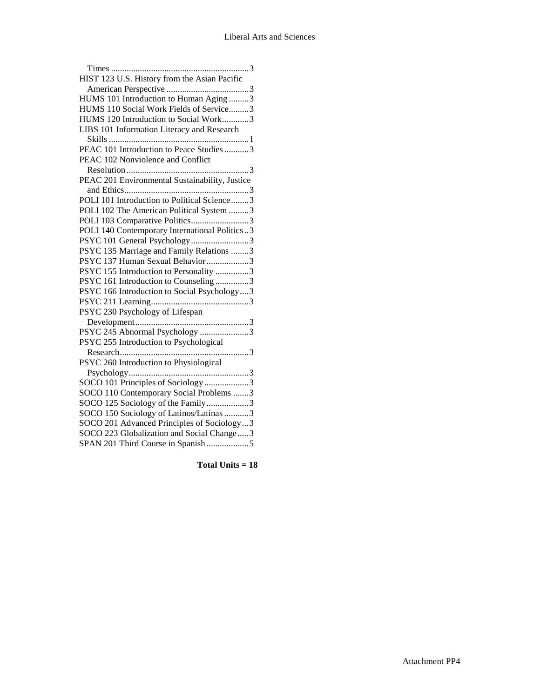| HIST 123 U.S. History from the Asian Pacific   |
|------------------------------------------------|
|                                                |
| HUMS 101 Introduction to Human Aging 3         |
| HUMS 110 Social Work Fields of Service3        |
| HUMS 120 Introduction to Social Work3          |
| LIBS 101 Information Literacy and Research     |
|                                                |
| PEAC 101 Introduction to Peace Studies 3       |
| PEAC 102 Nonviolence and Conflict              |
|                                                |
| PEAC 201 Environmental Sustainability, Justice |
|                                                |
| POLI 101 Introduction to Political Science3    |
| POLI 102 The American Political System 3       |
| POLI 103 Comparative Politics3                 |
| POLI 140 Contemporary International Politics3  |
| PSYC 101 General Psychology3                   |
| PSYC 135 Marriage and Family Relations 3       |
| PSYC 137 Human Sexual Behavior 3               |
| PSYC 155 Introduction to Personality 3         |
| PSYC 161 Introduction to Counseling 3          |
| PSYC 166 Introduction to Social Psychology3    |
|                                                |
| PSYC 230 Psychology of Lifespan                |
|                                                |
| PSYC 245 Abnormal Psychology 3                 |
| PSYC 255 Introduction to Psychological         |
|                                                |
| PSYC 260 Introduction to Physiological         |
|                                                |
| SOCO 101 Principles of Sociology3              |
| SOCO 110 Contemporary Social Problems 3        |
| SOCO 125 Sociology of the Family3              |
| SOCO 150 Sociology of Latinos/Latinas 3        |
| SOCO 201 Advanced Principles of Sociology3     |
| SOCO 223 Globalization and Social Change3      |
| SPAN 201 Third Course in Spanish5              |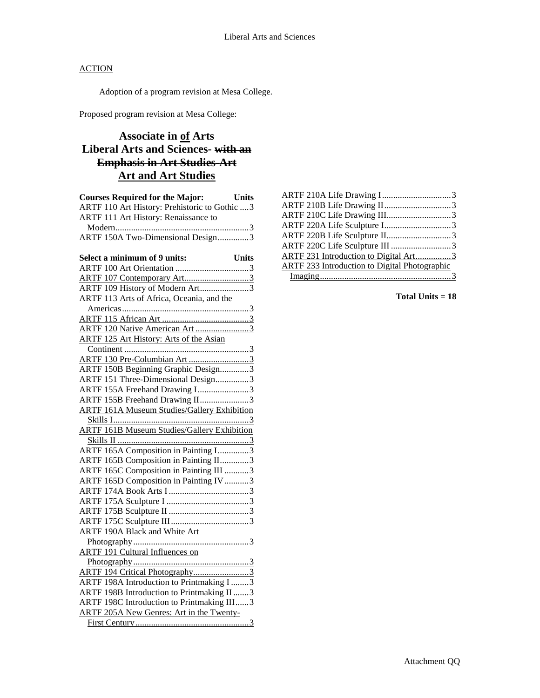Adoption of a program revision at Mesa College.

Proposed program revision at Mesa College:

## **Associate in of Arts Liberal Arts and Sciences- with an Emphasis in Art Studies-Art Art and Art Studies**

| <b>Courses Required for the Major:</b><br><b>Units</b> |
|--------------------------------------------------------|
| ARTF 110 Art History: Prehistoric to Gothic  3         |
| ARTF 111 Art History: Renaissance to                   |
|                                                        |
| ARTF 150A Two-Dimensional Design3                      |
|                                                        |
| Select a minimum of 9 units:<br><b>Units</b>           |
|                                                        |
|                                                        |
| ARTF 109 History of Modern Art3                        |
| ARTF 113 Arts of Africa, Oceania, and the              |
|                                                        |
|                                                        |
| ARTF 120 Native American Art 3                         |
| <b>ARTF 125 Art History: Arts of the Asian</b>         |
|                                                        |
| ARTF 130 Pre-Columbian Art3                            |
| ARTF 150B Beginning Graphic Design3                    |
| ARTF 151 Three-Dimensional Design3                     |
| ARTF 155A Freehand Drawing I3                          |
| ARTF 155B Freehand Drawing II3                         |
| <b>ARTF 161A Museum Studies/Gallery Exhibition</b>     |
|                                                        |
| <b>ARTF 161B Museum Studies/Gallery Exhibition</b>     |
|                                                        |
| ARTF 165A Composition in Painting I3                   |
| ARTF 165B Composition in Painting II3                  |
| ARTF 165C Composition in Painting III 3                |
| ARTF 165D Composition in Painting IV 3                 |
|                                                        |
|                                                        |
|                                                        |
|                                                        |
| ARTF 190A Black and White Art                          |
|                                                        |
| <b>ARTF 191 Cultural Influences on</b>                 |
|                                                        |
| ARTF 194 Critical Photography3                         |
| ARTF 198A Introduction to Printmaking I 3              |
| ARTF 198B Introduction to Printmaking II 3             |
| ARTF 198C Introduction to Printmaking III3             |
| ARTF 205A New Genres: Art in the Twenty-               |
|                                                        |

| ARTF 210C Life Drawing III3                          |  |
|------------------------------------------------------|--|
|                                                      |  |
|                                                      |  |
|                                                      |  |
| ARTF 231 Introduction to Digital Art3                |  |
| <b>ARTF 233 Introduction to Digital Photographic</b> |  |
|                                                      |  |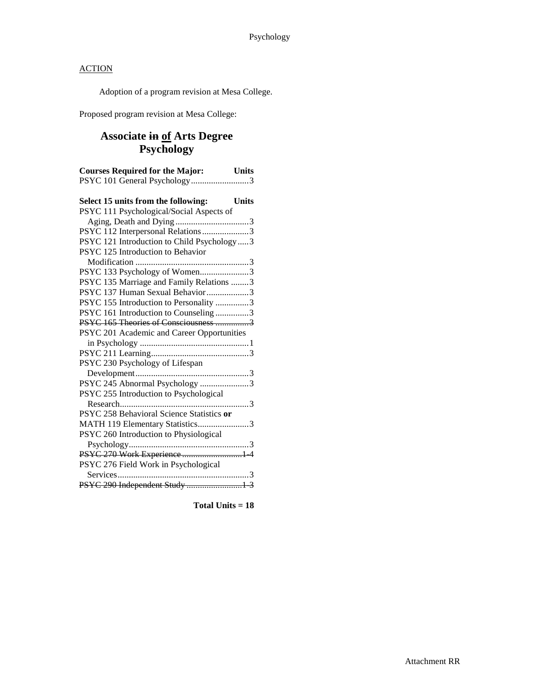Adoption of a program revision at Mesa College.

Proposed program revision at Mesa College:

## **Associate in of Arts Degree Psychology**

| <b>Courses Required for the Major:</b> Units<br>PSYC 101 General Psychology3 |              |
|------------------------------------------------------------------------------|--------------|
| Select 15 units from the following:                                          | <b>Units</b> |
| PSYC 111 Psychological/Social Aspects of                                     |              |
|                                                                              |              |
| PSYC 112 Interpersonal Relations 3                                           |              |
| PSYC 121 Introduction to Child Psychology  3                                 |              |
| PSYC 125 Introduction to Behavior                                            |              |
|                                                                              |              |
| PSYC 133 Psychology of Women3                                                |              |
| PSYC 135 Marriage and Family Relations 3                                     |              |
| PSYC 137 Human Sexual Behavior 3                                             |              |
| PSYC 155 Introduction to Personality 3                                       |              |
| PSYC 161 Introduction to Counseling 3                                        |              |
| PSYC 165 Theories of Consciousness 3                                         |              |
| PSYC 201 Academic and Career Opportunities                                   |              |
|                                                                              |              |
|                                                                              |              |
| PSYC 230 Psychology of Lifespan                                              |              |
|                                                                              |              |
| PSYC 245 Abnormal Psychology 3                                               |              |
| PSYC 255 Introduction to Psychological                                       |              |
|                                                                              | . 3          |
| PSYC 258 Behavioral Science Statistics or                                    |              |
| MATH 119 Elementary Statistics3                                              |              |
| PSYC 260 Introduction to Physiological                                       |              |
|                                                                              |              |
| PSYC 270 Work Experience  1 4                                                |              |
| PSYC 276 Field Work in Psychological                                         |              |
| Services                                                                     |              |
| PSYC 290 Independent Study  1 3                                              |              |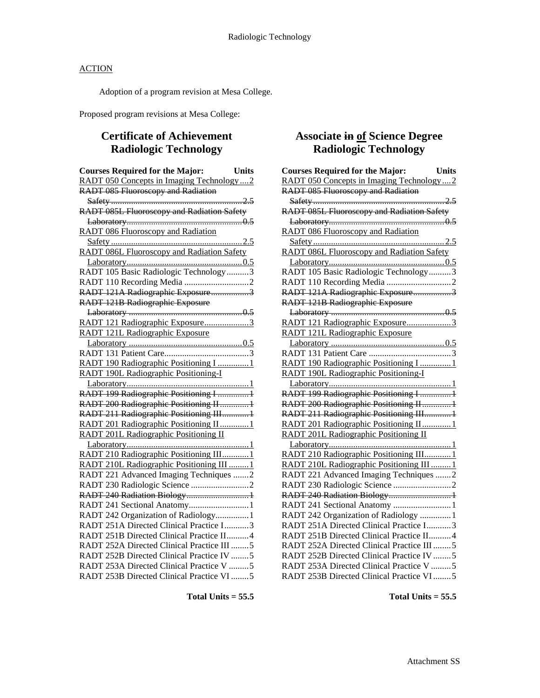Adoption of a program revision at Mesa College.

Proposed program revisions at Mesa College:

## **Certificate of Achievement Radiologic Technology**

| <b>Courses Required for the Major:</b>            | <b>Units</b> |
|---------------------------------------------------|--------------|
| RADT 050 Concepts in Imaging Technology2          |              |
| <b>RADT 085 Fluoroscopy and Radiation</b>         |              |
|                                                   |              |
| RADT 085L Fluoroscopy and Radiation Safety        |              |
|                                                   |              |
| <b>RADT 086 Fluoroscopy and Radiation</b>         |              |
|                                                   |              |
| <b>RADT 086L Fluoroscopy and Radiation Safety</b> |              |
|                                                   |              |
| RADT 105 Basic Radiologic Technology3             |              |
|                                                   |              |
| RADT 121A Radiographic Exposure3                  |              |
| <b>RADT 121B Radiographic Exposure</b>            |              |
|                                                   |              |
| RADT 121 Radiographic Exposure3                   |              |
| RADT 121L Radiographic Exposure                   |              |
|                                                   |              |
|                                                   |              |
| RADT 190 Radiographic Positioning I 1             |              |
| RADT 190L Radiographic Positioning-I              |              |
|                                                   |              |
| RADT 199 Radiographic Positioning I 1             |              |
| RADT 200 Radiographic Positioning II 1            |              |
| RADT 211 Radiographic Positioning III1            |              |
| RADT 201 Radiographic Positioning II1             |              |
| RADT 201L Radiographic Positioning II             |              |
|                                                   |              |
| RADT 210 Radiographic Positioning III1            |              |
| RADT 210L Radiographic Positioning III  1         |              |
| RADT 221 Advanced Imaging Techniques 2            |              |
|                                                   |              |
| RADT 240 Radiation Biology1                       |              |
| RADT 241 Sectional Anatomy1                       |              |
| RADT 242 Organization of Radiology1               |              |
| RADT 251A Directed Clinical Practice I3           |              |
| RADT 251B Directed Clinical Practice II4          |              |
| RADT 252A Directed Clinical Practice III 5        |              |
| RADT 252B Directed Clinical Practice IV 5         |              |
| RADT 253A Directed Clinical Practice V 5          |              |
| RADT 253B Directed Clinical Practice VI5          |              |

## **Associate in of Science Degree Radiologic Technology**

| <b>Courses Required for the Major:</b><br><b>Units</b> |
|--------------------------------------------------------|
| RADT 050 Concepts in Imaging Technology2               |
| <b>RADT 085 Fluoroscopy and Radiation</b>              |
|                                                        |
| RADT 085L Fluoroscopy and Radiation Safety             |
|                                                        |
| <b>RADT 086 Fluoroscopy and Radiation</b>              |
|                                                        |
| RADT 086L Fluoroscopy and Radiation Safety             |
|                                                        |
| RADT 105 Basic Radiologic Technology3                  |
|                                                        |
| RADT 121A Radiographic Exposure3                       |
| RADT 121B Radiographic Exposure                        |
|                                                        |
| RADT 121 Radiographic Exposure3                        |
| RADT 121L Radiographic Exposure                        |
|                                                        |
|                                                        |
| RADT 190 Radiographic Positioning I  1                 |
| RADT 190L Radiographic Positioning-I                   |
|                                                        |
| RADT 199 Radiographic Positioning I  1                 |
| RADT 200 Radiographic Positioning II 1                 |
| RADT 211 Radiographic Positioning III1                 |
| RADT 201 Radiographic Positioning II1                  |
| RADT 201L Radiographic Positioning II                  |
|                                                        |
| RADT 210 Radiographic Positioning III1                 |
| RADT 210L Radiographic Positioning III  1              |
| RADT 221 Advanced Imaging Techniques 2                 |
|                                                        |
| RADT 240 Radiation Biology 1                           |
| RADT 241 Sectional Anatomy 1                           |
| RADT 242 Organization of Radiology  1                  |
| RADT 251A Directed Clinical Practice I3                |
| RADT 251B Directed Clinical Practice II 4              |
| RADT 252A Directed Clinical Practice III 5             |
| RADT 252B Directed Clinical Practice IV 5              |
| RADT 253A Directed Clinical Practice V 5               |
| RADT 253B Directed Clinical Practice VI5               |

**Total Units = 55.5**

**Total Units = 55.5**